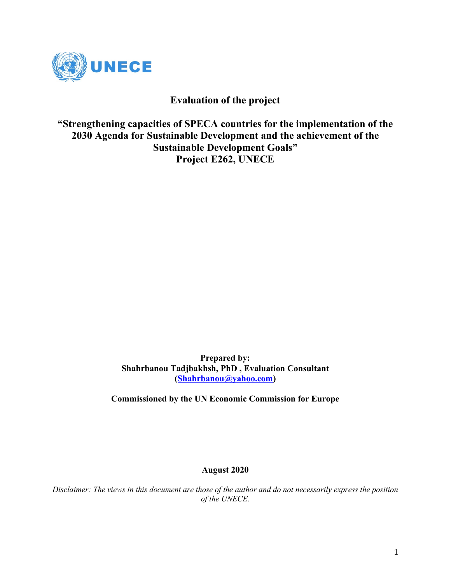

**Evaluation of the project**

**"Strengthening capacities of SPECA countries for the implementation of the 2030 Agenda for Sustainable Development and the achievement of the Sustainable Development Goals" Project E262, UNECE** 

> **Prepared by: Shahrbanou Tadjbakhsh, PhD , Evaluation Consultant [\(Shahrbanou@yahoo.com\)](mailto:Shahrbanou@yahoo.com)**

**Commissioned by the UN Economic Commission for Europe**

# **August 2020**

*Disclaimer: The views in this document are those of the author and do not necessarily express the position of the UNECE.*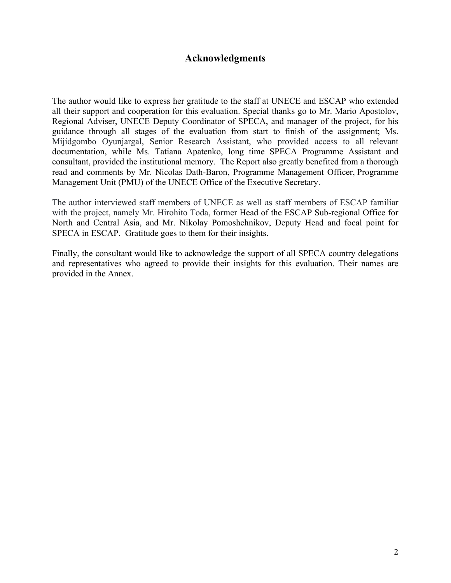# **Acknowledgments**

The author would like to express her gratitude to the staff at UNECE and ESCAP who extended all their support and cooperation for this evaluation. Special thanks go to Mr. Mario Apostolov, Regional Adviser, UNECE Deputy Coordinator of SPECA, and manager of the project, for his guidance through all stages of the evaluation from start to finish of the assignment; Ms. Mijidgombo Oyunjargal, Senior Research Assistant, who provided access to all relevant documentation, while Ms. Tatiana Apatenko, long time SPECA Programme Assistant and consultant, provided the institutional memory. The Report also greatly benefited from a thorough read and comments by Mr. Nicolas Dath-Baron, Programme Management Officer, Programme Management Unit (PMU) of the UNECE Office of the Executive Secretary.

The author interviewed staff members of UNECE as well as staff members of ESCAP familiar with the project, namely Mr. Hirohito Toda, former Head of the ESCAP Sub-regional Office for North and Central Asia, and Mr. Nikolay Pomoshchnikov, Deputy Head and focal point for SPECA in ESCAP. Gratitude goes to them for their insights.

Finally, the consultant would like to acknowledge the support of all SPECA country delegations and representatives who agreed to provide their insights for this evaluation. Their names are provided in the Annex.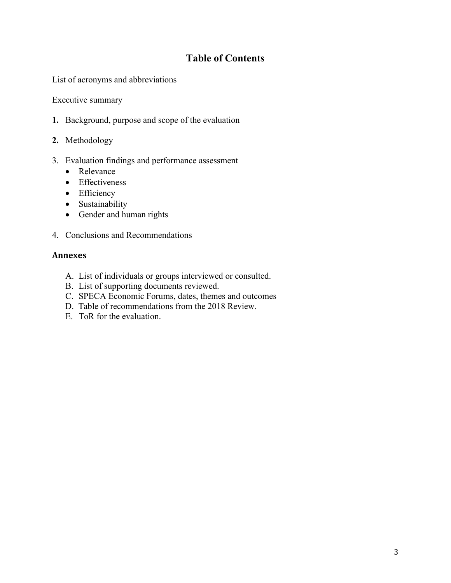# **Table of Contents**

List of acronyms and abbreviations

Executive summary

- **1.** Background, purpose and scope of the evaluation
- **2.** Methodology
- 3. Evaluation findings and performance assessment
	- Relevance
	- Effectiveness
	- Efficiency
	- Sustainability
	- Gender and human rights
- 4. Conclusions and Recommendations

#### **Annexes**

- A. List of individuals or groups interviewed or consulted.
- B. List of supporting documents reviewed.
- C. SPECA Economic Forums, dates, themes and outcomes
- D. Table of recommendations from the 2018 Review.
- E. ToR for the evaluation.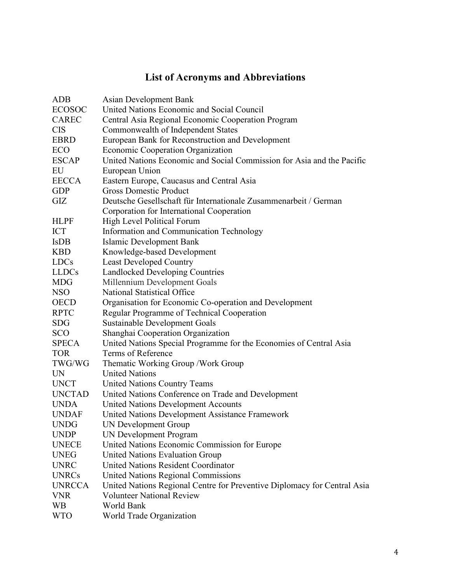# **List of Acronyms and Abbreviations**

| <b>ADB</b>    | <b>Asian Development Bank</b>                                            |
|---------------|--------------------------------------------------------------------------|
| <b>ECOSOC</b> | United Nations Economic and Social Council                               |
| <b>CAREC</b>  | Central Asia Regional Economic Cooperation Program                       |
| <b>CIS</b>    | Commonwealth of Independent States                                       |
| <b>EBRD</b>   | European Bank for Reconstruction and Development                         |
| <b>ECO</b>    | Economic Cooperation Organization                                        |
| <b>ESCAP</b>  | United Nations Economic and Social Commission for Asia and the Pacific   |
| EU            | European Union                                                           |
| <b>EECCA</b>  | Eastern Europe, Caucasus and Central Asia                                |
| <b>GDP</b>    | <b>Gross Domestic Product</b>                                            |
| GLZ           | Deutsche Gesellschaft für Internationale Zusammenarbeit / German         |
|               | Corporation for International Cooperation                                |
| <b>HLPF</b>   | High Level Political Forum                                               |
| <b>ICT</b>    | Information and Communication Technology                                 |
| <b>IsDB</b>   | Islamic Development Bank                                                 |
| <b>KBD</b>    | Knowledge-based Development                                              |
| <b>LDCs</b>   | <b>Least Developed Country</b>                                           |
| <b>LLDCs</b>  | <b>Landlocked Developing Countries</b>                                   |
| <b>MDG</b>    | Millennium Development Goals                                             |
| NSO           | National Statistical Office                                              |
| <b>OECD</b>   | Organisation for Economic Co-operation and Development                   |
| <b>RPTC</b>   | Regular Programme of Technical Cooperation                               |
| SDG.          | <b>Sustainable Development Goals</b>                                     |
| <b>SCO</b>    | Shanghai Cooperation Organization                                        |
| <b>SPECA</b>  | United Nations Special Programme for the Economies of Central Asia       |
| <b>TOR</b>    | Terms of Reference                                                       |
| TWG/WG        | Thematic Working Group / Work Group                                      |
| <b>UN</b>     | <b>United Nations</b>                                                    |
| <b>UNCT</b>   | <b>United Nations Country Teams</b>                                      |
| <b>UNCTAD</b> | United Nations Conference on Trade and Development                       |
| <b>UNDA</b>   | <b>United Nations Development Accounts</b>                               |
| <b>UNDAF</b>  | United Nations Development Assistance Framework                          |
| <b>UNDG</b>   | UN Development Group                                                     |
| <b>UNDP</b>   | <b>UN Development Program</b>                                            |
| <b>UNECE</b>  | United Nations Economic Commission for Europe                            |
| <b>UNEG</b>   | United Nations Evaluation Group                                          |
| <b>UNRC</b>   | <b>United Nations Resident Coordinator</b>                               |
| <b>UNRCs</b>  | <b>United Nations Regional Commissions</b>                               |
| <b>UNRCCA</b> | United Nations Regional Centre for Preventive Diplomacy for Central Asia |
| <b>VNR</b>    | <b>Volunteer National Review</b>                                         |
| WB.           | World Bank                                                               |
| <b>WTO</b>    | World Trade Organization                                                 |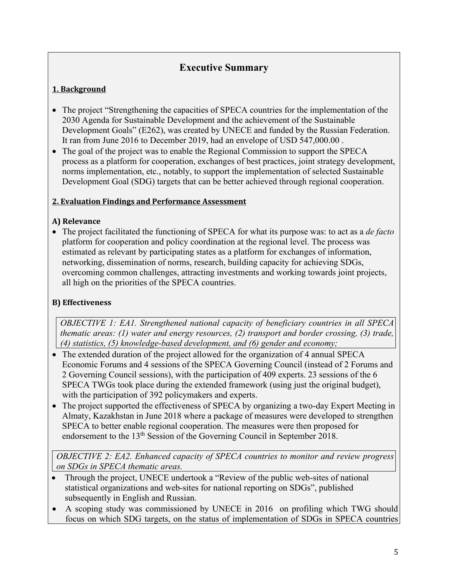# **Executive Summary**

## **1. Background**

- The project "Strengthening the capacities of SPECA countries for the implementation of the 2030 Agenda for Sustainable Development and the achievement of the Sustainable Development Goals" (E262), was created by UNECE and funded by the Russian Federation. It ran from June 2016 to December 2019, had an envelope of USD 547,000.00 .
- The goal of the project was to enable the Regional Commission to support the SPECA process as a platform for cooperation, exchanges of best practices, joint strategy development, norms implementation, etc., notably, to support the implementation of selected Sustainable Development Goal (SDG) targets that can be better achieved through regional cooperation.

#### **2. Evaluation Findings and Performance Assessment**

### **A) Relevance**

• The project facilitated the functioning of SPECA for what its purpose was: to act as a *de facto* platform for cooperation and policy coordination at the regional level. The process was estimated as relevant by participating states as a platform for exchanges of information, networking, dissemination of norms, research, building capacity for achieving SDGs, overcoming common challenges, attracting investments and working towards joint projects, all high on the priorities of the SPECA countries.

### **B) Effectiveness**

*OBJECTIVE 1: EA1. Strengthened national capacity of beneficiary countries in all SPECA thematic areas: (1) water and energy resources, (2) transport and border crossing, (3) trade, (4) statistics, (5) knowledge-based development, and (6) gender and economy;*

- The extended duration of the project allowed for the organization of 4 annual SPECA Economic Forums and 4 sessions of the SPECA Governing Council (instead of 2 Forums and 2 Governing Council sessions), with the participation of 409 experts. 23 sessions of the 6 SPECA TWGs took place during the extended framework (using just the original budget), with the participation of 392 policymakers and experts.
- The project supported the effectiveness of SPECA by organizing a two-day Expert Meeting in Almaty, Kazakhstan in June 2018 where a package of measures were developed to strengthen SPECA to better enable regional cooperation. The measures were then proposed for endorsement to the 13<sup>th</sup> Session of the Governing Council in September 2018.

*OBJECTIVE 2: EA2. Enhanced capacity of SPECA countries to monitor and review progress on SDGs in SPECA thematic areas.* 

- Through the project, UNECE undertook a "Review of the public web-sites of national statistical organizations and web-sites for national reporting on SDGs", published subsequently in English and Russian.
- A scoping study was commissioned by UNECE in 2016 on profiling which TWG should focus on which SDG targets, on the status of implementation of SDGs in SPECA countries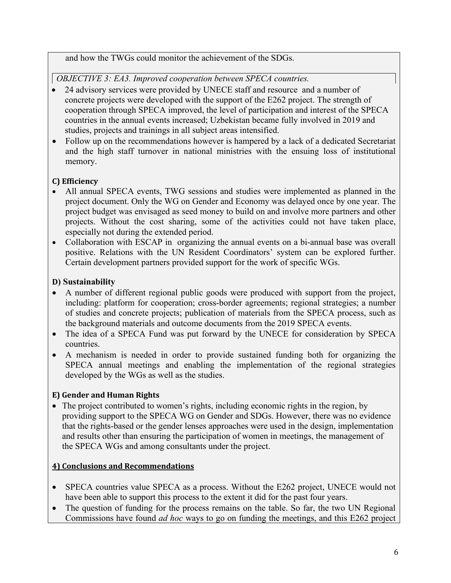and how the TWGs could monitor the achievement of the SDGs.

*OBJECTIVE 3: EA3. Improved cooperation between SPECA countries.*

- 24 advisory services were provided by UNECE staff and resource and a number of concrete projects were developed with the support of the E262 project. The strength of cooperation through SPECA improved, the level of participation and interest of the SPECA countries in the annual events increased; Uzbekistan became fully involved in 2019 and studies, projects and trainings in all subject areas intensified.
- Follow up on the recommendations however is hampered by a lack of a dedicated Secretariat and the high staff turnover in national ministries with the ensuing loss of institutional memory.

# **C) Efficiency**

- All annual SPECA events, TWG sessions and studies were implemented as planned in the project document. Only the WG on Gender and Economy was delayed once by one year. The project budget was envisaged as seed money to build on and involve more partners and other projects. Without the cost sharing, some of the activities could not have taken place, especially not during the extended period.
- Collaboration with ESCAP in organizing the annual events on a bi-annual base was overall positive. Relations with the UN Resident Coordinators' system can be explored further. Certain development partners provided support for the work of specific WGs.

# **D) Sustainability**

- A number of different regional public goods were produced with support from the project, including: platform for cooperation; cross-border agreements; regional strategies; a number of studies and concrete projects; publication of materials from the SPECA process, such as the background materials and outcome documents from the 2019 SPECA events.
- The idea of a SPECA Fund was put forward by the UNECE for consideration by SPECA countries.
- A mechanism is needed in order to provide sustained funding both for organizing the SPECA annual meetings and enabling the implementation of the regional strategies developed by the WGs as well as the studies.

# **E) Gender and Human Rights**

• The project contributed to women's rights, including economic rights in the region, by providing support to the SPECA WG on Gender and SDGs. However, there was no evidence that the rights-based or the gender lenses approaches were used in the design, implementation and results other than ensuring the participation of women in meetings, the management of the SPECA WGs and among consultants under the project.

# **4) Conclusions and Recommendations**

- SPECA countries value SPECA as a process. Without the E262 project, UNECE would not have been able to support this process to the extent it did for the past four years.
- The question of funding for the process remains on the table. So far, the two UN Regional Commissions have found *ad hoc* ways to go on funding the meetings, and this E262 project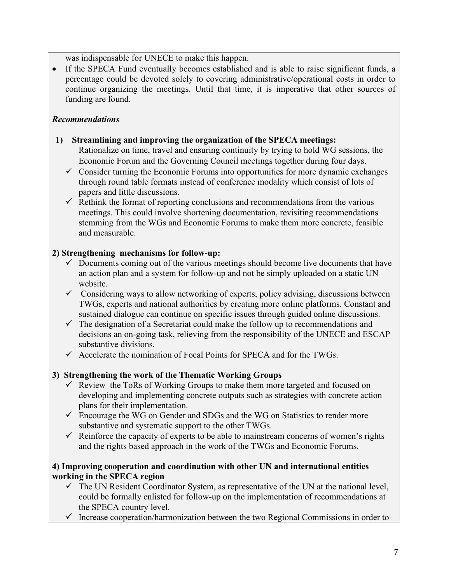was indispensable for UNECE to make this happen.

• If the SPECA Fund eventually becomes established and is able to raise significant funds, a percentage could be devoted solely to covering administrative/operational costs in order to continue organizing the meetings. Until that time, it is imperative that other sources of funding are found.

# *Recommendations*

- **1) Streamlining and improving the organization of the SPECA meetings:** Rationalize on time, travel and ensuring continuity by trying to hold WG sessions, the Economic Forum and the Governing Council meetings together during four days.
	- $\checkmark$  Consider turning the Economic Forums into opportunities for more dynamic exchanges through round table formats instead of conference modality which consist of lots of papers and little discussions.
	- $\checkmark$  Rethink the format of reporting conclusions and recommendations from the various meetings. This could involve shortening documentation, revisiting recommendations stemming from the WGs and Economic Forums to make them more concrete, feasible and measurable.

## **2) Strengthening mechanisms for follow-up:**

- $\checkmark$  Documents coming out of the various meetings should become live documents that have an action plan and a system for follow-up and not be simply uploaded on a static UN website.
- $\checkmark$  Considering ways to allow networking of experts, policy advising, discussions between TWGs, experts and national authorities by creating more online platforms. Constant and sustained dialogue can continue on specific issues through guided online discussions.
- $\checkmark$  The designation of a Secretariat could make the follow up to recommendations and decisions an on-going task, relieving from the responsibility of the UNECE and ESCAP substantive divisions.
- $\checkmark$  Accelerate the nomination of Focal Points for SPECA and for the TWGs.

# **3) Strengthening the work of the Thematic Working Groups**

- $\checkmark$  Review the ToRs of Working Groups to make them more targeted and focused on developing and implementing concrete outputs such as strategies with concrete action plans for their implementation.
- $\checkmark$  Encourage the WG on Gender and SDGs and the WG on Statistics to render more substantive and systematic support to the other TWGs.
- $\checkmark$  Reinforce the capacity of experts to be able to mainstream concerns of women's rights and the rights based approach in the work of the TWGs and Economic Forums.

### **4) Improving cooperation and coordination with other UN and international entities working in the SPECA region**

- $\checkmark$  The UN Resident Coordinator System, as representative of the UN at the national level, could be formally enlisted for follow-up on the implementation of recommendations at the SPECA country level.
- $\checkmark$  Increase cooperation/harmonization between the two Regional Commissions in order to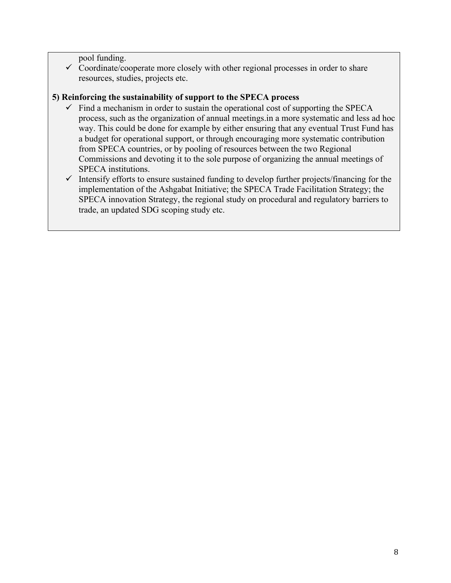pool funding.

 $\checkmark$  Coordinate/cooperate more closely with other regional processes in order to share resources, studies, projects etc.

# **5) Reinforcing the sustainability of support to the SPECA process**

- $\checkmark$  Find a mechanism in order to sustain the operational cost of supporting the SPECA process, such as the organization of annual meetings.in a more systematic and less ad hoc way. This could be done for example by either ensuring that any eventual Trust Fund has a budget for operational support, or through encouraging more systematic contribution from SPECA countries, or by pooling of resources between the two Regional Commissions and devoting it to the sole purpose of organizing the annual meetings of SPECA institutions.
- $\checkmark$  Intensify efforts to ensure sustained funding to develop further projects/financing for the implementation of the Ashgabat Initiative; the SPECA Trade Facilitation Strategy; the SPECA innovation Strategy, the regional study on procedural and regulatory barriers to trade, an updated SDG scoping study etc.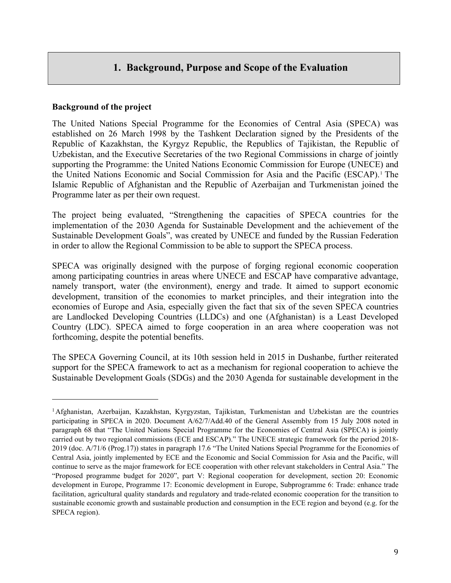# **1. Background, Purpose and Scope of the Evaluation**

#### **Background of the project**

The United Nations Special Programme for the Economies of Central Asia (SPECA) was established on 26 March 1998 by the Tashkent Declaration signed by the Presidents of the Republic of Kazakhstan, the Kyrgyz Republic, the Republics of Tajikistan, the Republic of Uzbekistan, and the Executive Secretaries of the two Regional Commissions in charge of jointly supporting the Programme: the United Nations Economic Commission for Europe (UNECE) and the United Nations Economic and Social Commission for Asia and the Pacific (ESCAP).[1](#page-8-0) The Islamic Republic of Afghanistan and the Republic of Azerbaijan and Turkmenistan joined the Programme later as per their own request.

The project being evaluated, "Strengthening the capacities of SPECA countries for the implementation of the 2030 Agenda for Sustainable Development and the achievement of the Sustainable Development Goals", was created by UNECE and funded by the Russian Federation in order to allow the Regional Commission to be able to support the SPECA process.

SPECA was originally designed with the purpose of forging regional economic cooperation among participating countries in areas where UNECE and ESCAP have comparative advantage, namely transport, water (the environment), energy and trade. It aimed to support economic development, transition of the economies to market principles, and their integration into the economies of Europe and Asia, especially given the fact that six of the seven SPECA countries are Landlocked Developing Countries (LLDCs) and one (Afghanistan) is a Least Developed Country (LDC). SPECA aimed to forge cooperation in an area where cooperation was not forthcoming, despite the potential benefits.

The SPECA Governing Council, at its 10th session held in 2015 in Dushanbe, further reiterated support for the SPECA framework to act as a mechanism for regional cooperation to achieve the Sustainable Development Goals (SDGs) and the 2030 Agenda for sustainable development in the

<span id="page-8-0"></span><sup>1</sup>Afghanistan, Azerbaijan, Kazakhstan, Kyrgyzstan, Tajikistan, Turkmenistan and Uzbekistan are the countries participating in SPECA in 2020. Document A/62/7/Add.40 of the General Assembly from 15 July 2008 noted in paragraph 68 that "The United Nations Special Programme for the Economies of Central Asia (SPECA) is jointly carried out by two regional commissions (ECE and ESCAP)." The UNECE strategic framework for the period 2018- 2019 (doc. A/71/6 (Prog.17)) states in paragraph 17.6 "The United Nations Special Programme for the Economies of Central Asia, jointly implemented by ECE and the Economic and Social Commission for Asia and the Pacific, will continue to serve as the major framework for ECE cooperation with other relevant stakeholders in Central Asia." The "Proposed programme budget for 2020", part V: Regional cooperation for development, section 20: Economic development in Europe, Programme 17: Economic development in Europe, Subprogramme 6: Trade: enhance trade facilitation, agricultural quality standards and regulatory and trade-related economic cooperation for the transition to sustainable economic growth and sustainable production and consumption in the ECE region and beyond (e.g. for the SPECA region).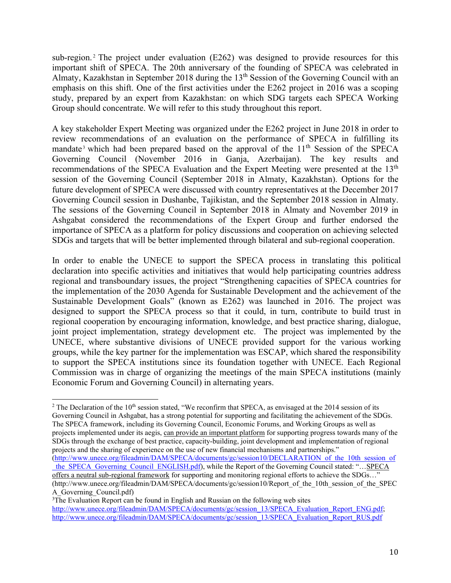sub-region.<sup>[2](#page-9-0)</sup> The project under evaluation (E262) was designed to provide resources for this important shift of SPECA. The 20th anniversary of the founding of SPECA was celebrated in Almaty, Kazakhstan in September 2018 during the 13<sup>th</sup> Session of the Governing Council with an emphasis on this shift. One of the first activities under the E262 project in 2016 was a scoping study, prepared by an expert from Kazakhstan: on which SDG targets each SPECA Working Group should concentrate. We will refer to this study throughout this report.

A key stakeholder Expert Meeting was organized under the E262 project in June 2018 in order to review recommendations of an evaluation on the performance of SPECA in fulfilling its mandate<sup>[3](#page-9-1)</sup> which had been prepared based on the approval of the  $11<sup>th</sup>$  Session of the SPECA Governing Council (November 2016 in Ganja, Azerbaijan). The key results and recommendations of the SPECA Evaluation and the Expert Meeting were presented at the 13<sup>th</sup> session of the Governing Council (September 2018 in Almaty, Kazakhstan). Options for the future development of SPECA were discussed with country representatives at the December 2017 Governing Council session in Dushanbe, Tajikistan, and the September 2018 session in Almaty. The sessions of the Governing Council in September 2018 in Almaty and November 2019 in Ashgabat considered the recommendations of the Expert Group and further endorsed the importance of SPECA as a platform for policy discussions and cooperation on achieving selected SDGs and targets that will be better implemented through bilateral and sub-regional cooperation.

In order to enable the UNECE to support the SPECA process in translating this political declaration into specific activities and initiatives that would help participating countries address regional and transboundary issues, the project "Strengthening capacities of SPECA countries for the implementation of the 2030 Agenda for Sustainable Development and the achievement of the Sustainable Development Goals" (known as E262) was launched in 2016. The project was designed to support the SPECA process so that it could, in turn, contribute to build trust in regional cooperation by encouraging information, knowledge, and best practice sharing, dialogue, joint project implementation, strategy development etc. The project was implemented by the UNECE, where substantive divisions of UNECE provided support for the various working groups, while the key partner for the implementation was ESCAP, which shared the responsibility to support the SPECA institutions since its foundation together with UNECE. Each Regional Commission was in charge of organizing the meetings of the main SPECA institutions (mainly Economic Forum and Governing Council) in alternating years.

<span id="page-9-0"></span><sup>2</sup> The Declaration of the  $10<sup>th</sup>$  session stated, "We reconfirm that SPECA, as envisaged at the 2014 session of its Governing Council in Ashgabat, has a strong potential for supporting and facilitating the achievement of the SDGs. The SPECA framework, including its Governing Council, Economic Forums, and Working Groups as well as projects implemented under its aegis, can provide an important platform for supporting progress towards many of the SDGs through the exchange of best practice, capacity-building, joint development and implementation of regional projects and the sharing of experience on the use of new financial mechanisms and partnerships." (http://www.unece.org/fileadmin/DAM/SPECA/documents/gc/session10/DECLARATION of the 10th session of the SPECA Governing Council ENGLISH.pdf), while the Report of the Governing Council stated: "…SPECA offers a neutral sub-regional framework for supporting and monitoring regional efforts to achieve the SDGs…" (http://www.unece.org/fileadmin/DAM/SPECA/documents/gc/session10/Report\_of\_the\_10th\_session\_of\_the\_SPEC A\_Governing\_Council.pdf)

<span id="page-9-1"></span><sup>&</sup>lt;sup>3</sup>The Evaluation Report can be found in English and Russian on the following web sites [http://www.unece.org/fileadmin/DAM/SPECA/documents/gc/session\\_13/SPECA\\_Evaluation\\_Report\\_ENG.pdf;](http://www.unece.org/fileadmin/DAM/SPECA/documents/gc/session_13/SPECA_Evaluation_Report_ENG.pdf) [http://www.unece.org/fileadmin/DAM/SPECA/documents/gc/session\\_13/SPECA\\_Evaluation\\_Report\\_RUS.pdf](http://www.unece.org/fileadmin/DAM/SPECA/documents/gc/session_13/SPECA_Evaluation_Report_RUS.pdf)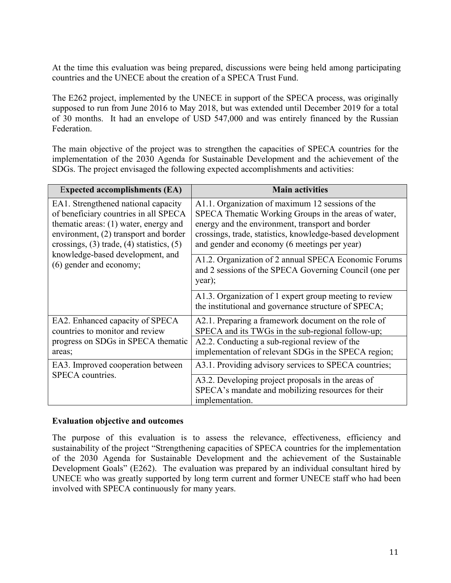At the time this evaluation was being prepared, discussions were being held among participating countries and the UNECE about the creation of a SPECA Trust Fund.

The E262 project, implemented by the UNECE in support of the SPECA process, was originally supposed to run from June 2016 to May 2018, but was extended until December 2019 for a total of 30 months. It had an envelope of USD 547,000 and was entirely financed by the Russian Federation.

The main objective of the project was to strengthen the capacities of SPECA countries for the implementation of the 2030 Agenda for Sustainable Development and the achievement of the SDGs. The project envisaged the following expected accomplishments and activities:

| <b>Expected accomplishments (EA)</b>                                                                                                                                                                                | <b>Main activities</b>                                                                                                                                                                                                                                                    |
|---------------------------------------------------------------------------------------------------------------------------------------------------------------------------------------------------------------------|---------------------------------------------------------------------------------------------------------------------------------------------------------------------------------------------------------------------------------------------------------------------------|
| EA1. Strengthened national capacity<br>of beneficiary countries in all SPECA<br>thematic areas: $(1)$ water, energy and<br>environment, (2) transport and border<br>crossings, $(3)$ trade, $(4)$ statistics, $(5)$ | A1.1. Organization of maximum 12 sessions of the<br>SPECA Thematic Working Groups in the areas of water,<br>energy and the environment, transport and border<br>crossings, trade, statistics, knowledge-based development<br>and gender and economy (6 meetings per year) |
| knowledge-based development, and<br>(6) gender and economy;                                                                                                                                                         | A1.2. Organization of 2 annual SPECA Economic Forums<br>and 2 sessions of the SPECA Governing Council (one per<br>year);                                                                                                                                                  |
|                                                                                                                                                                                                                     | A1.3. Organization of 1 expert group meeting to review<br>the institutional and governance structure of SPECA;                                                                                                                                                            |
| EA2. Enhanced capacity of SPECA<br>countries to monitor and review                                                                                                                                                  | A2.1. Preparing a framework document on the role of<br>SPECA and its TWGs in the sub-regional follow-up;                                                                                                                                                                  |
| progress on SDGs in SPECA thematic<br>areas;                                                                                                                                                                        | A2.2. Conducting a sub-regional review of the<br>implementation of relevant SDGs in the SPECA region;                                                                                                                                                                     |
| EA3. Improved cooperation between                                                                                                                                                                                   | A3.1. Providing advisory services to SPECA countries;                                                                                                                                                                                                                     |
| SPECA countries.                                                                                                                                                                                                    | A3.2. Developing project proposals in the areas of<br>SPECA's mandate and mobilizing resources for their<br>implementation.                                                                                                                                               |

#### **Evaluation objective and outcomes**

The purpose of this evaluation is to assess the relevance, effectiveness, efficiency and sustainability of the project "Strengthening capacities of SPECA countries for the implementation of the 2030 Agenda for Sustainable Development and the achievement of the Sustainable Development Goals" (E262). The evaluation was prepared by an individual consultant hired by UNECE who was greatly supported by long term current and former UNECE staff who had been involved with SPECA continuously for many years.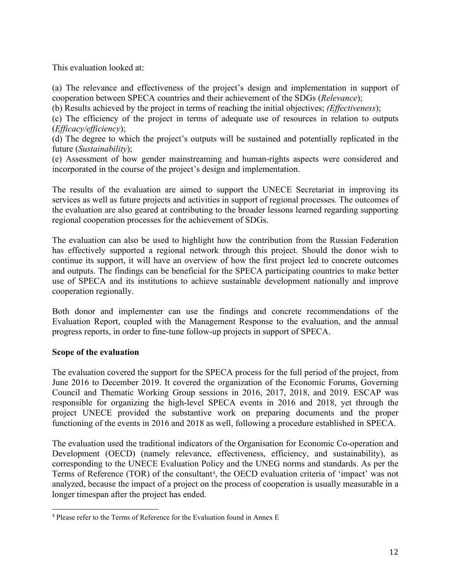This evaluation looked at:

(a) The relevance and effectiveness of the project's design and implementation in support of cooperation between SPECA countries and their achievement of the SDGs (*Relevance*);

(b) Results achieved by the project in terms of reaching the initial objectives; *(Effectiveness*);

(c) The efficiency of the project in terms of adequate use of resources in relation to outputs (*Efficacy/efficiency*);

(d) The degree to which the project's outputs will be sustained and potentially replicated in the future (*Sustainability*);

(e) Assessment of how gender mainstreaming and human-rights aspects were considered and incorporated in the course of the project's design and implementation.

The results of the evaluation are aimed to support the UNECE Secretariat in improving its services as well as future projects and activities in support of regional processes. The outcomes of the evaluation are also geared at contributing to the broader lessons learned regarding supporting regional cooperation processes for the achievement of SDGs.

The evaluation can also be used to highlight how the contribution from the Russian Federation has effectively supported a regional network through this project. Should the donor wish to continue its support, it will have an overview of how the first project led to concrete outcomes and outputs. The findings can be beneficial for the SPECA participating countries to make better use of SPECA and its institutions to achieve sustainable development nationally and improve cooperation regionally.

Both donor and implementer can use the findings and concrete recommendations of the Evaluation Report, coupled with the Management Response to the evaluation, and the annual progress reports, in order to fine-tune follow-up projects in support of SPECA.

### **Scope of the evaluation**

The evaluation covered the support for the SPECA process for the full period of the project, from June 2016 to December 2019. It covered the organization of the Economic Forums, Governing Council and Thematic Working Group sessions in 2016, 2017, 2018, and 2019. ESCAP was responsible for organizing the high-level SPECA events in 2016 and 2018, yet through the project UNECE provided the substantive work on preparing documents and the proper functioning of the events in 2016 and 2018 as well, following a procedure established in SPECA.

The evaluation used the traditional indicators of the Organisation for Economic Co-operation and Development (OECD) (namely relevance, effectiveness, efficiency, and sustainability), as corresponding to the UNECE Evaluation Policy and the UNEG norms and standards. As per the Terms of Reference (TOR) of the consultant<sup>[4](#page-11-0)</sup>, the OECD evaluation criteria of 'impact' was not analyzed, because the impact of a project on the process of cooperation is usually measurable in a longer timespan after the project has ended.

<span id="page-11-0"></span><sup>4</sup> Please refer to the Terms of Reference for the Evaluation found in Annex E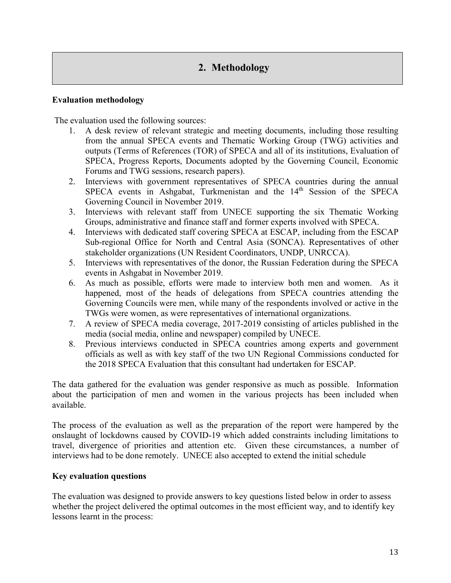# **2. Methodology**

#### **Evaluation methodology**

The evaluation used the following sources:

- 1. A desk review of relevant strategic and meeting documents, including those resulting from the annual SPECA events and Thematic Working Group (TWG) activities and outputs (Terms of References (TOR) of SPECA and all of its institutions, Evaluation of SPECA, Progress Reports, Documents adopted by the Governing Council, Economic Forums and TWG sessions, research papers).
- 2. Interviews with government representatives of SPECA countries during the annual SPECA events in Ashgabat, Turkmenistan and the 14<sup>th</sup> Session of the SPECA Governing Council in November 2019.
- 3. Interviews with relevant staff from UNECE supporting the six Thematic Working Groups, administrative and finance staff and former experts involved with SPECA.
- 4. Interviews with dedicated staff covering SPECA at ESCAP, including from the ESCAP Sub-regional Office for North and Central Asia (SONCA). Representatives of other stakeholder organizations (UN Resident Coordinators, UNDP, UNRCCA).
- 5. Interviews with representatives of the donor, the Russian Federation during the SPECA events in Ashgabat in November 2019.
- 6. As much as possible, efforts were made to interview both men and women. As it happened, most of the heads of delegations from SPECA countries attending the Governing Councils were men, while many of the respondents involved or active in the TWGs were women, as were representatives of international organizations.
- 7. A review of SPECA media coverage, 2017-2019 consisting of articles published in the media (social media, online and newspaper) compiled by UNECE.
- 8. Previous interviews conducted in SPECA countries among experts and government officials as well as with key staff of the two UN Regional Commissions conducted for the 2018 SPECA Evaluation that this consultant had undertaken for ESCAP.

The data gathered for the evaluation was gender responsive as much as possible. Information about the participation of men and women in the various projects has been included when available.

The process of the evaluation as well as the preparation of the report were hampered by the onslaught of lockdowns caused by COVID-19 which added constraints including limitations to travel, divergence of priorities and attention etc. Given these circumstances, a number of interviews had to be done remotely. UNECE also accepted to extend the initial schedule

### **Key evaluation questions**

The evaluation was designed to provide answers to key questions listed below in order to assess whether the project delivered the optimal outcomes in the most efficient way, and to identify key lessons learnt in the process: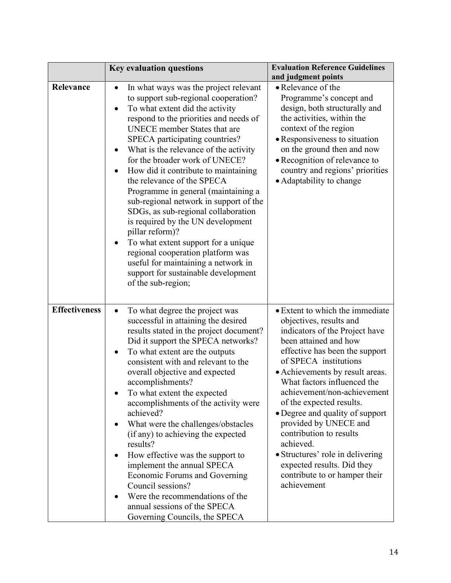|                      | <b>Key evaluation questions</b>                                                                                                                                                                                                                                                                                                                                                                                                                                                                                                                                                                                                                                                                                                                      | <b>Evaluation Reference Guidelines</b><br>and judgment points                                                                                                                                                                                                                                                                                                                                                                                                                                                                       |
|----------------------|------------------------------------------------------------------------------------------------------------------------------------------------------------------------------------------------------------------------------------------------------------------------------------------------------------------------------------------------------------------------------------------------------------------------------------------------------------------------------------------------------------------------------------------------------------------------------------------------------------------------------------------------------------------------------------------------------------------------------------------------------|-------------------------------------------------------------------------------------------------------------------------------------------------------------------------------------------------------------------------------------------------------------------------------------------------------------------------------------------------------------------------------------------------------------------------------------------------------------------------------------------------------------------------------------|
| Relevance            | In what ways was the project relevant<br>to support sub-regional cooperation?<br>To what extent did the activity<br>respond to the priorities and needs of<br><b>UNECE</b> member States that are<br>SPECA participating countries?<br>What is the relevance of the activity<br>for the broader work of UNECE?<br>How did it contribute to maintaining<br>the relevance of the SPECA<br>Programme in general (maintaining a<br>sub-regional network in support of the<br>SDGs, as sub-regional collaboration<br>is required by the UN development<br>pillar reform)?<br>To what extent support for a unique<br>regional cooperation platform was<br>useful for maintaining a network in<br>support for sustainable development<br>of the sub-region; | • Relevance of the<br>Programme's concept and<br>design, both structurally and<br>the activities, within the<br>context of the region<br>• Responsiveness to situation<br>on the ground then and now<br>• Recognition of relevance to<br>country and regions' priorities<br>• Adaptability to change                                                                                                                                                                                                                                |
| <b>Effectiveness</b> | To what degree the project was<br>$\bullet$<br>successful in attaining the desired<br>results stated in the project document?<br>Did it support the SPECA networks?<br>To what extent are the outputs<br>$\bullet$<br>consistent with and relevant to the<br>overall objective and expected<br>accomplishments?<br>To what extent the expected<br>accomplishments of the activity were<br>achieved?<br>What were the challenges/obstacles<br>(if any) to achieving the expected<br>results?<br>How effective was the support to<br>implement the annual SPECA<br>Economic Forums and Governing<br>Council sessions?<br>Were the recommendations of the<br>annual sessions of the SPECA<br>Governing Councils, the SPECA                              | • Extent to which the immediate<br>objectives, results and<br>indicators of the Project have<br>been attained and how<br>effective has been the support<br>of SPECA institutions<br>• Achievements by result areas.<br>What factors influenced the<br>achievement/non-achievement<br>of the expected results.<br>• Degree and quality of support<br>provided by UNECE and<br>contribution to results<br>achieved.<br>• Structures' role in delivering<br>expected results. Did they<br>contribute to or hamper their<br>achievement |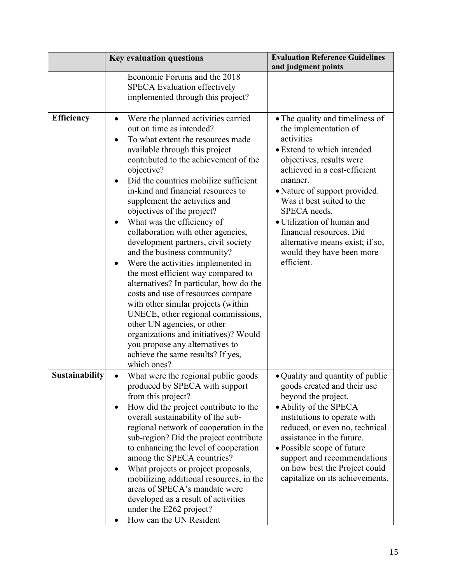|                   | <b>Key evaluation questions</b>                                                                                                                                                                                                                                                                                                                                                                                                                                                                                                                                                                                                                                                                                                                                                                                                                                                                                                       | <b>Evaluation Reference Guidelines</b><br>and judgment points                                                                                                                                                                                                                                                                                                                                     |
|-------------------|---------------------------------------------------------------------------------------------------------------------------------------------------------------------------------------------------------------------------------------------------------------------------------------------------------------------------------------------------------------------------------------------------------------------------------------------------------------------------------------------------------------------------------------------------------------------------------------------------------------------------------------------------------------------------------------------------------------------------------------------------------------------------------------------------------------------------------------------------------------------------------------------------------------------------------------|---------------------------------------------------------------------------------------------------------------------------------------------------------------------------------------------------------------------------------------------------------------------------------------------------------------------------------------------------------------------------------------------------|
|                   | Economic Forums and the 2018<br><b>SPECA Evaluation effectively</b><br>implemented through this project?                                                                                                                                                                                                                                                                                                                                                                                                                                                                                                                                                                                                                                                                                                                                                                                                                              |                                                                                                                                                                                                                                                                                                                                                                                                   |
| <b>Efficiency</b> | Were the planned activities carried<br>$\bullet$<br>out on time as intended?<br>To what extent the resources made<br>$\bullet$<br>available through this project<br>contributed to the achievement of the<br>objective?<br>Did the countries mobilize sufficient<br>in-kind and financial resources to<br>supplement the activities and<br>objectives of the project?<br>What was the efficiency of<br>collaboration with other agencies,<br>development partners, civil society<br>and the business community?<br>Were the activities implemented in<br>$\bullet$<br>the most efficient way compared to<br>alternatives? In particular, how do the<br>costs and use of resources compare<br>with other similar projects (within<br>UNECE, other regional commissions,<br>other UN agencies, or other<br>organizations and initiatives)? Would<br>you propose any alternatives to<br>achieve the same results? If yes,<br>which ones? | • The quality and timeliness of<br>the implementation of<br>activities<br>• Extend to which intended<br>objectives, results were<br>achieved in a cost-efficient<br>manner.<br>• Nature of support provided.<br>Was it best suited to the<br>SPECA needs.<br>· Utilization of human and<br>financial resources. Did<br>alternative means exist; if so,<br>would they have been more<br>efficient. |
| Sustainability    | What were the regional public goods<br>$\bullet$<br>produced by SPECA with support<br>from this project?<br>How did the project contribute to the<br>$\bullet$<br>overall sustainability of the sub-<br>regional network of cooperation in the<br>sub-region? Did the project contribute<br>to enhancing the level of cooperation<br>among the SPECA countries?<br>What projects or project proposals,<br>$\bullet$<br>mobilizing additional resources, in the<br>areas of SPECA's mandate were<br>developed as a result of activities<br>under the E262 project?<br>How can the UN Resident                                                                                                                                                                                                                                                                                                                                          | · Quality and quantity of public<br>goods created and their use<br>beyond the project.<br>• Ability of the SPECA<br>institutions to operate with<br>reduced, or even no, technical<br>assistance in the future.<br>• Possible scope of future<br>support and recommendations<br>on how best the Project could<br>capitalize on its achievements.                                                  |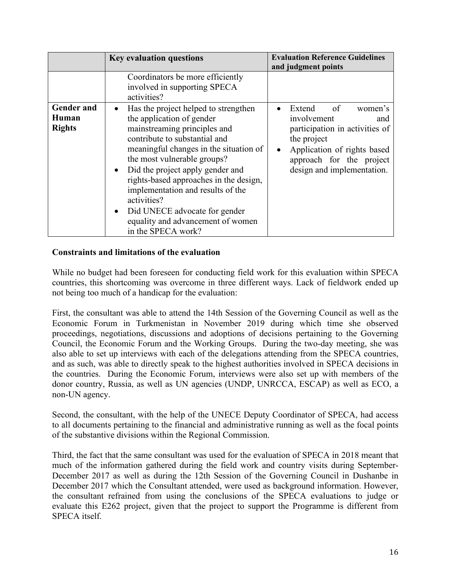|                                             | <b>Key evaluation questions</b>                                                                                                                                                                                                                                                                                                                                                                                                                        | <b>Evaluation Reference Guidelines</b><br>and judgment points                                                                                                                                        |
|---------------------------------------------|--------------------------------------------------------------------------------------------------------------------------------------------------------------------------------------------------------------------------------------------------------------------------------------------------------------------------------------------------------------------------------------------------------------------------------------------------------|------------------------------------------------------------------------------------------------------------------------------------------------------------------------------------------------------|
|                                             | Coordinators be more efficiently<br>involved in supporting SPECA<br>activities?                                                                                                                                                                                                                                                                                                                                                                        |                                                                                                                                                                                                      |
| <b>Gender and</b><br>Human<br><b>Rights</b> | Has the project helped to strengthen<br>the application of gender<br>mainstreaming principles and<br>contribute to substantial and<br>meaningful changes in the situation of<br>the most vulnerable groups?<br>Did the project apply gender and<br>$\bullet$<br>rights-based approaches in the design,<br>implementation and results of the<br>activities?<br>Did UNECE advocate for gender<br>equality and advancement of women<br>in the SPECA work? | of<br>Extend<br>women's<br>involvement<br>and<br>participation in activities of<br>the project<br>Application of rights based<br>$\bullet$<br>approach for the project<br>design and implementation. |

#### **Constraints and limitations of the evaluation**

While no budget had been foreseen for conducting field work for this evaluation within SPECA countries, this shortcoming was overcome in three different ways. Lack of fieldwork ended up not being too much of a handicap for the evaluation:

First, the consultant was able to attend the 14th Session of the Governing Council as well as the Economic Forum in Turkmenistan in November 2019 during which time she observed proceedings, negotiations, discussions and adoptions of decisions pertaining to the Governing Council, the Economic Forum and the Working Groups. During the two-day meeting, she was also able to set up interviews with each of the delegations attending from the SPECA countries, and as such, was able to directly speak to the highest authorities involved in SPECA decisions in the countries. During the Economic Forum, interviews were also set up with members of the donor country, Russia, as well as UN agencies (UNDP, UNRCCA, ESCAP) as well as ECO, a non-UN agency.

Second, the consultant, with the help of the UNECE Deputy Coordinator of SPECA, had access to all documents pertaining to the financial and administrative running as well as the focal points of the substantive divisions within the Regional Commission.

Third, the fact that the same consultant was used for the evaluation of SPECA in 2018 meant that much of the information gathered during the field work and country visits during September-December 2017 as well as during the 12th Session of the Governing Council in Dushanbe in December 2017 which the Consultant attended, were used as background information. However, the consultant refrained from using the conclusions of the SPECA evaluations to judge or evaluate this E262 project, given that the project to support the Programme is different from SPECA itself.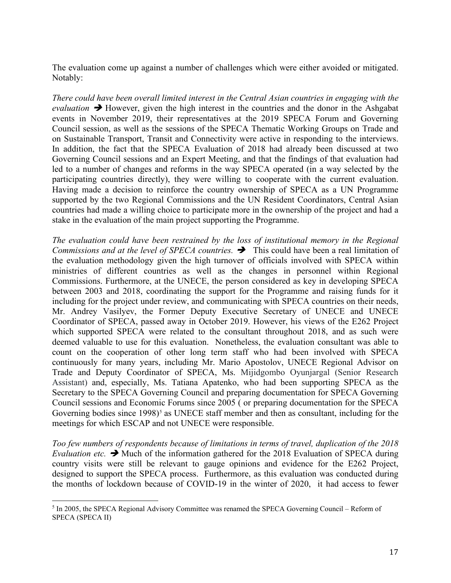The evaluation come up against a number of challenges which were either avoided or mitigated. Notably:

*There could have been overall limited interest in the Central Asian countries in engaging with the evaluation*  $\rightarrow$  However, given the high interest in the countries and the donor in the Ashgabat events in November 2019, their representatives at the 2019 SPECA Forum and Governing Council session, as well as the sessions of the SPECA Thematic Working Groups on Trade and on Sustainable Transport, Transit and Connectivity were active in responding to the interviews. In addition, the fact that the SPECA Evaluation of 2018 had already been discussed at two Governing Council sessions and an Expert Meeting, and that the findings of that evaluation had led to a number of changes and reforms in the way SPECA operated (in a way selected by the participating countries directly), they were willing to cooperate with the current evaluation. Having made a decision to reinforce the country ownership of SPECA as a UN Programme supported by the two Regional Commissions and the UN Resident Coordinators, Central Asian countries had made a willing choice to participate more in the ownership of the project and had a stake in the evaluation of the main project supporting the Programme.

*The evaluation could have been restrained by the loss of institutional memory in the Regional Commissions and at the level of SPECA countries.*  $\rightarrow$  This could have been a real limitation of the evaluation methodology given the high turnover of officials involved with SPECA within ministries of different countries as well as the changes in personnel within Regional Commissions. Furthermore, at the UNECE, the person considered as key in developing SPECA between 2003 and 2018, coordinating the support for the Programme and raising funds for it including for the project under review, and communicating with SPECA countries on their needs, Mr. Andrey Vasilyev, the Former Deputy Executive Secretary of UNECE and UNECE Coordinator of SPECA, passed away in October 2019. However, his views of the E262 Project which supported SPECA were related to the consultant throughout 2018, and as such were deemed valuable to use for this evaluation. Nonetheless, the evaluation consultant was able to count on the cooperation of other long term staff who had been involved with SPECA continuously for many years, including Mr. Mario Apostolov, UNECE Regional Advisor on Trade and Deputy Coordinator of SPECA, Ms. Mijidgombo Oyunjargal (Senior Research Assistant) and, especially, Ms. Tatiana Apatenko, who had been supporting SPECA as the Secretary to the SPECA Governing Council and preparing documentation for SPECA Governing Council sessions and Economic Forums since 2005 ( or preparing documentation for the SPECA Governing bodies since  $1998$ <sup>[5](#page-16-0)</sup> as UNECE staff member and then as consultant, including for the meetings for which ESCAP and not UNECE were responsible.

*Too few numbers of respondents because of limitations in terms of travel, duplication of the 2018 Evaluation etc.*  $\rightarrow$  Much of the information gathered for the 2018 Evaluation of SPECA during country visits were still be relevant to gauge opinions and evidence for the E262 Project, designed to support the SPECA process. Furthermore, as this evaluation was conducted during the months of lockdown because of COVID-19 in the winter of 2020, it had access to fewer

<span id="page-16-0"></span><sup>&</sup>lt;sup>5</sup> In 2005, the SPECA Regional Advisory Committee was renamed the SPECA Governing Council – Reform of SPECA (SPECA II)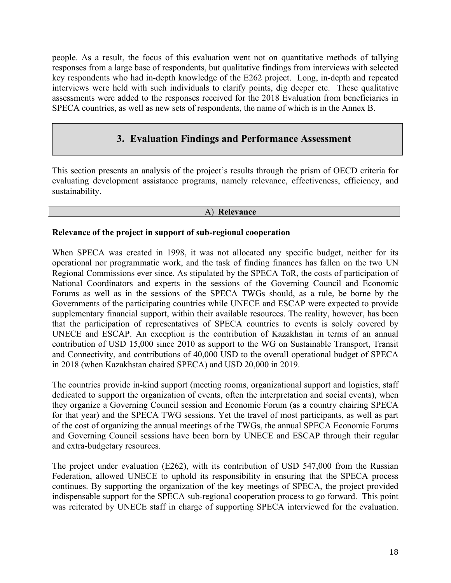people. As a result, the focus of this evaluation went not on quantitative methods of tallying responses from a large base of respondents, but qualitative findings from interviews with selected key respondents who had in-depth knowledge of the E262 project. Long, in-depth and repeated interviews were held with such individuals to clarify points, dig deeper etc. These qualitative assessments were added to the responses received for the 2018 Evaluation from beneficiaries in SPECA countries, as well as new sets of respondents, the name of which is in the Annex B.

# **3. Evaluation Findings and Performance Assessment**

This section presents an analysis of the project's results through the prism of OECD criteria for evaluating development assistance programs, namely relevance, effectiveness, efficiency, and sustainability.

#### A) **Relevance**

#### **Relevance of the project in support of sub-regional cooperation**

When SPECA was created in 1998, it was not allocated any specific budget, neither for its operational nor programmatic work, and the task of finding finances has fallen on the two UN Regional Commissions ever since. As stipulated by the SPECA ToR, the costs of participation of National Coordinators and experts in the sessions of the Governing Council and Economic Forums as well as in the sessions of the SPECA TWGs should, as a rule, be borne by the Governments of the participating countries while UNECE and ESCAP were expected to provide supplementary financial support, within their available resources. The reality, however, has been that the participation of representatives of SPECA countries to events is solely covered by UNECE and ESCAP. An exception is the contribution of Kazakhstan in terms of an annual contribution of USD 15,000 since 2010 as support to the WG on Sustainable Transport, Transit and Connectivity, and contributions of 40,000 USD to the overall operational budget of SPECA in 2018 (when Kazakhstan chaired SPECA) and USD 20,000 in 2019.

The countries provide in-kind support (meeting rooms, organizational support and logistics, staff dedicated to support the organization of events, often the interpretation and social events), when they organize a Governing Council session and Economic Forum (as a country chairing SPECA for that year) and the SPECA TWG sessions. Yet the travel of most participants, as well as part of the cost of organizing the annual meetings of the TWGs, the annual SPECA Economic Forums and Governing Council sessions have been born by UNECE and ESCAP through their regular and extra-budgetary resources.

The project under evaluation (E262), with its contribution of USD 547,000 from the Russian Federation, allowed UNECE to uphold its responsibility in ensuring that the SPECA process continues. By supporting the organization of the key meetings of SPECA, the project provided indispensable support for the SPECA sub-regional cooperation process to go forward. This point was reiterated by UNECE staff in charge of supporting SPECA interviewed for the evaluation.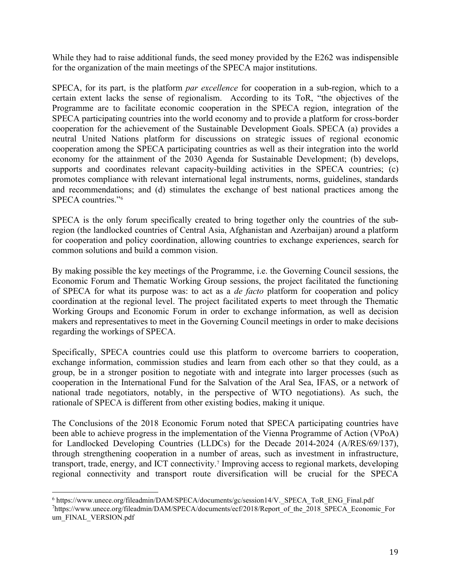While they had to raise additional funds, the seed money provided by the E262 was indispensible for the organization of the main meetings of the SPECA major institutions.

SPECA, for its part, is the platform *par excellence* for cooperation in a sub-region, which to a certain extent lacks the sense of regionalism. According to its ToR, "the objectives of the Programme are to facilitate economic cooperation in the SPECA region, integration of the SPECA participating countries into the world economy and to provide a platform for cross-border cooperation for the achievement of the Sustainable Development Goals. SPECA (a) provides a neutral United Nations platform for discussions on strategic issues of regional economic cooperation among the SPECA participating countries as well as their integration into the world economy for the attainment of the 2030 Agenda for Sustainable Development; (b) develops, supports and coordinates relevant capacity-building activities in the SPECA countries; (c) promotes compliance with relevant international legal instruments, norms, guidelines, standards and recommendations; and (d) stimulates the exchange of best national practices among the SPECA countries."[6](#page-18-0)

SPECA is the only forum specifically created to bring together only the countries of the subregion (the landlocked countries of Central Asia, Afghanistan and Azerbaijan) around a platform for cooperation and policy coordination, allowing countries to exchange experiences, search for common solutions and build a common vision.

By making possible the key meetings of the Programme, i.e. the Governing Council sessions, the Economic Forum and Thematic Working Group sessions, the project facilitated the functioning of SPECA for what its purpose was: to act as a *de facto* platform for cooperation and policy coordination at the regional level. The project facilitated experts to meet through the Thematic Working Groups and Economic Forum in order to exchange information, as well as decision makers and representatives to meet in the Governing Council meetings in order to make decisions regarding the workings of SPECA.

Specifically, SPECA countries could use this platform to overcome barriers to cooperation, exchange information, commission studies and learn from each other so that they could, as a group, be in a stronger position to negotiate with and integrate into larger processes (such as cooperation in the International Fund for the Salvation of the Aral Sea, IFAS, or a network of national trade negotiators, notably, in the perspective of WTO negotiations). As such, the rationale of SPECA is different from other existing bodies, making it unique.

The Conclusions of the 2018 Economic Forum noted that SPECA participating countries have been able to achieve progress in the implementation of the Vienna Programme of Action (VPoA) for Landlocked Developing Countries (LLDCs) for the Decade 2014-2024 (A/RES/69/137), through strengthening cooperation in a number of areas, such as investment in infrastructure, transport, trade, energy, and ICT connectivity.[7](#page-18-1) Improving access to regional markets, developing regional connectivity and transport route diversification will be crucial for the SPECA

<span id="page-18-0"></span><sup>6</sup> https://www.unece.org/fileadmin/DAM/SPECA/documents/gc/session14/V.\_SPECA\_ToR\_ENG\_Final.pdf

<span id="page-18-1"></span><sup>7</sup> https://www.unece.org/fileadmin/DAM/SPECA/documents/ecf/2018/Report\_of\_the\_2018\_SPECA\_Economic\_For um\_FINAL\_VERSION.pdf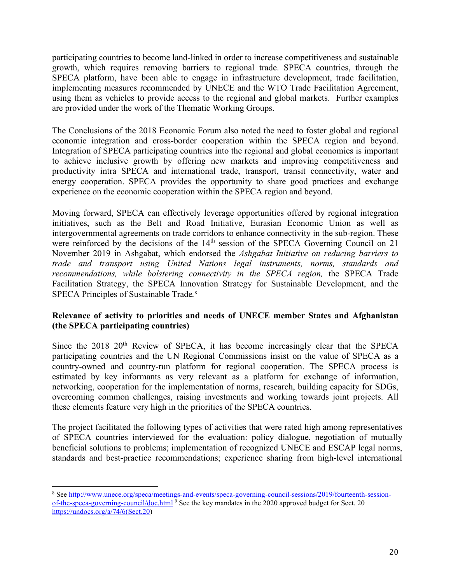participating countries to become land-linked in order to increase competitiveness and sustainable growth, which requires removing barriers to regional trade. SPECA countries, through the SPECA platform, have been able to engage in infrastructure development, trade facilitation, implementing measures recommended by UNECE and the WTO Trade Facilitation Agreement, using them as vehicles to provide access to the regional and global markets. Further examples are provided under the work of the Thematic Working Groups.

The Conclusions of the 2018 Economic Forum also noted the need to foster global and regional economic integration and cross-border cooperation within the SPECA region and beyond. Integration of SPECA participating countries into the regional and global economies is important to achieve inclusive growth by offering new markets and improving competitiveness and productivity intra SPECA and international trade, transport, transit connectivity, water and energy cooperation. SPECA provides the opportunity to share good practices and exchange experience on the economic cooperation within the SPECA region and beyond.

Moving forward, SPECA can effectively leverage opportunities offered by regional integration initiatives, such as the Belt and Road Initiative, Eurasian Economic Union as well as intergovernmental agreements on trade corridors to enhance connectivity in the sub-region. These were reinforced by the decisions of the 14<sup>th</sup> session of the SPECA Governing Council on 21 November 2019 in Ashgabat, which endorsed the *Ashgabat Initiative on reducing barriers to trade and transport using United Nations legal instruments, norms, standards and*  recommendations, while bolstering connectivity in the SPECA region, the SPECA Trade Facilitation Strategy, the SPECA Innovation Strategy for Sustainable Development, and the SPECA Principles of Sustainable Trade. [8](#page-19-0)

### **Relevance of activity to priorities and needs of UNECE member States and Afghanistan (the SPECA participating countries)**

Since the 2018 20<sup>th</sup> Review of SPECA, it has become increasingly clear that the SPECA participating countries and the UN Regional Commissions insist on the value of SPECA as a country-owned and country-run platform for regional cooperation. The SPECA process is estimated by key informants as very relevant as a platform for exchange of information, networking, cooperation for the implementation of norms, research, building capacity for SDGs, overcoming common challenges, raising investments and working towards joint projects. All these elements feature very high in the priorities of the SPECA countries.

The project facilitated the following types of activities that were rated high among representatives of SPECA countries interviewed for the evaluation: policy dialogue, negotiation of mutually beneficial solutions to problems; implementation of recognized UNECE and ESCAP legal norms, standards and best-practice recommendations; experience sharing from high-level international

<span id="page-19-0"></span><sup>&</sup>lt;sup>8</sup> See [http://www.unece.org/speca/meetings-and-events/speca-governing-council-sessions/2019/fourteenth-session](http://www.unece.org/speca/meetings-and-events/speca-governing-council-sessions/2019/fourteenth-session-of-the-speca-governing-council/doc.html)[of-the-speca-governing-council/doc.html](http://www.unece.org/speca/meetings-and-events/speca-governing-council-sessions/2019/fourteenth-session-of-the-speca-governing-council/doc.html) <sup>9</sup> See the key mandates in the 2020 approved budget for Sect. 20 [https://undocs.org/a/74/6\(Sect.20\)](https://undocs.org/a/74/6(Sect.20)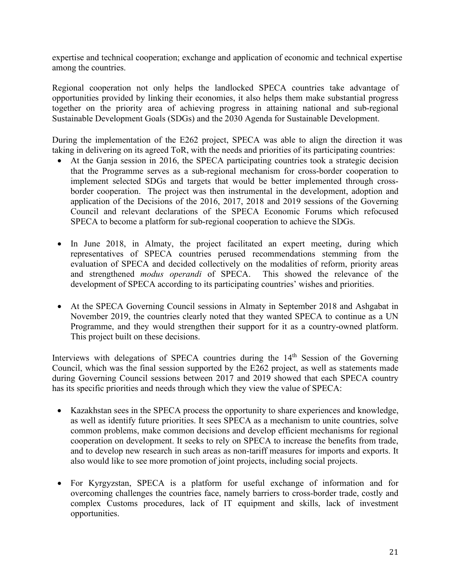expertise and technical cooperation; exchange and application of economic and technical expertise among the countries.

Regional cooperation not only helps the landlocked SPECA countries take advantage of opportunities provided by linking their economies, it also helps them make substantial progress together on the priority area of achieving progress in attaining national and sub-regional Sustainable Development Goals (SDGs) and the 2030 Agenda for Sustainable Development.

During the implementation of the E262 project, SPECA was able to align the direction it was taking in delivering on its agreed ToR, with the needs and priorities of its participating countries:

- At the Ganja session in 2016, the SPECA participating countries took a strategic decision that the Programme serves as a sub-regional mechanism for cross-border cooperation to implement selected SDGs and targets that would be better implemented through crossborder cooperation. The project was then instrumental in the development, adoption and application of the Decisions of the 2016, 2017, 2018 and 2019 sessions of the Governing Council and relevant declarations of the SPECA Economic Forums which refocused SPECA to become a platform for sub-regional cooperation to achieve the SDGs.
- In June 2018, in Almaty, the project facilitated an expert meeting, during which representatives of SPECA countries perused recommendations stemming from the evaluation of SPECA and decided collectively on the modalities of reform, priority areas and strengthened *modus operandi* of SPECA. This showed the relevance of the development of SPECA according to its participating countries' wishes and priorities.
- At the SPECA Governing Council sessions in Almaty in September 2018 and Ashgabat in November 2019, the countries clearly noted that they wanted SPECA to continue as a UN Programme, and they would strengthen their support for it as a country-owned platform. This project built on these decisions.

Interviews with delegations of SPECA countries during the  $14<sup>th</sup>$  Session of the Governing Council, which was the final session supported by the E262 project, as well as statements made during Governing Council sessions between 2017 and 2019 showed that each SPECA country has its specific priorities and needs through which they view the value of SPECA:

- Kazakhstan sees in the SPECA process the opportunity to share experiences and knowledge, as well as identify future priorities. It sees SPECA as a mechanism to unite countries, solve common problems, make common decisions and develop efficient mechanisms for regional cooperation on development. It seeks to rely on SPECA to increase the benefits from trade, and to develop new research in such areas as non-tariff measures for imports and exports. It also would like to see more promotion of joint projects, including social projects.
- For Kyrgyzstan, SPECA is a platform for useful exchange of information and for overcoming challenges the countries face, namely barriers to cross-border trade, costly and complex Customs procedures, lack of IT equipment and skills, lack of investment opportunities.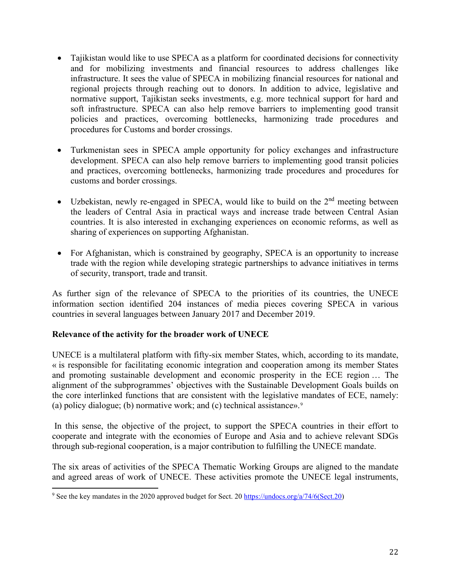- Tajikistan would like to use SPECA as a platform for coordinated decisions for connectivity and for mobilizing investments and financial resources to address challenges like infrastructure. It sees the value of SPECA in mobilizing financial resources for national and regional projects through reaching out to donors. In addition to advice, legislative and normative support, Tajikistan seeks investments, e.g. more technical support for hard and soft infrastructure. SPECA can also help remove barriers to implementing good transit policies and practices, overcoming bottlenecks, harmonizing trade procedures and procedures for Customs and border crossings.
- Turkmenistan sees in SPECA ample opportunity for policy exchanges and infrastructure development. SPECA can also help remove barriers to implementing good transit policies and practices, overcoming bottlenecks, harmonizing trade procedures and procedures for customs and border crossings.
- Uzbekistan, newly re-engaged in SPECA, would like to build on the  $2<sup>nd</sup>$  meeting between the leaders of Central Asia in practical ways and increase trade between Central Asian countries. It is also interested in exchanging experiences on economic reforms, as well as sharing of experiences on supporting Afghanistan.
- For Afghanistan, which is constrained by geography, SPECA is an opportunity to increase trade with the region while developing strategic partnerships to advance initiatives in terms of security, transport, trade and transit.

As further sign of the relevance of SPECA to the priorities of its countries, the UNECE information section identified 204 instances of media pieces covering SPECA in various countries in several languages between January 2017 and December 2019.

### **Relevance of the activity for the broader work of UNECE**

UNECE is a multilateral platform with fifty-six member States, which, according to its mandate, « is responsible for facilitating economic integration and cooperation among its member States and promoting sustainable development and economic prosperity in the ECE region … The alignment of the subprogrammes' objectives with the Sustainable Development Goals builds on the core interlinked functions that are consistent with the legislative mandates of ECE, namely: (a) policy dialogue; (b) normative work; and (c) technical assistance».[9](#page-21-0)

In this sense, the objective of the project, to support the SPECA countries in their effort to cooperate and integrate with the economies of Europe and Asia and to achieve relevant SDGs through sub-regional cooperation, is a major contribution to fulfilling the UNECE mandate.

The six areas of activities of the SPECA Thematic Working Groups are aligned to the mandate and agreed areas of work of UNECE. These activities promote the UNECE legal instruments,

<span id="page-21-0"></span><sup>9</sup> See the key mandates in the 2020 approved budget for Sect. 20 [https://undocs.org/a/74/6\(Sect.20\)](https://undocs.org/a/74/6(Sect.20)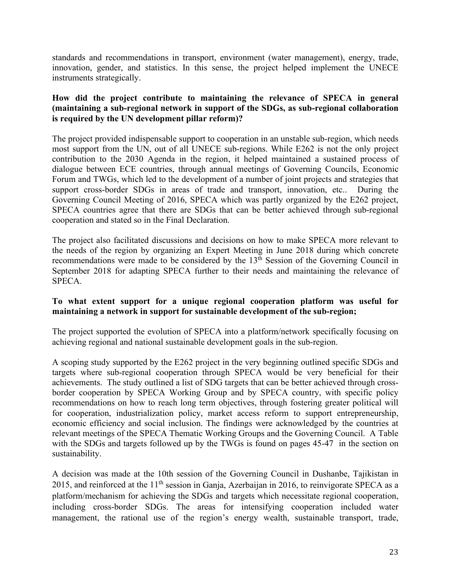standards and recommendations in transport, environment (water management), energy, trade, innovation, gender, and statistics. In this sense, the project helped implement the UNECE instruments strategically.

## **How did the project contribute to maintaining the relevance of SPECA in general (maintaining a sub-regional network in support of the SDGs, as sub-regional collaboration is required by the UN development pillar reform)?**

The project provided indispensable support to cooperation in an unstable sub-region, which needs most support from the UN, out of all UNECE sub-regions. While E262 is not the only project contribution to the 2030 Agenda in the region, it helped maintained a sustained process of dialogue between ECE countries, through annual meetings of Governing Councils, Economic Forum and TWGs, which led to the development of a number of joint projects and strategies that support cross-border SDGs in areas of trade and transport, innovation, etc.. During the Governing Council Meeting of 2016, SPECA which was partly organized by the E262 project, SPECA countries agree that there are SDGs that can be better achieved through sub-regional cooperation and stated so in the Final Declaration.

The project also facilitated discussions and decisions on how to make SPECA more relevant to the needs of the region by organizing an Expert Meeting in June 2018 during which concrete recommendations were made to be considered by the 13<sup>th</sup> Session of the Governing Council in September 2018 for adapting SPECA further to their needs and maintaining the relevance of SPECA.

#### **To what extent support for a unique regional cooperation platform was useful for maintaining a network in support for sustainable development of the sub-region;**

The project supported the evolution of SPECA into a platform/network specifically focusing on achieving regional and national sustainable development goals in the sub-region.

A scoping study supported by the E262 project in the very beginning outlined specific SDGs and targets where sub-regional cooperation through SPECA would be very beneficial for their achievements. The study outlined a list of SDG targets that can be better achieved through crossborder cooperation by SPECA Working Group and by SPECA country, with specific policy recommendations on how to reach long term objectives, through fostering greater political will for cooperation, industrialization policy, market access reform to support entrepreneurship, economic efficiency and social inclusion. The findings were acknowledged by the countries at relevant meetings of the SPECA Thematic Working Groups and the Governing Council. A Table with the SDGs and targets followed up by the TWGs is found on pages 45-47 in the section on sustainability.

A decision was made at the 10th session of the Governing Council in Dushanbe, Tajikistan in 2015, and reinforced at the  $11<sup>th</sup>$  session in Ganja, Azerbaijan in 2016, to reinvigorate SPECA as a platform/mechanism for achieving the SDGs and targets which necessitate regional cooperation, including cross-border SDGs. The areas for intensifying cooperation included water management, the rational use of the region's energy wealth, sustainable transport, trade,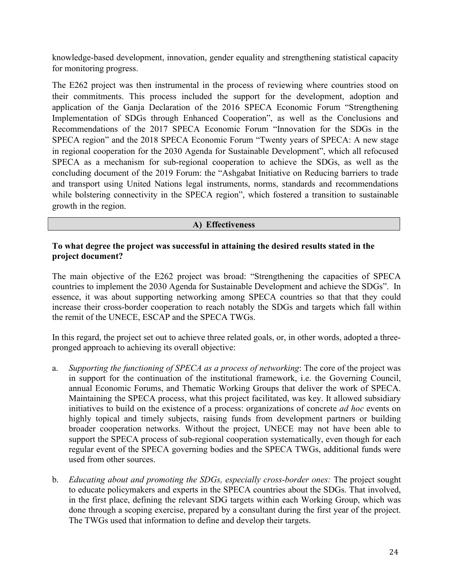knowledge-based development, innovation, gender equality and strengthening statistical capacity for monitoring progress.

The E262 project was then instrumental in the process of reviewing where countries stood on their commitments. This process included the support for the development, adoption and application of the Ganja Declaration of the 2016 SPECA Economic Forum "Strengthening Implementation of SDGs through Enhanced Cooperation", as well as the Conclusions and Recommendations of the 2017 SPECA Economic Forum "Innovation for the SDGs in the SPECA region" and the 2018 SPECA Economic Forum "Twenty years of SPECA: A new stage in regional cooperation for the 2030 Agenda for Sustainable Development", which all refocused SPECA as a mechanism for sub-regional cooperation to achieve the SDGs, as well as the concluding document of the 2019 Forum: the "Ashgabat Initiative on Reducing barriers to trade and transport using United Nations legal instruments, norms, standards and recommendations while bolstering connectivity in the SPECA region", which fostered a transition to sustainable growth in the region.

### **A) Effectiveness**

#### **To what degree the project was successful in attaining the desired results stated in the project document?**

The main objective of the E262 project was broad: "Strengthening the capacities of SPECA countries to implement the 2030 Agenda for Sustainable Development and achieve the SDGs". In essence, it was about supporting networking among SPECA countries so that that they could increase their cross-border cooperation to reach notably the SDGs and targets which fall within the remit of the UNECE, ESCAP and the SPECA TWGs.

In this regard, the project set out to achieve three related goals, or, in other words, adopted a threepronged approach to achieving its overall objective:

- a. *Supporting the functioning of SPECA as a process of networking*: The core of the project was in support for the continuation of the institutional framework, i.e. the Governing Council, annual Economic Forums, and Thematic Working Groups that deliver the work of SPECA. Maintaining the SPECA process, what this project facilitated, was key. It allowed subsidiary initiatives to build on the existence of a process: organizations of concrete *ad hoc* events on highly topical and timely subjects, raising funds from development partners or building broader cooperation networks. Without the project, UNECE may not have been able to support the SPECA process of sub-regional cooperation systematically, even though for each regular event of the SPECA governing bodies and the SPECA TWGs, additional funds were used from other sources.
- b. *Educating about and promoting the SDGs, especially cross-border ones:* The project sought to educate policymakers and experts in the SPECA countries about the SDGs. That involved, in the first place, defining the relevant SDG targets within each Working Group, which was done through a scoping exercise, prepared by a consultant during the first year of the project. The TWGs used that information to define and develop their targets.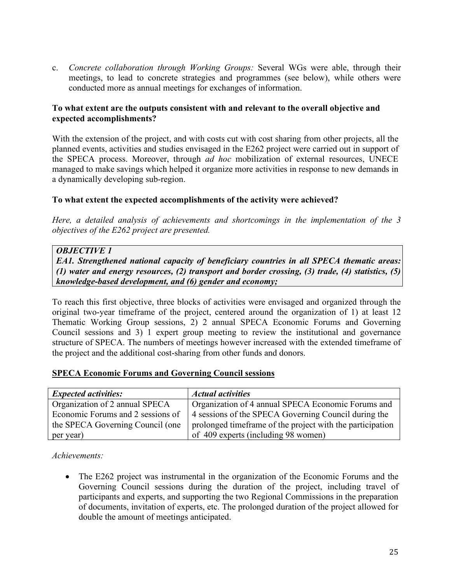c. *Concrete collaboration through Working Groups:* Several WGs were able, through their meetings, to lead to concrete strategies and programmes (see below), while others were conducted more as annual meetings for exchanges of information.

### **To what extent are the outputs consistent with and relevant to the overall objective and expected accomplishments?**

With the extension of the project, and with costs cut with cost sharing from other projects, all the planned events, activities and studies envisaged in the E262 project were carried out in support of the SPECA process. Moreover, through *ad hoc* mobilization of external resources, UNECE managed to make savings which helped it organize more activities in response to new demands in a dynamically developing sub-region.

### **To what extent the expected accomplishments of the activity were achieved?**

*Here, a detailed analysis of achievements and shortcomings in the implementation of the 3 objectives of the E262 project are presented.*

#### *OBJECTIVE 1*

*EA1. Strengthened national capacity of beneficiary countries in all SPECA thematic areas: (1) water and energy resources, (2) transport and border crossing, (3) trade, (4) statistics, (5) knowledge-based development, and (6) gender and economy;*

To reach this first objective, three blocks of activities were envisaged and organized through the original two-year timeframe of the project, centered around the organization of 1) at least 12 Thematic Working Group sessions, 2) 2 annual SPECA Economic Forums and Governing Council sessions and 3) 1 expert group meeting to review the institutional and governance structure of SPECA. The numbers of meetings however increased with the extended timeframe of the project and the additional cost-sharing from other funds and donors.

#### **SPECA Economic Forums and Governing Council sessions**

| <b>Expected activities:</b>       | <b>Actual activities</b>                                  |
|-----------------------------------|-----------------------------------------------------------|
| Organization of 2 annual SPECA    | Organization of 4 annual SPECA Economic Forums and        |
| Economic Forums and 2 sessions of | 4 sessions of the SPECA Governing Council during the      |
| the SPECA Governing Council (one  | prolonged timeframe of the project with the participation |
| per year)                         | of 409 experts (including 98 women)                       |

*Achievements:*

• The E262 project was instrumental in the organization of the Economic Forums and the Governing Council sessions during the duration of the project, including travel of participants and experts, and supporting the two Regional Commissions in the preparation of documents, invitation of experts, etc. The prolonged duration of the project allowed for double the amount of meetings anticipated.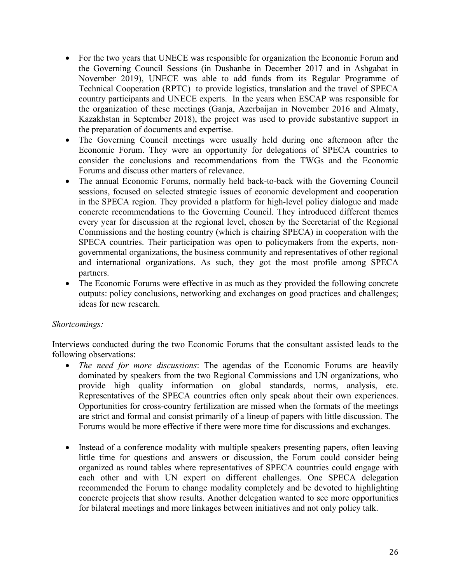- For the two years that UNECE was responsible for organization the Economic Forum and the Governing Council Sessions (in Dushanbe in December 2017 and in Ashgabat in November 2019), UNECE was able to add funds from its Regular Programme of Technical Cooperation (RPTC) to provide logistics, translation and the travel of SPECA country participants and UNECE experts. In the years when ESCAP was responsible for the organization of these meetings (Ganja, Azerbaijan in November 2016 and Almaty, Kazakhstan in September 2018), the project was used to provide substantive support in the preparation of documents and expertise.
- The Governing Council meetings were usually held during one afternoon after the Economic Forum. They were an opportunity for delegations of SPECA countries to consider the conclusions and recommendations from the TWGs and the Economic Forums and discuss other matters of relevance.
- The annual Economic Forums, normally held back-to-back with the Governing Council sessions, focused on selected strategic issues of economic development and cooperation in the SPECA region. They provided a platform for high-level policy dialogue and made concrete recommendations to the Governing Council. They introduced different themes every year for discussion at the regional level, chosen by the Secretariat of the Regional Commissions and the hosting country (which is chairing SPECA) in cooperation with the SPECA countries. Their participation was open to policymakers from the experts, nongovernmental organizations, the business community and representatives of other regional and international organizations. As such, they got the most profile among SPECA partners.
- The Economic Forums were effective in as much as they provided the following concrete outputs: policy conclusions, networking and exchanges on good practices and challenges; ideas for new research.

### *Shortcomings:*

Interviews conducted during the two Economic Forums that the consultant assisted leads to the following observations:

- *The need for more discussions*: The agendas of the Economic Forums are heavily dominated by speakers from the two Regional Commissions and UN organizations, who provide high quality information on global standards, norms, analysis, etc. Representatives of the SPECA countries often only speak about their own experiences. Opportunities for cross-country fertilization are missed when the formats of the meetings are strict and formal and consist primarily of a lineup of papers with little discussion. The Forums would be more effective if there were more time for discussions and exchanges.
- Instead of a conference modality with multiple speakers presenting papers, often leaving little time for questions and answers or discussion, the Forum could consider being organized as round tables where representatives of SPECA countries could engage with each other and with UN expert on different challenges. One SPECA delegation recommended the Forum to change modality completely and be devoted to highlighting concrete projects that show results. Another delegation wanted to see more opportunities for bilateral meetings and more linkages between initiatives and not only policy talk.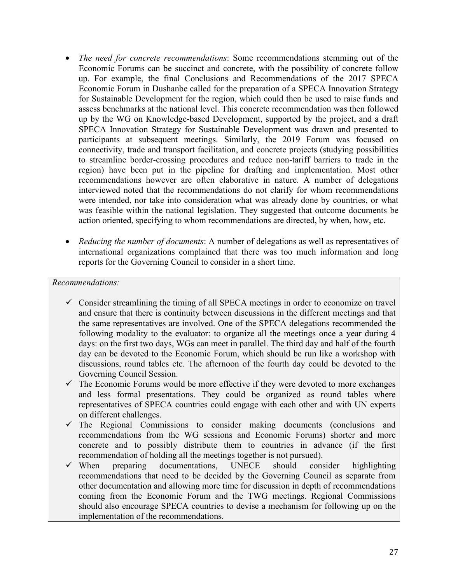- *The need for concrete recommendations*: Some recommendations stemming out of the Economic Forums can be succinct and concrete, with the possibility of concrete follow up. For example, the final Conclusions and Recommendations of the 2017 SPECA Economic Forum in Dushanbe called for the preparation of a SPECA Innovation Strategy for Sustainable Development for the region, which could then be used to raise funds and assess benchmarks at the national level. This concrete recommendation was then followed up by the WG on Knowledge-based Development, supported by the project, and a draft SPECA Innovation Strategy for Sustainable Development was drawn and presented to participants at subsequent meetings. Similarly, the 2019 Forum was focused on connectivity, trade and transport facilitation, and concrete projects (studying possibilities to streamline border-crossing procedures and reduce non-tariff barriers to trade in the region) have been put in the pipeline for drafting and implementation. Most other recommendations however are often elaborative in nature. A number of delegations interviewed noted that the recommendations do not clarify for whom recommendations were intended, nor take into consideration what was already done by countries, or what was feasible within the national legislation. They suggested that outcome documents be action oriented, specifying to whom recommendations are directed, by when, how, etc.
- *Reducing the number of documents*: A number of delegations as well as representatives of international organizations complained that there was too much information and long reports for the Governing Council to consider in a short time.

#### *Recommendations:*

- $\checkmark$  Consider streamlining the timing of all SPECA meetings in order to economize on travel and ensure that there is continuity between discussions in the different meetings and that the same representatives are involved. One of the SPECA delegations recommended the following modality to the evaluator: to organize all the meetings once a year during 4 days: on the first two days, WGs can meet in parallel. The third day and half of the fourth day can be devoted to the Economic Forum, which should be run like a workshop with discussions, round tables etc. The afternoon of the fourth day could be devoted to the Governing Council Session.
- $\checkmark$  The Economic Forums would be more effective if they were devoted to more exchanges and less formal presentations. They could be organized as round tables where representatives of SPECA countries could engage with each other and with UN experts on different challenges.
- $\checkmark$  The Regional Commissions to consider making documents (conclusions and recommendations from the WG sessions and Economic Forums) shorter and more concrete and to possibly distribute them to countries in advance (if the first recommendation of holding all the meetings together is not pursued).
- $\checkmark$  When preparing documentations, UNECE should consider highlighting recommendations that need to be decided by the Governing Council as separate from other documentation and allowing more time for discussion in depth of recommendations coming from the Economic Forum and the TWG meetings. Regional Commissions should also encourage SPECA countries to devise a mechanism for following up on the implementation of the recommendations.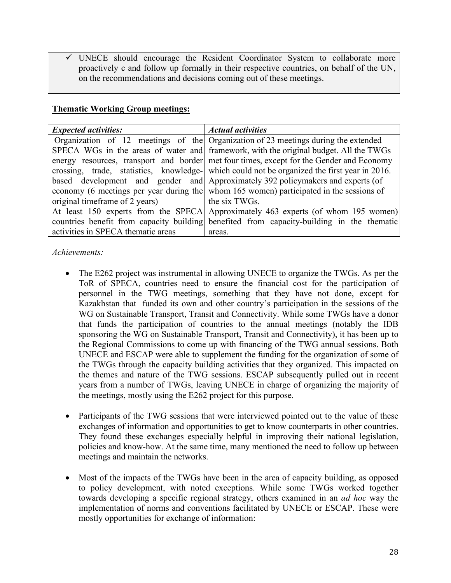UNECE should encourage the Resident Coordinator System to collaborate more proactively c and follow up formally in their respective countries, on behalf of the UN, on the recommendations and decisions coming out of these meetings.

## **Thematic Working Group meetings:**

| <b>Expected activities:</b>        | <b>Actual activities</b>                                                                     |  |
|------------------------------------|----------------------------------------------------------------------------------------------|--|
|                                    | Organization of 12 meetings of the Organization of 23 meetings during the extended           |  |
|                                    | SPECA WGs in the areas of water and framework, with the original budget. All the TWGs        |  |
|                                    | energy resources, transport and border met four times, except for the Gender and Economy     |  |
|                                    | crossing, trade, statistics, knowledge- which could not be organized the first year in 2016. |  |
|                                    | based development and gender and Approximately 392 policymakers and experts (of              |  |
|                                    | economy (6 meetings per year during the whom 165 women) participated in the sessions of      |  |
| original timeframe of 2 years)     | the six TWGs.                                                                                |  |
|                                    | At least 150 experts from the SPECA Approximately 463 experts (of whom 195 women)            |  |
|                                    | countries benefit from capacity building benefited from capacity-building in the thematic    |  |
| activities in SPECA thematic areas | areas.                                                                                       |  |

*Achievements:*

- The E262 project was instrumental in allowing UNECE to organize the TWGs. As per the ToR of SPECA, countries need to ensure the financial cost for the participation of personnel in the TWG meetings, something that they have not done, except for Kazakhstan that funded its own and other country's participation in the sessions of the WG on Sustainable Transport, Transit and Connectivity. While some TWGs have a donor that funds the participation of countries to the annual meetings (notably the IDB sponsoring the WG on Sustainable Transport, Transit and Connectivity), it has been up to the Regional Commissions to come up with financing of the TWG annual sessions. Both UNECE and ESCAP were able to supplement the funding for the organization of some of the TWGs through the capacity building activities that they organized. This impacted on the themes and nature of the TWG sessions. ESCAP subsequently pulled out in recent years from a number of TWGs, leaving UNECE in charge of organizing the majority of the meetings, mostly using the E262 project for this purpose.
- Participants of the TWG sessions that were interviewed pointed out to the value of these exchanges of information and opportunities to get to know counterparts in other countries. They found these exchanges especially helpful in improving their national legislation, policies and know-how. At the same time, many mentioned the need to follow up between meetings and maintain the networks.
- Most of the impacts of the TWGs have been in the area of capacity building, as opposed to policy development, with noted exceptions. While some TWGs worked together towards developing a specific regional strategy, others examined in an *ad hoc* way the implementation of norms and conventions facilitated by UNECE or ESCAP. These were mostly opportunities for exchange of information: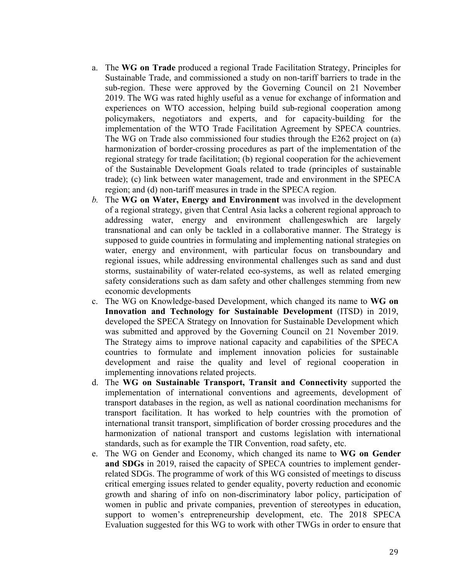- a. The **WG on Trade** produced a regional Trade Facilitation Strategy, Principles for Sustainable Trade, and commissioned a study on non-tariff barriers to trade in the sub-region. These were approved by the Governing Council on 21 November 2019. The WG was rated highly useful as a venue for exchange of information and experiences on WTO accession, helping build sub-regional cooperation among policymakers, negotiators and experts, and for capacity-building for the implementation of the WTO Trade Facilitation Agreement by SPECA countries. The WG on Trade also commissioned four studies through the E262 project on (a) harmonization of border-crossing procedures as part of the implementation of the regional strategy for trade facilitation; (b) regional cooperation for the achievement of the Sustainable Development Goals related to trade (principles of sustainable trade); (c) link between water management, trade and environment in the SPECA region; and (d) non-tariff measures in trade in the SPECA region.
- *b.* The **WG on Water, Energy and Environment** was involved in the development of a regional strategy, given that Central Asia lacks a coherent regional approach to addressing water, energy and environment challengeswhich are largely transnational and can only be tackled in a collaborative manner. The Strategy is supposed to guide countries in formulating and implementing national strategies on water, energy and environment, with particular focus on transboundary and regional issues, while addressing environmental challenges such as sand and dust storms, sustainability of water-related eco-systems, as well as related emerging safety considerations such as dam safety and other challenges stemming from new economic developments
- c. The WG on Knowledge-based Development, which changed its name to **WG on Innovation and Technology for Sustainable Development** (ITSD) in 2019, developed the SPECA Strategy on Innovation for Sustainable Development which was submitted and approved by the Governing Council on 21 November 2019. The Strategy aims to improve national capacity and capabilities of the SPECA countries to formulate and implement innovation policies for sustainable development and raise the quality and level of regional cooperation in implementing innovations related projects.
- d. The **WG on Sustainable Transport, Transit and Connectivity** supported the implementation of international conventions and agreements, development of transport databases in the region, as well as national coordination mechanisms for transport facilitation. It has worked to help countries with the promotion of international transit transport, simplification of border crossing procedures and the harmonization of national transport and customs legislation with international standards, such as for example the TIR Convention, road safety, etc.
- e. The WG on Gender and Economy, which changed its name to **WG on Gender and SDGs** in 2019, raised the capacity of SPECA countries to implement genderrelated SDGs. The programme of work of this WG consisted of meetings to discuss critical emerging issues related to gender equality, poverty reduction and economic growth and sharing of info on non-discriminatory labor policy, participation of women in public and private companies, prevention of stereotypes in education, support to women's entrepreneurship development, etc. The 2018 SPECA Evaluation suggested for this WG to work with other TWGs in order to ensure that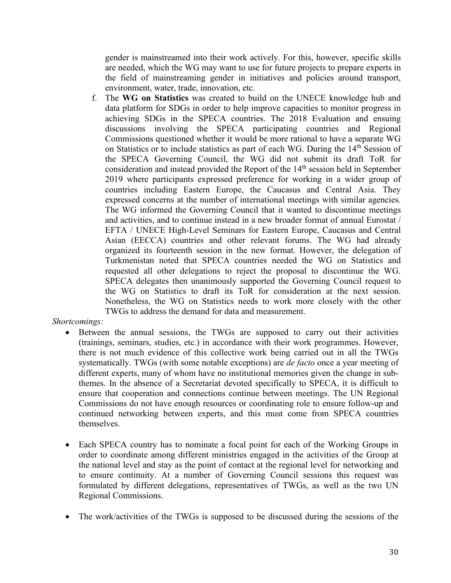gender is mainstreamed into their work actively. For this, however, specific skills are needed, which the WG may want to use for future projects to prepare experts in the field of mainstreaming gender in initiatives and policies around transport, environment, water, trade, innovation, etc.

f. The **WG on Statistics** was created to build on the UNECE knowledge hub and data platform for SDGs in order to help improve capacities to monitor progress in achieving SDGs in the SPECA countries. The 2018 Evaluation and ensuing discussions involving the SPECA participating countries and Regional Commissions questioned whether it would be more rational to have a separate WG on Statistics or to include statistics as part of each WG. During the 14<sup>th</sup> Session of the SPECA Governing Council, the WG did not submit its draft ToR for consideration and instead provided the Report of the 14<sup>th</sup> session held in September 2019 where participants expressed preference for working in a wider group of countries including Eastern Europe, the Caucasus and Central Asia. They expressed concerns at the number of international meetings with similar agencies. The WG informed the Governing Council that it wanted to discontinue meetings and activities, and to continue instead in a new broader format of annual Eurostat / EFTA / UNECE High-Level Seminars for Eastern Europe, Caucasus and Central Asian (EECCA) countries and other relevant forums. The WG had already organized its fourteenth session in the new format. However, the delegation of Turkmenistan noted that SPECA countries needed the WG on Statistics and requested all other delegations to reject the proposal to discontinue the WG. SPECA delegates then unanimously supported the Governing Council request to the WG on Statistics to draft its ToR for consideration at the next session. Nonetheless, the WG on Statistics needs to work more closely with the other TWGs to address the demand for data and measurement.

### *Shortcomings:*

- Between the annual sessions, the TWGs are supposed to carry out their activities (trainings, seminars, studies, etc.) in accordance with their work programmes. However, there is not much evidence of this collective work being carried out in all the TWGs systematically. TWGs (with some notable exceptions) are *de facto* once a year meeting of different experts, many of whom have no institutional memories given the change in subthemes. In the absence of a Secretariat devoted specifically to SPECA, it is difficult to ensure that cooperation and connections continue between meetings. The UN Regional Commissions do not have enough resources or coordinating role to ensure follow-up and continued networking between experts, and this must come from SPECA countries themselves.
- Each SPECA country has to nominate a focal point for each of the Working Groups in order to coordinate among different ministries engaged in the activities of the Group at the national level and stay as the point of contact at the regional level for networking and to ensure continuity. At a number of Governing Council sessions this request was formulated by different delegations, representatives of TWGs, as well as the two UN Regional Commissions.
- The work/activities of the TWGs is supposed to be discussed during the sessions of the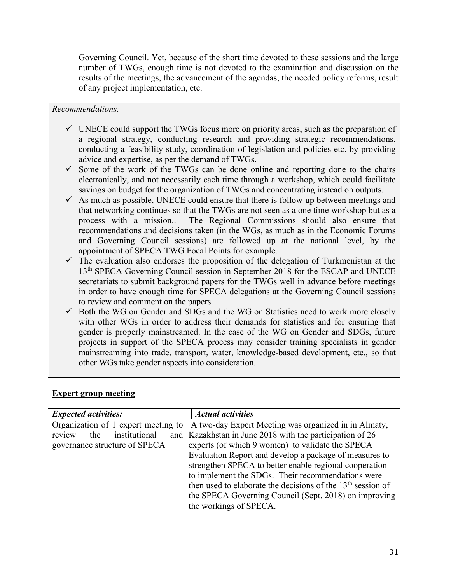Governing Council. Yet, because of the short time devoted to these sessions and the large number of TWGs, enough time is not devoted to the examination and discussion on the results of the meetings, the advancement of the agendas, the needed policy reforms, result of any project implementation, etc.

#### *Recommendations:*

- $\checkmark$  UNECE could support the TWGs focus more on priority areas, such as the preparation of a regional strategy, conducting research and providing strategic recommendations, conducting a feasibility study, coordination of legislation and policies etc. by providing advice and expertise, as per the demand of TWGs.
- $\checkmark$  Some of the work of the TWGs can be done online and reporting done to the chairs electronically, and not necessarily each time through a workshop, which could facilitate savings on budget for the organization of TWGs and concentrating instead on outputs.
- $\checkmark$  As much as possible, UNECE could ensure that there is follow-up between meetings and that networking continues so that the TWGs are not seen as a one time workshop but as a process with a mission.. The Regional Commissions should also ensure that recommendations and decisions taken (in the WGs, as much as in the Economic Forums and Governing Council sessions) are followed up at the national level, by the appointment of SPECA TWG Focal Points for example.
- $\checkmark$  The evaluation also endorses the proposition of the delegation of Turkmenistan at the 13<sup>th</sup> SPECA Governing Council session in September 2018 for the ESCAP and UNECE secretariats to submit background papers for the TWGs well in advance before meetings in order to have enough time for SPECA delegations at the Governing Council sessions to review and comment on the papers.
- $\checkmark$  Both the WG on Gender and SDGs and the WG on Statistics need to work more closely with other WGs in order to address their demands for statistics and for ensuring that gender is properly mainstreamed. In the case of the WG on Gender and SDGs, future projects in support of the SPECA process may consider training specialists in gender mainstreaming into trade, transport, water, knowledge-based development, etc., so that other WGs take gender aspects into consideration.

| <b>Expected activities:</b>         | <b>Actual activities</b>                                      |
|-------------------------------------|---------------------------------------------------------------|
| Organization of 1 expert meeting to | A two-day Expert Meeting was organized in in Almaty,          |
| institutional<br>review<br>the      | and Kazakhstan in June 2018 with the participation of 26      |
| governance structure of SPECA       | experts (of which 9 women) to validate the SPECA              |
|                                     | Evaluation Report and develop a package of measures to        |
|                                     | strengthen SPECA to better enable regional cooperation        |
|                                     | to implement the SDGs. Their recommendations were             |
|                                     | then used to elaborate the decisions of the $13th$ session of |
|                                     | the SPECA Governing Council (Sept. 2018) on improving         |
|                                     | the workings of SPECA.                                        |

#### **Expert group meeting**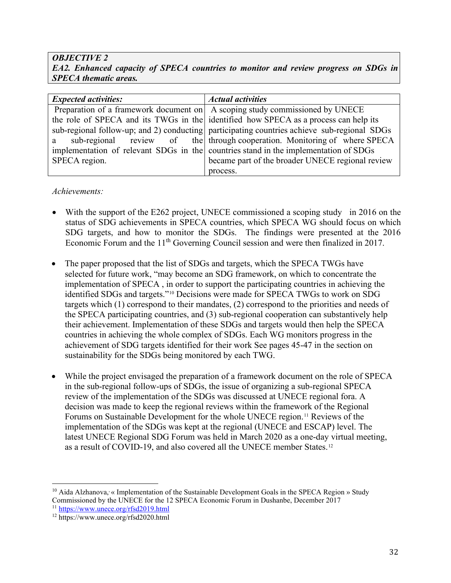*OBJECTIVE 2 EA2. Enhanced capacity of SPECA countries to monitor and review progress on SDGs in SPECA thematic areas.*

| <b>Expected activities:</b> | <b>Actual activities</b>                                                                    |
|-----------------------------|---------------------------------------------------------------------------------------------|
|                             | Preparation of a framework document on A scoping study commissioned by UNECE                |
|                             | the role of SPECA and its TWGs in the identified how SPECA as a process can help its        |
|                             | sub-regional follow-up; and 2) conducting participating countries achieve sub-regional SDGs |
| a.                          | sub-regional review of the through cooperation. Monitoring of where SPECA                   |
|                             | implementation of relevant SDGs in the countries stand in the implementation of SDGs        |
| SPECA region.               | became part of the broader UNECE regional review                                            |
|                             | process.                                                                                    |

#### *Achievements:*

- With the support of the E262 project, UNECE commissioned a scoping study in 2016 on the status of SDG achievements in SPECA countries, which SPECA WG should focus on which SDG targets, and how to monitor the SDGs. The findings were presented at the 2016 Economic Forum and the 11<sup>th</sup> Governing Council session and were then finalized in 2017.
- The paper proposed that the list of SDGs and targets, which the SPECA TWGs have selected for future work, "may become an SDG framework, on which to concentrate the implementation of SPECA , in order to support the participating countries in achieving the identified SDGs and targets."[10](#page-31-0) Decisions were made for SPECA TWGs to work on SDG targets which (1) correspond to their mandates, (2) correspond to the priorities and needs of the SPECA participating countries, and (3) sub-regional cooperation can substantively help their achievement. Implementation of these SDGs and targets would then help the SPECA countries in achieving the whole complex of SDGs. Each WG monitors progress in the achievement of SDG targets identified for their work See pages 45-47 in the section on sustainability for the SDGs being monitored by each TWG.
- While the project envisaged the preparation of a framework document on the role of SPECA in the sub-regional follow-ups of SDGs, the issue of organizing a sub-regional SPECA review of the implementation of the SDGs was discussed at UNECE regional fora. A decision was made to keep the regional reviews within the framework of the Regional Forums on Sustainable Development for the whole UNECE region.<sup>[11](#page-31-1)</sup> Reviews of the implementation of the SDGs was kept at the regional (UNECE and ESCAP) level. The latest UNECE Regional SDG Forum was held in March 2020 as a one-day virtual meeting, as a result of COVID-19, and also covered all the UNECE member States.[12](#page-31-2)

<span id="page-31-0"></span><sup>&</sup>lt;sup>10</sup> Aida Alzhanova, « Implementation of the Sustainable Development Goals in the SPECA Region » Study Commissioned by the UNECE for the 12 SPECA Economic Forum in Dushanbe, December 2017 <sup>11</sup> <https://www.unece.org/rfsd2019.html>

<span id="page-31-2"></span><span id="page-31-1"></span><sup>12</sup> https://www.unece.org/rfsd2020.html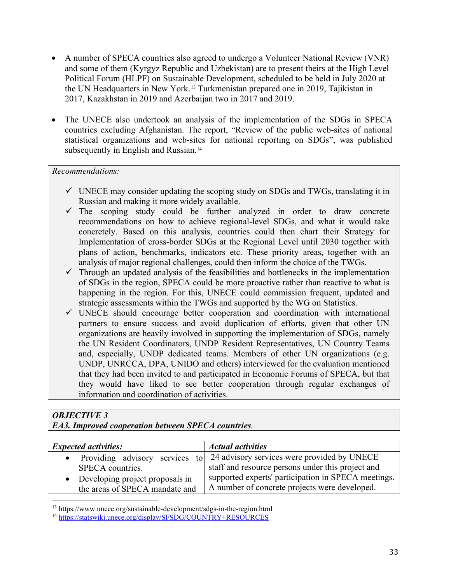- A number of SPECA countries also agreed to undergo a Volunteer National Review (VNR) and some of them (Kyrgyz Republic and Uzbekistan) are to present theirs at the High Level Political Forum (HLPF) on Sustainable Development, scheduled to be held in July 2020 at the UN Headquarters in New York.[13](#page-32-0) Turkmenistan prepared one in 2019, Tajikistan in 2017, Kazakhstan in 2019 and Azerbaijan two in 2017 and 2019.
- The UNECE also undertook an analysis of the implementation of the SDGs in SPECA countries excluding Afghanistan. The report, "Review of the public web-sites of national statistical organizations and web-sites for national reporting on SDGs", was published subsequently in English and Russian.<sup>[14](#page-32-1)</sup>

*Recommendations:*

- $\checkmark$  UNECE may consider updating the scoping study on SDGs and TWGs, translating it in Russian and making it more widely available.
- $\checkmark$  The scoping study could be further analyzed in order to draw concrete recommendations on how to achieve regional-level SDGs, and what it would take concretely. Based on this analysis, countries could then chart their Strategy for Implementation of cross-border SDGs at the Regional Level until 2030 together with plans of action, benchmarks, indicators etc. These priority areas, together with an analysis of major regional challenges, could then inform the choice of the TWGs.
- $\checkmark$  Through an updated analysis of the feasibilities and bottlenecks in the implementation of SDGs in the region, SPECA could be more proactive rather than reactive to what is happening in the region. For this, UNECE could commission frequent, updated and strategic assessments within the TWGs and supported by the WG on Statistics.
- $\checkmark$  UNECE should encourage better cooperation and coordination with international partners to ensure success and avoid duplication of efforts, given that other UN organizations are heavily involved in supporting the implementation of SDGs, namely the UN Resident Coordinators, UNDP Resident Representatives, UN Country Teams and, especially, UNDP dedicated teams. Members of other UN organizations (e.g. UNDP, UNRCCA, DPA, UNIDO and others) interviewed for the evaluation mentioned that they had been invited to and participated in Economic Forums of SPECA, but that they would have liked to see better cooperation through regular exchanges of information and coordination of activities.

# *OBJECTIVE 3*

*EA3. Improved cooperation between SPECA countries.*

| <b>Expected activities:</b>       | <b>Actual activities</b>                                                     |
|-----------------------------------|------------------------------------------------------------------------------|
|                                   | • Providing advisory services to 24 advisory services were provided by UNECE |
| SPECA countries.                  | staff and resource persons under this project and                            |
| • Developing project proposals in | supported experts' participation in SPECA meetings.                          |
| the areas of SPECA mandate and    | A number of concrete projects were developed.                                |

<span id="page-32-0"></span><sup>13</sup> https://www.unece.org/sustainable-development/sdgs-in-the-region.html

<span id="page-32-1"></span><sup>14</sup> <https://statswiki.unece.org/display/SFSDG/COUNTRY+RESOURCES>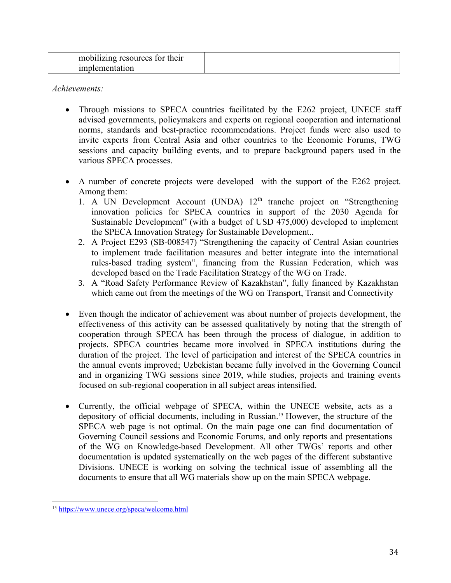| mobilizing resources for their |  |
|--------------------------------|--|
| -implementation                |  |

*Achievements:*

- Through missions to SPECA countries facilitated by the E262 project, UNECE staff advised governments, policymakers and experts on regional cooperation and international norms, standards and best-practice recommendations. Project funds were also used to invite experts from Central Asia and other countries to the Economic Forums, TWG sessions and capacity building events, and to prepare background papers used in the various SPECA processes.
- A number of concrete projects were developed with the support of the E262 project. Among them:
	- 1. A UN Development Account (UNDA)  $12<sup>th</sup>$  tranche project on "Strengthening innovation policies for SPECA countries in support of the 2030 Agenda for Sustainable Development" (with a budget of USD 475,000) developed to implement the SPECA Innovation Strategy for Sustainable Development..
	- 2. A Project E293 (SB-008547) "Strengthening the capacity of Central Asian countries to implement trade facilitation measures and better integrate into the international rules-based trading system", financing from the Russian Federation, which was developed based on the Trade Facilitation Strategy of the WG on Trade.
	- 3. A "Road Safety Performance Review of Kazakhstan", fully financed by Kazakhstan which came out from the meetings of the WG on Transport, Transit and Connectivity
- Even though the indicator of achievement was about number of projects development, the effectiveness of this activity can be assessed qualitatively by noting that the strength of cooperation through SPECA has been through the process of dialogue, in addition to projects. SPECA countries became more involved in SPECA institutions during the duration of the project. The level of participation and interest of the SPECA countries in the annual events improved; Uzbekistan became fully involved in the Governing Council and in organizing TWG sessions since 2019, while studies, projects and training events focused on sub-regional cooperation in all subject areas intensified.
- Currently, the official webpage of SPECA, within the UNECE website, acts as a depository of official documents, including in Russian.[15](#page-33-0) However, the structure of the SPECA web page is not optimal. On the main page one can find documentation of Governing Council sessions and Economic Forums, and only reports and presentations of the WG on Knowledge-based Development. All other TWGs' reports and other documentation is updated systematically on the web pages of the different substantive Divisions. UNECE is working on solving the technical issue of assembling all the documents to ensure that all WG materials show up on the main SPECA webpage.

<span id="page-33-0"></span><sup>15</sup> <https://www.unece.org/speca/welcome.html>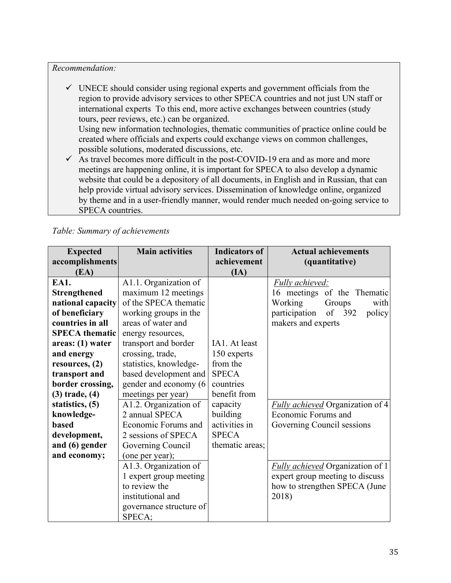*Recommendation:*

- $\checkmark$  UNECE should consider using regional experts and government officials from the region to provide advisory services to other SPECA countries and not just UN staff or international experts To this end, more active exchanges between countries (study tours, peer reviews, etc.) can be organized. Using new information technologies, thematic communities of practice online could be created where officials and experts could exchange views on common challenges, possible solutions, moderated discussions, etc.
- $\checkmark$  As travel becomes more difficult in the post-COVID-19 era and as more and more meetings are happening online, it is important for SPECA to also develop a dynamic website that could be a depository of all documents, in English and in Russian, that can help provide virtual advisory services. Dissemination of knowledge online, organized by theme and in a user-friendly manner, would render much needed on-going service to SPECA countries.

| <b>Expected</b>       | <b>Main activities</b>  | <b>Indicators of</b> | <b>Actual achievements</b>        |
|-----------------------|-------------------------|----------------------|-----------------------------------|
| accomplishments       |                         | achievement          | (quantitative)                    |
| (EA)                  |                         | $(\mathbf{IA})$      |                                   |
| EA1.                  | A1.1. Organization of   |                      | <b>Fully achieved:</b>            |
| <b>Strengthened</b>   | maximum 12 meetings     |                      | 16 meetings of the Thematic       |
| national capacity     | of the SPECA thematic   |                      | Working<br>with<br>Groups         |
| of beneficiary        | working groups in the   |                      | participation<br>of 392<br>policy |
| countries in all      | areas of water and      |                      | makers and experts                |
| <b>SPECA</b> thematic | energy resources,       |                      |                                   |
| area: (1) water       | transport and border    | IA1. At least        |                                   |
| and energy            | crossing, trade,        | 150 experts          |                                   |
| resources, $(2)$      | statistics, knowledge-  | from the             |                                   |
| transport and         | based development and   | <b>SPECA</b>         |                                   |
| border crossing,      | gender and economy (6   | countries            |                                   |
| $(3)$ trade, $(4)$    | meetings per year)      | benefit from         |                                   |
| statistics, (5)       | A1.2. Organization of   | capacity             | Fully achieved Organization of 4  |
| knowledge-            | 2 annual SPECA          | building             | Economic Forums and               |
| <b>based</b>          | Economic Forums and     | activities in        | Governing Council sessions        |
| development,          | 2 sessions of SPECA     | <b>SPECA</b>         |                                   |
| and (6) gender        | Governing Council       | thematic areas;      |                                   |
| and economy;          | (one per year);         |                      |                                   |
|                       | A1.3. Organization of   |                      | Fully achieved Organization of 1  |
|                       | 1 expert group meeting  |                      | expert group meeting to discuss   |
|                       | to review the           |                      | how to strengthen SPECA (June     |
|                       | institutional and       |                      | 2018)                             |
|                       | governance structure of |                      |                                   |
|                       | SPECA;                  |                      |                                   |

## *Table: Summary of achievements*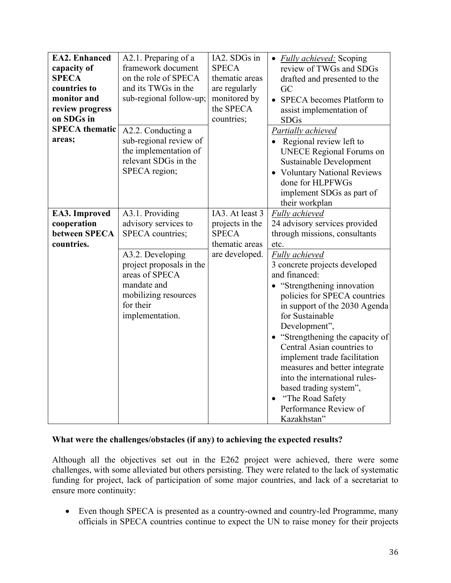| <b>EA2. Enhanced</b><br>capacity of<br><b>SPECA</b><br>countries to<br>monitor and<br>review progress<br>on SDGs in<br><b>SPECA</b> thematic<br>areas; | A2.1. Preparing of a<br>framework document<br>on the role of SPECA<br>and its TWGs in the<br>sub-regional follow-up;<br>A2.2. Conducting a<br>sub-regional review of<br>the implementation of<br>relevant SDGs in the<br>SPECA region; | IA2. SDGs in<br><b>SPECA</b><br>thematic areas<br>are regularly<br>monitored by<br>the SPECA<br>countries; | • <i>Fully achieved:</i> Scoping<br>review of TWGs and SDGs<br>drafted and presented to the<br>GC<br>• SPECA becomes Platform to<br>assist implementation of<br><b>SDGs</b><br>Partially achieved<br>Regional review left to<br><b>UNECE Regional Forums on</b><br><b>Sustainable Development</b><br>• Voluntary National Reviews<br>done for HLPFWGs<br>implement SDGs as part of<br>their workplan                                                                                                                                                                |
|--------------------------------------------------------------------------------------------------------------------------------------------------------|----------------------------------------------------------------------------------------------------------------------------------------------------------------------------------------------------------------------------------------|------------------------------------------------------------------------------------------------------------|---------------------------------------------------------------------------------------------------------------------------------------------------------------------------------------------------------------------------------------------------------------------------------------------------------------------------------------------------------------------------------------------------------------------------------------------------------------------------------------------------------------------------------------------------------------------|
| EA3. Improved<br>cooperation<br>between SPECA<br>countries.                                                                                            | A3.1. Providing<br>advisory services to<br>SPECA countries;<br>A3.2. Developing<br>project proposals in the<br>areas of SPECA<br>mandate and<br>mobilizing resources<br>for their<br>implementation.                                   | IA3. At least 3<br>projects in the<br><b>SPECA</b><br>thematic areas<br>are developed.                     | Fully achieved<br>24 advisory services provided<br>through missions, consultants<br>etc.<br><b>Fully</b> achieved<br>3 concrete projects developed<br>and financed:<br>• "Strengthening innovation<br>policies for SPECA countries<br>in support of the 2030 Agenda<br>for Sustainable<br>Development",<br>• "Strengthening the capacity of<br>Central Asian countries to<br>implement trade facilitation<br>measures and better integrate<br>into the international rules-<br>based trading system",<br>• "The Road Safety<br>Performance Review of<br>Kazakhstan" |

## **What were the challenges/obstacles (if any) to achieving the expected results?**

Although all the objectives set out in the E262 project were achieved, there were some challenges, with some alleviated but others persisting. They were related to the lack of systematic funding for project, lack of participation of some major countries, and lack of a secretariat to ensure more continuity:

• Even though SPECA is presented as a country-owned and country-led Programme, many officials in SPECA countries continue to expect the UN to raise money for their projects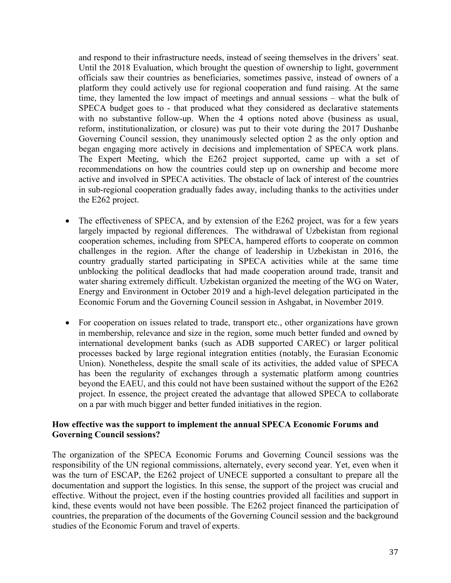and respond to their infrastructure needs, instead of seeing themselves in the drivers' seat. Until the 2018 Evaluation, which brought the question of ownership to light, government officials saw their countries as beneficiaries, sometimes passive, instead of owners of a platform they could actively use for regional cooperation and fund raising. At the same time, they lamented the low impact of meetings and annual sessions – what the bulk of SPECA budget goes to - that produced what they considered as declarative statements with no substantive follow-up. When the 4 options noted above (business as usual, reform, institutionalization, or closure) was put to their vote during the 2017 Dushanbe Governing Council session, they unanimously selected option 2 as the only option and began engaging more actively in decisions and implementation of SPECA work plans. The Expert Meeting, which the E262 project supported, came up with a set of recommendations on how the countries could step up on ownership and become more active and involved in SPECA activities. The obstacle of lack of interest of the countries in sub-regional cooperation gradually fades away, including thanks to the activities under the E262 project.

- The effectiveness of SPECA, and by extension of the E262 project, was for a few years largely impacted by regional differences. The withdrawal of Uzbekistan from regional cooperation schemes, including from SPECA, hampered efforts to cooperate on common challenges in the region. After the change of leadership in Uzbekistan in 2016, the country gradually started participating in SPECA activities while at the same time unblocking the political deadlocks that had made cooperation around trade, transit and water sharing extremely difficult. Uzbekistan organized the meeting of the WG on Water, Energy and Environment in October 2019 and a high-level delegation participated in the Economic Forum and the Governing Council session in Ashgabat, in November 2019.
- For cooperation on issues related to trade, transport etc., other organizations have grown in membership, relevance and size in the region, some much better funded and owned by international development banks (such as ADB supported CAREC) or larger political processes backed by large regional integration entities (notably, the Eurasian Economic Union). Nonetheless, despite the small scale of its activities, the added value of SPECA has been the regularity of exchanges through a systematic platform among countries beyond the EAEU, and this could not have been sustained without the support of the E262 project. In essence, the project created the advantage that allowed SPECA to collaborate on a par with much bigger and better funded initiatives in the region.

#### **How effective was the support to implement the annual SPECA Economic Forums and Governing Council sessions?**

The organization of the SPECA Economic Forums and Governing Council sessions was the responsibility of the UN regional commissions, alternately, every second year. Yet, even when it was the turn of ESCAP, the E262 project of UNECE supported a consultant to prepare all the documentation and support the logistics. In this sense, the support of the project was crucial and effective. Without the project, even if the hosting countries provided all facilities and support in kind, these events would not have been possible. The E262 project financed the participation of countries, the preparation of the documents of the Governing Council session and the background studies of the Economic Forum and travel of experts.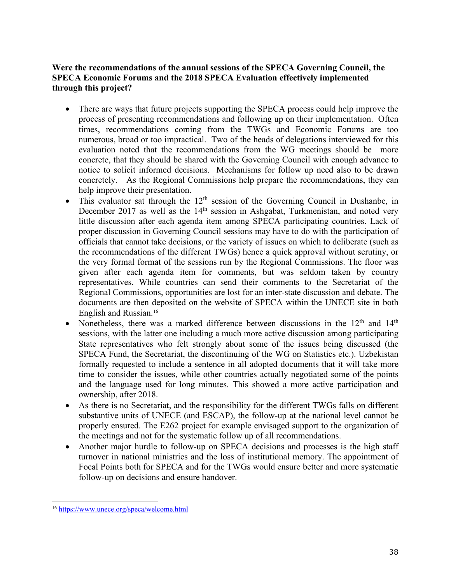#### **Were the recommendations of the annual sessions of the SPECA Governing Council, the SPECA Economic Forums and the 2018 SPECA Evaluation effectively implemented through this project?**

- There are ways that future projects supporting the SPECA process could help improve the process of presenting recommendations and following up on their implementation. Often times, recommendations coming from the TWGs and Economic Forums are too numerous, broad or too impractical. Two of the heads of delegations interviewed for this evaluation noted that the recommendations from the WG meetings should be more concrete, that they should be shared with the Governing Council with enough advance to notice to solicit informed decisions. Mechanisms for follow up need also to be drawn concretely. As the Regional Commissions help prepare the recommendations, they can help improve their presentation.
- This evaluator sat through the  $12<sup>th</sup>$  session of the Governing Council in Dushanbe, in December 2017 as well as the  $14<sup>th</sup>$  session in Ashgabat, Turkmenistan, and noted very little discussion after each agenda item among SPECA participating countries. Lack of proper discussion in Governing Council sessions may have to do with the participation of officials that cannot take decisions, or the variety of issues on which to deliberate (such as the recommendations of the different TWGs) hence a quick approval without scrutiny, or the very formal format of the sessions run by the Regional Commissions. The floor was given after each agenda item for comments, but was seldom taken by country representatives. While countries can send their comments to the Secretariat of the Regional Commissions, opportunities are lost for an inter-state discussion and debate. The documents are then deposited on the website of SPECA within the UNECE site in both English and Russian.[16](#page-37-0)
- Nonetheless, there was a marked difference between discussions in the  $12<sup>th</sup>$  and  $14<sup>th</sup>$ sessions, with the latter one including a much more active discussion among participating State representatives who felt strongly about some of the issues being discussed (the SPECA Fund, the Secretariat, the discontinuing of the WG on Statistics etc.). Uzbekistan formally requested to include a sentence in all adopted documents that it will take more time to consider the issues, while other countries actually negotiated some of the points and the language used for long minutes. This showed a more active participation and ownership, after 2018.
- As there is no Secretariat, and the responsibility for the different TWGs falls on different substantive units of UNECE (and ESCAP), the follow-up at the national level cannot be properly ensured. The E262 project for example envisaged support to the organization of the meetings and not for the systematic follow up of all recommendations.
- Another major hurdle to follow-up on SPECA decisions and processes is the high staff turnover in national ministries and the loss of institutional memory. The appointment of Focal Points both for SPECA and for the TWGs would ensure better and more systematic follow-up on decisions and ensure handover.

<span id="page-37-0"></span><sup>16</sup> <https://www.unece.org/speca/welcome.html>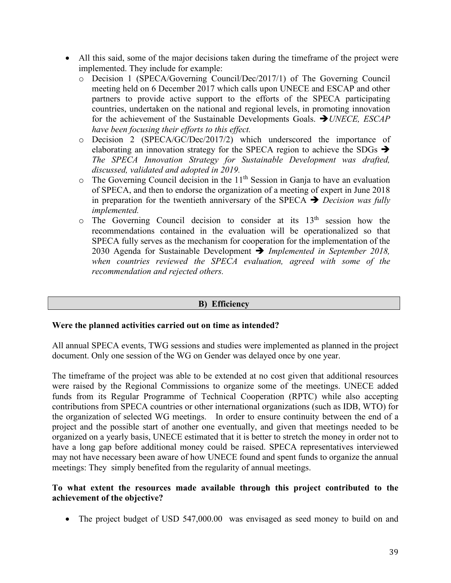- All this said, some of the major decisions taken during the timeframe of the project were implemented. They include for example:
	- o Decision 1 (SPECA/Governing Council/Dec/2017/1) of The Governing Council meeting held on 6 December 2017 which calls upon UNECE and ESCAP and other partners to provide active support to the efforts of the SPECA participating countries, undertaken on the national and regional levels, in promoting innovation for the achievement of the Sustainable Developments Goals. *UNECE, ESCAP have been focusing their efforts to this effect.*
	- o Decision 2 (SPECA/GC/Dec/2017/2) which underscored the importance of elaborating an innovation strategy for the SPECA region to achieve the SDGs  $\rightarrow$ *The SPECA Innovation Strategy for Sustainable Development was drafted, discussed, validated and adopted in 2019.*
	- $\circ$  The Governing Council decision in the 11<sup>th</sup> Session in Ganja to have an evaluation of SPECA, and then to endorse the organization of a meeting of expert in June 2018 in preparation for the twentieth anniversary of the SPECA  $\rightarrow$  *Decision was fully implemented.*
	- $\circ$  The Governing Council decision to consider at its 13<sup>th</sup> session how the recommendations contained in the evaluation will be operationalized so that SPECA fully serves as the mechanism for cooperation for the implementation of the 2030 Agenda for Sustainable Development *Implemented in September 2018, when countries reviewed the SPECA evaluation, agreed with some of the recommendation and rejected others.*

#### **B) Efficiency**

#### **Were the planned activities carried out on time as intended?**

All annual SPECA events, TWG sessions and studies were implemented as planned in the project document. Only one session of the WG on Gender was delayed once by one year.

The timeframe of the project was able to be extended at no cost given that additional resources were raised by the Regional Commissions to organize some of the meetings. UNECE added funds from its Regular Programme of Technical Cooperation (RPTC) while also accepting contributions from SPECA countries or other international organizations (such as IDB, WTO) for the organization of selected WG meetings. In order to ensure continuity between the end of a project and the possible start of another one eventually, and given that meetings needed to be organized on a yearly basis, UNECE estimated that it is better to stretch the money in order not to have a long gap before additional money could be raised. SPECA representatives interviewed may not have necessary been aware of how UNECE found and spent funds to organize the annual meetings: They simply benefited from the regularity of annual meetings.

#### **To what extent the resources made available through this project contributed to the achievement of the objective?**

• The project budget of USD 547,000.00 was envisaged as seed money to build on and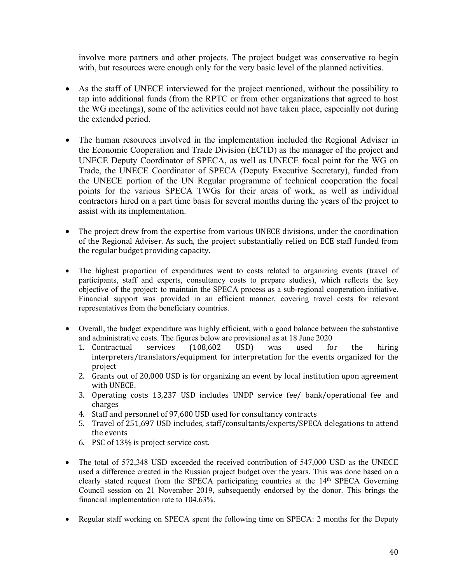involve more partners and other projects. The project budget was conservative to begin with, but resources were enough only for the very basic level of the planned activities.

- As the staff of UNECE interviewed for the project mentioned, without the possibility to tap into additional funds (from the RPTC or from other organizations that agreed to host the WG meetings), some of the activities could not have taken place, especially not during the extended period.
- The human resources involved in the implementation included the Regional Adviser in the Economic Cooperation and Trade Division (ECTD) as the manager of the project and UNECE Deputy Coordinator of SPECA, as well as UNECE focal point for the WG on Trade, the UNECE Coordinator of SPECA (Deputy Executive Secretary), funded from the UNECE portion of the UN Regular programme of technical cooperation the focal points for the various SPECA TWGs for their areas of work, as well as individual contractors hired on a part time basis for several months during the years of the project to assist with its implementation.
- The project drew from the expertise from various UNECE divisions, under the coordination of the Regional Adviser. As such, the project substantially relied on ECE staff funded from the regular budget providing capacity.
- The highest proportion of expenditures went to costs related to organizing events (travel of participants, staff and experts, consultancy costs to prepare studies), which reflects the key objective of the project: to maintain the SPECA process as a sub-regional cooperation initiative. Financial support was provided in an efficient manner, covering travel costs for relevant representatives from the beneficiary countries.
- Overall, the budget expenditure was highly efficient, with a good balance between the substantive and administrative costs. The figures below are provisional as at 18 June 2020
	- 1. Contractual services (108,602 USD) was used for the hiring interpreters/translators/equipment for interpretation for the events organized for the project
	- 2. Grants out of 20,000 USD is for organizing an event by local institution upon agreement with UNECE.
	- 3. Operating costs 13,237 USD includes UNDP service fee/ bank/operational fee and charges
	- 4. Staff and personnel of 97,600 USD used for consultancy contracts
	- 5. Travel of 251,697 USD includes, staff/consultants/experts/SPECA delegations to attend the events
	- 6. PSC of 13% is project service cost.
- The total of 572,348 USD exceeded the received contribution of 547,000 USD as the UNECE used a difference created in the Russian project budget over the years. This was done based on a clearly stated request from the SPECA participating countries at the 14<sup>th</sup> SPECA Governing Council session on 21 November 2019, subsequently endorsed by the donor. This brings the financial implementation rate to 104.63%.
- Regular staff working on SPECA spent the following time on SPECA: 2 months for the Deputy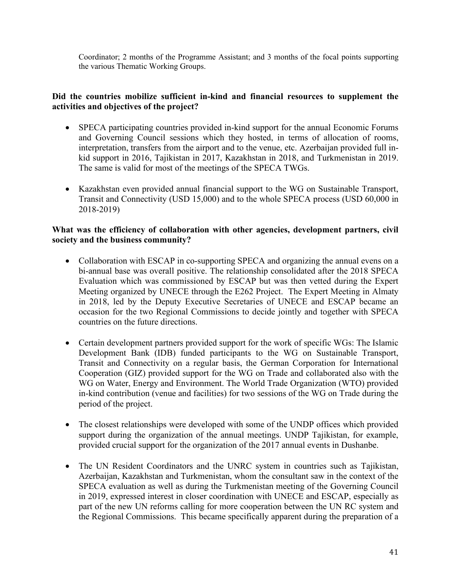Coordinator; 2 months of the Programme Assistant; and 3 months of the focal points supporting the various Thematic Working Groups.

#### **Did the countries mobilize sufficient in-kind and financial resources to supplement the activities and objectives of the project?**

- SPECA participating countries provided in-kind support for the annual Economic Forums and Governing Council sessions which they hosted, in terms of allocation of rooms, interpretation, transfers from the airport and to the venue, etc. Azerbaijan provided full inkid support in 2016, Tajikistan in 2017, Kazakhstan in 2018, and Turkmenistan in 2019. The same is valid for most of the meetings of the SPECA TWGs.
- Kazakhstan even provided annual financial support to the WG on Sustainable Transport, Transit and Connectivity (USD 15,000) and to the whole SPECA process (USD 60,000 in 2018-2019)

#### **What was the efficiency of collaboration with other agencies, development partners, civil society and the business community?**

- Collaboration with ESCAP in co-supporting SPECA and organizing the annual evens on a bi-annual base was overall positive. The relationship consolidated after the 2018 SPECA Evaluation which was commissioned by ESCAP but was then vetted during the Expert Meeting organized by UNECE through the E262 Project. The Expert Meeting in Almaty in 2018, led by the Deputy Executive Secretaries of UNECE and ESCAP became an occasion for the two Regional Commissions to decide jointly and together with SPECA countries on the future directions.
- Certain development partners provided support for the work of specific WGs: The Islamic Development Bank (IDB) funded participants to the WG on Sustainable Transport, Transit and Connectivity on a regular basis, the German Corporation for International Cooperation (GIZ) provided support for the WG on Trade and collaborated also with the WG on Water, Energy and Environment. The World Trade Organization (WTO) provided in-kind contribution (venue and facilities) for two sessions of the WG on Trade during the period of the project.
- The closest relationships were developed with some of the UNDP offices which provided support during the organization of the annual meetings. UNDP Tajikistan, for example, provided crucial support for the organization of the 2017 annual events in Dushanbe.
- The UN Resident Coordinators and the UNRC system in countries such as Tajikistan, Azerbaijan, Kazakhstan and Turkmenistan, whom the consultant saw in the context of the SPECA evaluation as well as during the Turkmenistan meeting of the Governing Council in 2019, expressed interest in closer coordination with UNECE and ESCAP, especially as part of the new UN reforms calling for more cooperation between the UN RC system and the Regional Commissions. This became specifically apparent during the preparation of a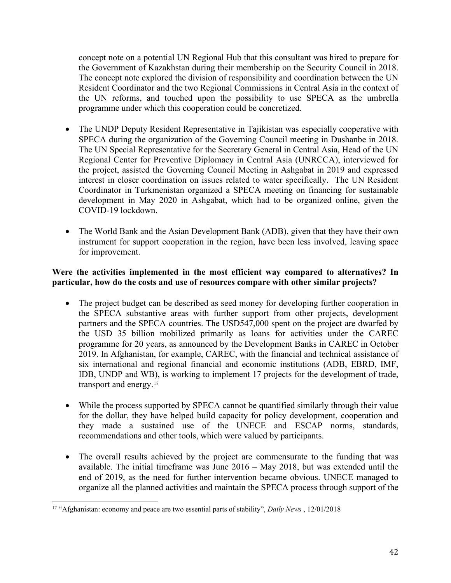concept note on a potential UN Regional Hub that this consultant was hired to prepare for the Government of Kazakhstan during their membership on the Security Council in 2018. The concept note explored the division of responsibility and coordination between the UN Resident Coordinator and the two Regional Commissions in Central Asia in the context of the UN reforms, and touched upon the possibility to use SPECA as the umbrella programme under which this cooperation could be concretized.

- The UNDP Deputy Resident Representative in Tajikistan was especially cooperative with SPECA during the organization of the Governing Council meeting in Dushanbe in 2018. The UN Special Representative for the Secretary General in Central Asia, Head of the UN Regional Center for Preventive Diplomacy in Central Asia (UNRCCA), interviewed for the project, assisted the Governing Council Meeting in Ashgabat in 2019 and expressed interest in closer coordination on issues related to water specifically. The UN Resident Coordinator in Turkmenistan organized a SPECA meeting on financing for sustainable development in May 2020 in Ashgabat, which had to be organized online, given the COVID-19 lockdown.
- The World Bank and the Asian Development Bank (ADB), given that they have their own instrument for support cooperation in the region, have been less involved, leaving space for improvement.

### **Were the activities implemented in the most efficient way compared to alternatives? In particular, how do the costs and use of resources compare with other similar projects?**

- The project budget can be described as seed money for developing further cooperation in the SPECA substantive areas with further support from other projects, development partners and the SPECA countries. The USD547,000 spent on the project are dwarfed by the USD 35 billion mobilized primarily as loans for activities under the CAREC programme for 20 years, as announced by the Development Banks in CAREC in October 2019. In Afghanistan, for example, CAREC, with the financial and technical assistance of six international and regional financial and economic institutions (ADB, EBRD, IMF, IDB, UNDP and WB), is working to implement 17 projects for the development of trade, transport and energy.<sup>[17](#page-41-0)</sup>
- While the process supported by SPECA cannot be quantified similarly through their value for the dollar, they have helped build capacity for policy development, cooperation and they made a sustained use of the UNECE and ESCAP norms, standards, recommendations and other tools, which were valued by participants.
- The overall results achieved by the project are commensurate to the funding that was available. The initial timeframe was June 2016 – May 2018, but was extended until the end of 2019, as the need for further intervention became obvious. UNECE managed to organize all the planned activities and maintain the SPECA process through support of the

<span id="page-41-0"></span><sup>17</sup> "Afghanistan: economy and peace are two essential parts of stability", *Daily News* , 12/01/2018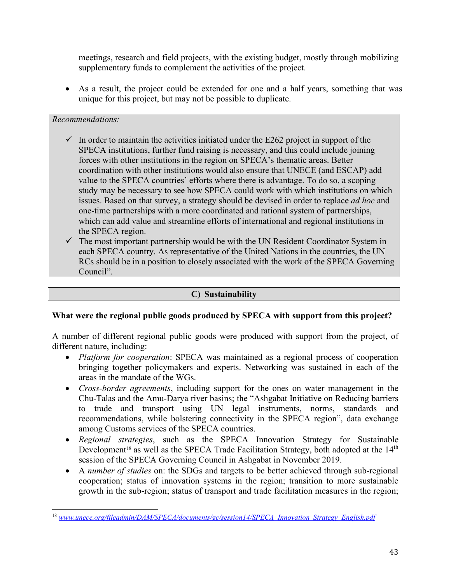meetings, research and field projects, with the existing budget, mostly through mobilizing supplementary funds to complement the activities of the project.

• As a result, the project could be extended for one and a half years, something that was unique for this project, but may not be possible to duplicate.

### *Recommendations:*

- $\checkmark$  In order to maintain the activities initiated under the E262 project in support of the SPECA institutions, further fund raising is necessary, and this could include joining forces with other institutions in the region on SPECA's thematic areas. Better coordination with other institutions would also ensure that UNECE (and ESCAP) add value to the SPECA countries' efforts where there is advantage. To do so, a scoping study may be necessary to see how SPECA could work with which institutions on which issues. Based on that survey, a strategy should be devised in order to replace *ad hoc* and one-time partnerships with a more coordinated and rational system of partnerships, which can add value and streamline efforts of international and regional institutions in the SPECA region.
- $\checkmark$  The most important partnership would be with the UN Resident Coordinator System in each SPECA country. As representative of the United Nations in the countries, the UN RCs should be in a position to closely associated with the work of the SPECA Governing Council".

### **C) Sustainability**

### **What were the regional public goods produced by SPECA with support from this project?**

A number of different regional public goods were produced with support from the project, of different nature, including:

- *Platform for cooperation*: SPECA was maintained as a regional process of cooperation bringing together policymakers and experts. Networking was sustained in each of the areas in the mandate of the WGs.
- *Cross-border agreements*, including support for the ones on water management in the Chu-Talas and the Amu-Darya river basins; the "Ashgabat Initiative on Reducing barriers to trade and transport using UN legal instruments, norms, standards and recommendations, while bolstering connectivity in the SPECA region", data exchange among Customs services of the SPECA countries.
- *Regional strategies*, such as the SPECA Innovation Strategy for Sustainable Development<sup>[18](#page-42-0)</sup> as well as the SPECA Trade Facilitation Strategy, both adopted at the  $14<sup>th</sup>$ session of the SPECA Governing Council in Ashgabat in November 2019.
- A *number of studies* on: the SDGs and targets to be better achieved through sub-regional cooperation; status of innovation systems in the region; transition to more sustainable growth in the sub-region; status of transport and trade facilitation measures in the region;

<span id="page-42-0"></span><sup>18</sup> *[www.unece.org/fileadmin/DAM/SPECA/documents/gc/session14/SPECA\\_Innovation\\_Strategy\\_English.pdf](http://www.unece.org/fileadmin/DAM/SPECA/documents/gc/session14/SPECA_Innovation_Strategy_English.pdf)*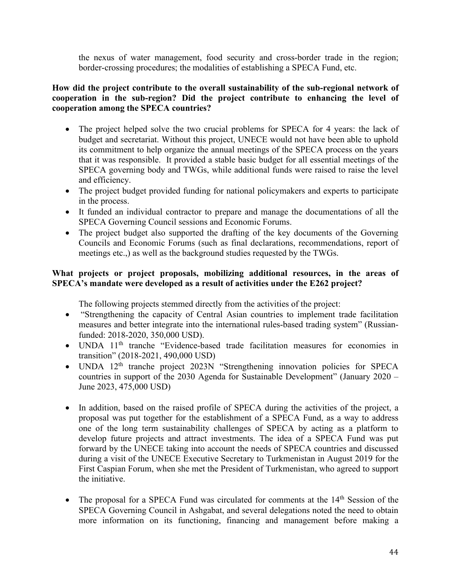the nexus of water management, food security and cross-border trade in the region; border-crossing procedures; the modalities of establishing a SPECA Fund, etc.

## **How did the project contribute to the overall sustainability of the sub-regional network of cooperation in the sub-region? Did the project contribute to enhancing the level of cooperation among the SPECA countries?**

- The project helped solve the two crucial problems for SPECA for 4 years: the lack of budget and secretariat. Without this project, UNECE would not have been able to uphold its commitment to help organize the annual meetings of the SPECA process on the years that it was responsible. It provided a stable basic budget for all essential meetings of the SPECA governing body and TWGs, while additional funds were raised to raise the level and efficiency.
- The project budget provided funding for national policymakers and experts to participate in the process.
- It funded an individual contractor to prepare and manage the documentations of all the SPECA Governing Council sessions and Economic Forums.
- The project budget also supported the drafting of the key documents of the Governing Councils and Economic Forums (such as final declarations, recommendations, report of meetings etc.,) as well as the background studies requested by the TWGs.

## **What projects or project proposals, mobilizing additional resources, in the areas of SPECA's mandate were developed as a result of activities under the E262 project?**

The following projects stemmed directly from the activities of the project:

- "Strengthening the capacity of Central Asian countries to implement trade facilitation measures and better integrate into the international rules-based trading system" (Russianfunded: 2018-2020, 350,000 USD).
- UNDA 11<sup>th</sup> tranche "Evidence-based trade facilitation measures for economies in transition" (2018-2021, 490,000 USD)
- UNDA  $12<sup>th</sup>$  tranche project 2023N "Strengthening innovation policies for SPECA countries in support of the 2030 Agenda for Sustainable Development" (January 2020 – June 2023, 475,000 USD)
- In addition, based on the raised profile of SPECA during the activities of the project, a proposal was put together for the establishment of a SPECA Fund, as a way to address one of the long term sustainability challenges of SPECA by acting as a platform to develop future projects and attract investments. The idea of a SPECA Fund was put forward by the UNECE taking into account the needs of SPECA countries and discussed during a visit of the UNECE Executive Secretary to Turkmenistan in August 2019 for the First Caspian Forum, when she met the President of Turkmenistan, who agreed to support the initiative.
- The proposal for a SPECA Fund was circulated for comments at the  $14<sup>th</sup>$  Session of the SPECA Governing Council in Ashgabat, and several delegations noted the need to obtain more information on its functioning, financing and management before making a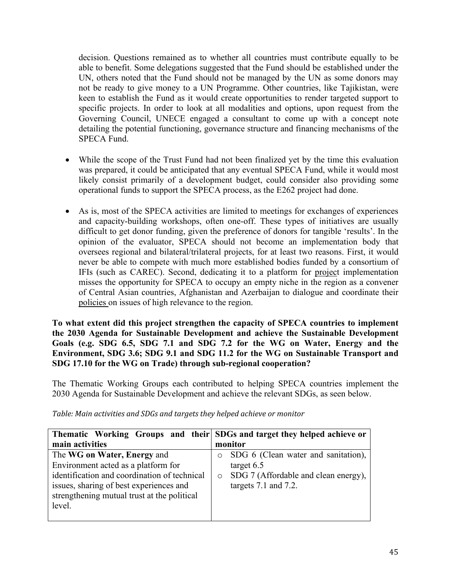decision. Questions remained as to whether all countries must contribute equally to be able to benefit. Some delegations suggested that the Fund should be established under the UN, others noted that the Fund should not be managed by the UN as some donors may not be ready to give money to a UN Programme. Other countries, like Tajikistan, were keen to establish the Fund as it would create opportunities to render targeted support to specific projects. In order to look at all modalities and options, upon request from the Governing Council, UNECE engaged a consultant to come up with a concept note detailing the potential functioning, governance structure and financing mechanisms of the SPECA Fund.

- While the scope of the Trust Fund had not been finalized yet by the time this evaluation was prepared, it could be anticipated that any eventual SPECA Fund, while it would most likely consist primarily of a development budget, could consider also providing some operational funds to support the SPECA process, as the E262 project had done.
- As is, most of the SPECA activities are limited to meetings for exchanges of experiences and capacity-building workshops, often one-off. These types of initiatives are usually difficult to get donor funding, given the preference of donors for tangible 'results'. In the opinion of the evaluator, SPECA should not become an implementation body that oversees regional and bilateral/trilateral projects, for at least two reasons. First, it would never be able to compete with much more established bodies funded by a consortium of IFIs (such as CAREC). Second, dedicating it to a platform for project implementation misses the opportunity for SPECA to occupy an empty niche in the region as a convener of Central Asian countries, Afghanistan and Azerbaijan to dialogue and coordinate their policies on issues of high relevance to the region.

**To what extent did this project strengthen the capacity of SPECA countries to implement the 2030 Agenda for Sustainable Development and achieve the Sustainable Development Goals (e.g. SDG 6.5, SDG 7.1 and SDG 7.2 for the WG on Water, Energy and the Environment, SDG 3.6; SDG 9.1 and SDG 11.2 for the WG on Sustainable Transport and SDG 17.10 for the WG on Trade) through sub-regional cooperation?**

The Thematic Working Groups each contributed to helping SPECA countries implement the 2030 Agenda for Sustainable Development and achieve the relevant SDGs, as seen below.

| Thematic Working Groups and their SDGs and target they helped achieve or |                                      |
|--------------------------------------------------------------------------|--------------------------------------|
| main activities                                                          | monitor                              |
| The WG on Water, Energy and                                              | SDG 6 (Clean water and sanitation),  |
| Environment acted as a platform for                                      | target $6.5$                         |
| identification and coordination of technical                             | SDG 7 (Affordable and clean energy), |
| issues, sharing of best experiences and                                  | targets $7.1$ and $7.2$ .            |
| strengthening mutual trust at the political                              |                                      |
| level.                                                                   |                                      |
|                                                                          |                                      |

*Table: Main activities and SDGs and targets they helped achieve or monitor*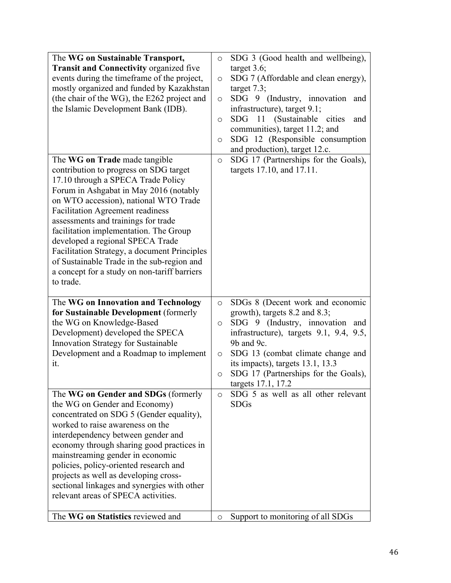| The WG on Sustainable Transport,<br><b>Transit and Connectivity organized five</b><br>events during the timeframe of the project,<br>mostly organized and funded by Kazakhstan<br>(the chair of the WG), the E262 project and<br>the Islamic Development Bank (IDB).<br>The WG on Trade made tangible                                                                                                                                                                                      | SDG 3 (Good health and wellbeing),<br>$\circ$<br>target $3.6$ ;<br>SDG 7 (Affordable and clean energy),<br>$\circ$<br>target $7.3$ ;<br>SDG 9 (Industry, innovation<br>and<br>$\circ$<br>infrastructure), target 9.1;<br>SDG<br>11 (Sustainable cities<br>and<br>$\circ$<br>communities), target 11.2; and<br>SDG 12 (Responsible consumption<br>$\circ$<br>and production), target 12.c.<br>SDG 17 (Partnerships for the Goals),<br>$\circ$ |
|--------------------------------------------------------------------------------------------------------------------------------------------------------------------------------------------------------------------------------------------------------------------------------------------------------------------------------------------------------------------------------------------------------------------------------------------------------------------------------------------|----------------------------------------------------------------------------------------------------------------------------------------------------------------------------------------------------------------------------------------------------------------------------------------------------------------------------------------------------------------------------------------------------------------------------------------------|
| contribution to progress on SDG target<br>17.10 through a SPECA Trade Policy<br>Forum in Ashgabat in May 2016 (notably<br>on WTO accession), national WTO Trade<br><b>Facilitation Agreement readiness</b><br>assessments and trainings for trade<br>facilitation implementation. The Group<br>developed a regional SPECA Trade<br>Facilitation Strategy, a document Principles<br>of Sustainable Trade in the sub-region and<br>a concept for a study on non-tariff barriers<br>to trade. | targets 17.10, and 17.11.                                                                                                                                                                                                                                                                                                                                                                                                                    |
| The WG on Innovation and Technology<br>for Sustainable Development (formerly                                                                                                                                                                                                                                                                                                                                                                                                               | SDGs 8 (Decent work and economic<br>$\circ$<br>growth), targets 8.2 and 8.3;                                                                                                                                                                                                                                                                                                                                                                 |
| the WG on Knowledge-Based                                                                                                                                                                                                                                                                                                                                                                                                                                                                  | SDG 9 (Industry, innovation and<br>O                                                                                                                                                                                                                                                                                                                                                                                                         |
| Development) developed the SPECA<br>Innovation Strategy for Sustainable                                                                                                                                                                                                                                                                                                                                                                                                                    | infrastructure), targets 9.1, 9.4, 9.5,<br>9b and 9c.                                                                                                                                                                                                                                                                                                                                                                                        |
| Development and a Roadmap to implement                                                                                                                                                                                                                                                                                                                                                                                                                                                     | SDG 13 (combat climate change and<br>$\circ$                                                                                                                                                                                                                                                                                                                                                                                                 |
| it.                                                                                                                                                                                                                                                                                                                                                                                                                                                                                        | its impacts), targets 13.1, 13.3<br>SDG 17 (Partnerships for the Goals),<br>O<br>targets 17.1, 17.2                                                                                                                                                                                                                                                                                                                                          |
| The WG on Gender and SDGs (formerly<br>the WG on Gender and Economy)<br>concentrated on SDG 5 (Gender equality),<br>worked to raise awareness on the<br>interdependency between gender and<br>economy through sharing good practices in<br>mainstreaming gender in economic<br>policies, policy-oriented research and<br>projects as well as developing cross-<br>sectional linkages and synergies with other<br>relevant areas of SPECA activities.<br>The WG on Statistics reviewed and  | SDG 5 as well as all other relevant<br>$\circ$<br><b>SDGs</b>                                                                                                                                                                                                                                                                                                                                                                                |
|                                                                                                                                                                                                                                                                                                                                                                                                                                                                                            | Support to monitoring of all SDGs<br>O                                                                                                                                                                                                                                                                                                                                                                                                       |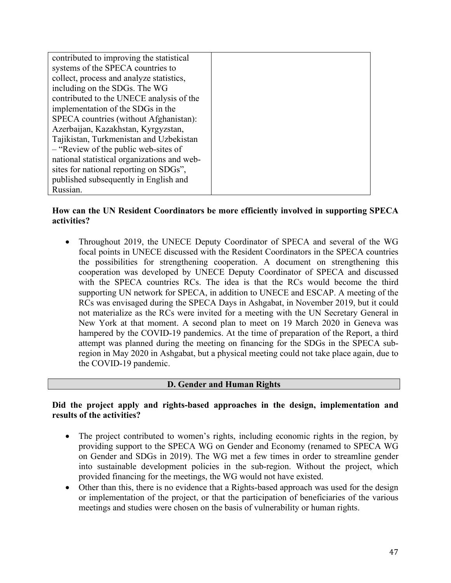| contributed to improving the statistical    |  |
|---------------------------------------------|--|
| systems of the SPECA countries to           |  |
| collect, process and analyze statistics,    |  |
| including on the SDGs. The WG               |  |
| contributed to the UNECE analysis of the    |  |
| implementation of the SDGs in the           |  |
| SPECA countries (without Afghanistan):      |  |
| Azerbaijan, Kazakhstan, Kyrgyzstan,         |  |
| Tajikistan, Turkmenistan and Uzbekistan     |  |
| - "Review of the public web-sites of        |  |
| national statistical organizations and web- |  |
| sites for national reporting on SDGs",      |  |
| published subsequently in English and       |  |
| Russian.                                    |  |

#### **How can the UN Resident Coordinators be more efficiently involved in supporting SPECA activities?**

• Throughout 2019, the UNECE Deputy Coordinator of SPECA and several of the WG focal points in UNECE discussed with the Resident Coordinators in the SPECA countries the possibilities for strengthening cooperation. A document on strengthening this cooperation was developed by UNECE Deputy Coordinator of SPECA and discussed with the SPECA countries RCs. The idea is that the RCs would become the third supporting UN network for SPECA, in addition to UNECE and ESCAP. A meeting of the RCs was envisaged during the SPECA Days in Ashgabat, in November 2019, but it could not materialize as the RCs were invited for a meeting with the UN Secretary General in New York at that moment. A second plan to meet on 19 March 2020 in Geneva was hampered by the COVID-19 pandemics. At the time of preparation of the Report, a third attempt was planned during the meeting on financing for the SDGs in the SPECA subregion in May 2020 in Ashgabat, but a physical meeting could not take place again, due to the COVID-19 pandemic.

### **D. Gender and Human Rights**

#### **Did the project apply and rights-based approaches in the design, implementation and results of the activities?**

- The project contributed to women's rights, including economic rights in the region, by providing support to the SPECA WG on Gender and Economy (renamed to SPECA WG on Gender and SDGs in 2019). The WG met a few times in order to streamline gender into sustainable development policies in the sub-region. Without the project, which provided financing for the meetings, the WG would not have existed.
- Other than this, there is no evidence that a Rights-based approach was used for the design or implementation of the project, or that the participation of beneficiaries of the various meetings and studies were chosen on the basis of vulnerability or human rights.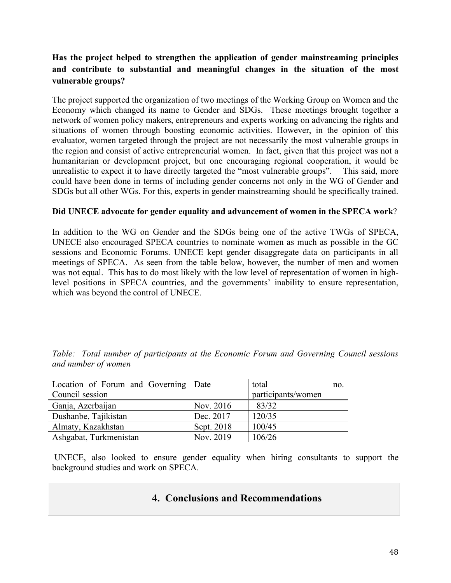# **Has the project helped to strengthen the application of gender mainstreaming principles and contribute to substantial and meaningful changes in the situation of the most vulnerable groups?**

The project supported the organization of two meetings of the Working Group on Women and the Economy which changed its name to Gender and SDGs. These meetings brought together a network of women policy makers, entrepreneurs and experts working on advancing the rights and situations of women through boosting economic activities. However, in the opinion of this evaluator, women targeted through the project are not necessarily the most vulnerable groups in the region and consist of active entrepreneurial women. In fact, given that this project was not a humanitarian or development project, but one encouraging regional cooperation, it would be unrealistic to expect it to have directly targeted the "most vulnerable groups". This said, more could have been done in terms of including gender concerns not only in the WG of Gender and SDGs but all other WGs. For this, experts in gender mainstreaming should be specifically trained.

#### **Did UNECE advocate for gender equality and advancement of women in the SPECA work**?

In addition to the WG on Gender and the SDGs being one of the active TWGs of SPECA, UNECE also encouraged SPECA countries to nominate women as much as possible in the GC sessions and Economic Forums. UNECE kept gender disaggregate data on participants in all meetings of SPECA. As seen from the table below, however, the number of men and women was not equal. This has to do most likely with the low level of representation of women in highlevel positions in SPECA countries, and the governments' inability to ensure representation, which was beyond the control of UNECE.

|  |                     | Table: Total number of participants at the Economic Forum and Governing Council sessions |  |  |  |  |
|--|---------------------|------------------------------------------------------------------------------------------|--|--|--|--|
|  | and number of women |                                                                                          |  |  |  |  |

| Location of Forum and Governing Date |            | total              | no. |
|--------------------------------------|------------|--------------------|-----|
| Council session                      |            | participants/women |     |
| Ganja, Azerbaijan                    | Nov. 2016  | 83/32              |     |
| Dushanbe, Tajikistan                 | Dec. 2017  | 120/35             |     |
| Almaty, Kazakhstan                   | Sept. 2018 | 100/45             |     |
| Ashgabat, Turkmenistan               | Nov. 2019  | 106/26             |     |

UNECE, also looked to ensure gender equality when hiring consultants to support the background studies and work on SPECA.

# **4. Conclusions and Recommendations**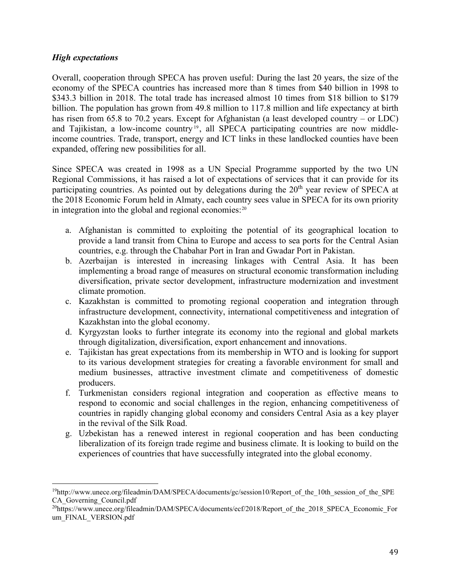#### *High expectations*

Overall, cooperation through SPECA has proven useful: During the last 20 years, the size of the economy of the SPECA countries has increased more than 8 times from \$40 billion in 1998 to \$343.3 billion in 2018. The total trade has increased almost 10 times from \$18 billion to \$179 billion. The population has grown from 49.8 million to 117.8 million and life expectancy at birth has risen from 65.8 to 70.2 years. Except for Afghanistan (a least developed country – or LDC) and Tajikistan, a low-income country<sup>[19](#page-48-0)</sup>, all SPECA participating countries are now middleincome countries. Trade, transport, energy and ICT links in these landlocked counties have been expanded, offering new possibilities for all.

Since SPECA was created in 1998 as a UN Special Programme supported by the two UN Regional Commissions, it has raised a lot of expectations of services that it can provide for its participating countries. As pointed out by delegations during the  $20<sup>th</sup>$  year review of SPECA at the 2018 Economic Forum held in Almaty, each country sees value in SPECA for its own priority in integration into the global and regional economies: $20$ 

- a. Afghanistan is committed to exploiting the potential of its geographical location to provide a land transit from China to Europe and access to sea ports for the Central Asian countries, e.g. through the Chabahar Port in Iran and Gwadar Port in Pakistan.
- b. Azerbaijan is interested in increasing linkages with Central Asia. It has been implementing a broad range of measures on structural economic transformation including diversification, private sector development, infrastructure modernization and investment climate promotion.
- c. Kazakhstan is committed to promoting regional cooperation and integration through infrastructure development, connectivity, international competitiveness and integration of Kazakhstan into the global economy.
- d. Kyrgyzstan looks to further integrate its economy into the regional and global markets through digitalization, diversification, export enhancement and innovations.
- e. Tajikistan has great expectations from its membership in WTO and is looking for support to its various development strategies for creating a favorable environment for small and medium businesses, attractive investment climate and competitiveness of domestic producers.
- f. Turkmenistan considers regional integration and cooperation as effective means to respond to economic and social challenges in the region, enhancing competitiveness of countries in rapidly changing global economy and considers Central Asia as a key player in the revival of the Silk Road.
- g. Uzbekistan has a renewed interest in regional cooperation and has been conducting liberalization of its foreign trade regime and business climate. It is looking to build on the experiences of countries that have successfully integrated into the global economy.

<span id="page-48-0"></span><sup>&</sup>lt;sup>19</sup>http://www.unece.org/fileadmin/DAM/SPECA/documents/gc/session10/Report\_of\_the\_10th\_session\_of\_the\_SPE CA\_Governing\_Council.pdf

<span id="page-48-1"></span><sup>&</sup>lt;sup>20</sup>https://www.unece.org/fileadmin/DAM/SPECA/documents/ecf/2018/Report\_of\_the\_2018\_SPECA\_Economic\_For um\_FINAL\_VERSION.pdf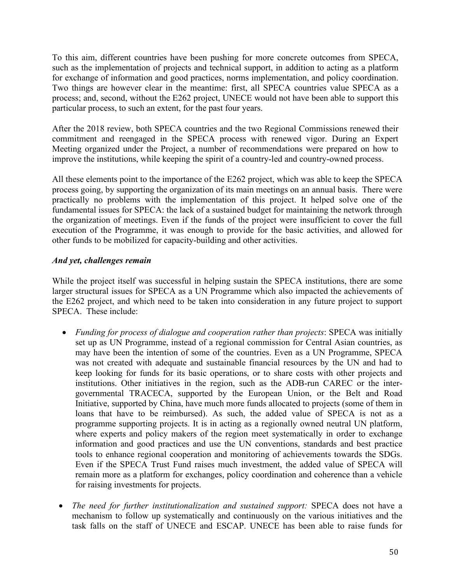To this aim, different countries have been pushing for more concrete outcomes from SPECA, such as the implementation of projects and technical support, in addition to acting as a platform for exchange of information and good practices, norms implementation, and policy coordination. Two things are however clear in the meantime: first, all SPECA countries value SPECA as a process; and, second, without the E262 project, UNECE would not have been able to support this particular process, to such an extent, for the past four years.

After the 2018 review, both SPECA countries and the two Regional Commissions renewed their commitment and reengaged in the SPECA process with renewed vigor. During an Expert Meeting organized under the Project, a number of recommendations were prepared on how to improve the institutions, while keeping the spirit of a country-led and country-owned process.

All these elements point to the importance of the E262 project, which was able to keep the SPECA process going, by supporting the organization of its main meetings on an annual basis. There were practically no problems with the implementation of this project. It helped solve one of the fundamental issues for SPECA: the lack of a sustained budget for maintaining the network through the organization of meetings. Even if the funds of the project were insufficient to cover the full execution of the Programme, it was enough to provide for the basic activities, and allowed for other funds to be mobilized for capacity-building and other activities.

### *And yet, challenges remain*

While the project itself was successful in helping sustain the SPECA institutions, there are some larger structural issues for SPECA as a UN Programme which also impacted the achievements of the E262 project, and which need to be taken into consideration in any future project to support SPECA. These include:

- *Funding for process of dialogue and cooperation rather than projects*: SPECA was initially set up as UN Programme, instead of a regional commission for Central Asian countries, as may have been the intention of some of the countries. Even as a UN Programme, SPECA was not created with adequate and sustainable financial resources by the UN and had to keep looking for funds for its basic operations, or to share costs with other projects and institutions. Other initiatives in the region, such as the ADB-run CAREC or the intergovernmental TRACECA, supported by the European Union, or the Belt and Road Initiative, supported by China, have much more funds allocated to projects (some of them in loans that have to be reimbursed). As such, the added value of SPECA is not as a programme supporting projects. It is in acting as a regionally owned neutral UN platform, where experts and policy makers of the region meet systematically in order to exchange information and good practices and use the UN conventions, standards and best practice tools to enhance regional cooperation and monitoring of achievements towards the SDGs. Even if the SPECA Trust Fund raises much investment, the added value of SPECA will remain more as a platform for exchanges, policy coordination and coherence than a vehicle for raising investments for projects.
- *The need for further institutionalization and sustained support:* SPECA does not have a mechanism to follow up systematically and continuously on the various initiatives and the task falls on the staff of UNECE and ESCAP. UNECE has been able to raise funds for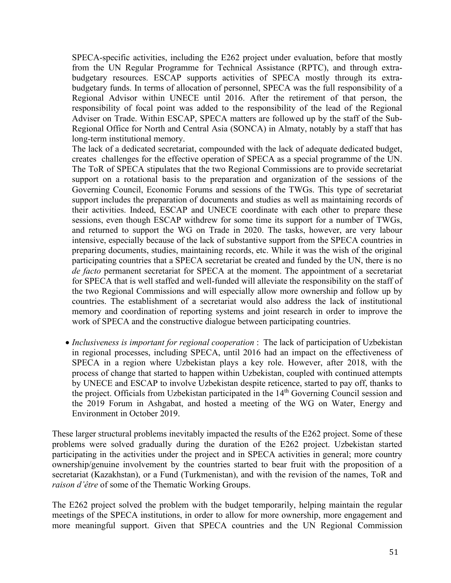SPECA-specific activities, including the E262 project under evaluation, before that mostly from the UN Regular Programme for Technical Assistance (RPTC), and through extrabudgetary resources. ESCAP supports activities of SPECA mostly through its extrabudgetary funds. In terms of allocation of personnel, SPECA was the full responsibility of a Regional Advisor within UNECE until 2016. After the retirement of that person, the responsibility of focal point was added to the responsibility of the lead of the Regional Adviser on Trade. Within ESCAP, SPECA matters are followed up by the staff of the Sub-Regional Office for North and Central Asia (SONCA) in Almaty, notably by a staff that has long-term institutional memory.

The lack of a dedicated secretariat, compounded with the lack of adequate dedicated budget, creates challenges for the effective operation of SPECA as a special programme of the UN. The ToR of SPECA stipulates that the two Regional Commissions are to provide secretariat support on a rotational basis to the preparation and organization of the sessions of the Governing Council, Economic Forums and sessions of the TWGs. This type of secretariat support includes the preparation of documents and studies as well as maintaining records of their activities. Indeed, ESCAP and UNECE coordinate with each other to prepare these sessions, even though ESCAP withdrew for some time its support for a number of TWGs, and returned to support the WG on Trade in 2020. The tasks, however, are very labour intensive, especially because of the lack of substantive support from the SPECA countries in preparing documents, studies, maintaining records, etc. While it was the wish of the original participating countries that a SPECA secretariat be created and funded by the UN, there is no *de facto* permanent secretariat for SPECA at the moment. The appointment of a secretariat for SPECA that is well staffed and well-funded will alleviate the responsibility on the staff of the two Regional Commissions and will especially allow more ownership and follow up by countries. The establishment of a secretariat would also address the lack of institutional memory and coordination of reporting systems and joint research in order to improve the work of SPECA and the constructive dialogue between participating countries.

• *Inclusiveness is important for regional cooperation* : The lack of participation of Uzbekistan in regional processes, including SPECA, until 2016 had an impact on the effectiveness of SPECA in a region where Uzbekistan plays a key role. However, after 2018, with the process of change that started to happen within Uzbekistan, coupled with continued attempts by UNECE and ESCAP to involve Uzbekistan despite reticence, started to pay off, thanks to the project. Officials from Uzbekistan participated in the 14<sup>th</sup> Governing Council session and the 2019 Forum in Ashgabat, and hosted a meeting of the WG on Water, Energy and Environment in October 2019.

These larger structural problems inevitably impacted the results of the E262 project. Some of these problems were solved gradually during the duration of the E262 project. Uzbekistan started participating in the activities under the project and in SPECA activities in general; more country ownership/genuine involvement by the countries started to bear fruit with the proposition of a secretariat (Kazakhstan), or a Fund (Turkmenistan), and with the revision of the names, ToR and *raison d'être* of some of the Thematic Working Groups.

The E262 project solved the problem with the budget temporarily, helping maintain the regular meetings of the SPECA institutions, in order to allow for more ownership, more engagement and more meaningful support. Given that SPECA countries and the UN Regional Commission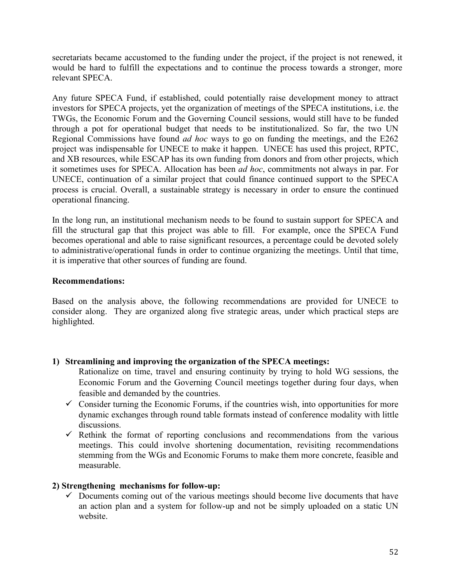secretariats became accustomed to the funding under the project, if the project is not renewed, it would be hard to fulfill the expectations and to continue the process towards a stronger, more relevant SPECA.

Any future SPECA Fund, if established, could potentially raise development money to attract investors for SPECA projects, yet the organization of meetings of the SPECA institutions, i.e. the TWGs, the Economic Forum and the Governing Council sessions, would still have to be funded through a pot for operational budget that needs to be institutionalized. So far, the two UN Regional Commissions have found *ad hoc* ways to go on funding the meetings, and the E262 project was indispensable for UNECE to make it happen. UNECE has used this project, RPTC, and XB resources, while ESCAP has its own funding from donors and from other projects, which it sometimes uses for SPECA. Allocation has been *ad hoc*, commitments not always in par. For UNECE, continuation of a similar project that could finance continued support to the SPECA process is crucial. Overall, a sustainable strategy is necessary in order to ensure the continued operational financing.

In the long run, an institutional mechanism needs to be found to sustain support for SPECA and fill the structural gap that this project was able to fill. For example, once the SPECA Fund becomes operational and able to raise significant resources, a percentage could be devoted solely to administrative/operational funds in order to continue organizing the meetings. Until that time, it is imperative that other sources of funding are found.

### **Recommendations:**

Based on the analysis above, the following recommendations are provided for UNECE to consider along. They are organized along five strategic areas, under which practical steps are highlighted.

### **1) Streamlining and improving the organization of the SPECA meetings:**

Rationalize on time, travel and ensuring continuity by trying to hold WG sessions, the Economic Forum and the Governing Council meetings together during four days, when feasible and demanded by the countries.

- $\checkmark$  Consider turning the Economic Forums, if the countries wish, into opportunities for more dynamic exchanges through round table formats instead of conference modality with little discussions.
- $\checkmark$  Rethink the format of reporting conclusions and recommendations from the various meetings. This could involve shortening documentation, revisiting recommendations stemming from the WGs and Economic Forums to make them more concrete, feasible and measurable.

### **2) Strengthening mechanisms for follow-up:**

 $\checkmark$  Documents coming out of the various meetings should become live documents that have an action plan and a system for follow-up and not be simply uploaded on a static UN website.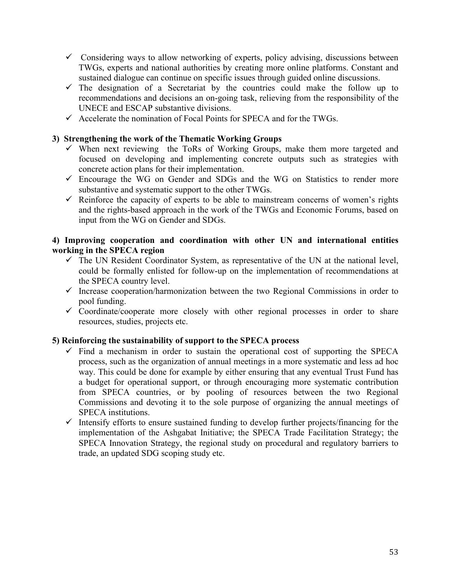- $\checkmark$  Considering ways to allow networking of experts, policy advising, discussions between TWGs, experts and national authorities by creating more online platforms. Constant and sustained dialogue can continue on specific issues through guided online discussions.
- $\checkmark$  The designation of a Secretariat by the countries could make the follow up to recommendations and decisions an on-going task, relieving from the responsibility of the UNECE and ESCAP substantive divisions.
- $\checkmark$  Accelerate the nomination of Focal Points for SPECA and for the TWGs.

#### **3) Strengthening the work of the Thematic Working Groups**

- $\checkmark$  When next reviewing the ToRs of Working Groups, make them more targeted and focused on developing and implementing concrete outputs such as strategies with concrete action plans for their implementation.
- $\checkmark$  Encourage the WG on Gender and SDGs and the WG on Statistics to render more substantive and systematic support to the other TWGs.
- $\checkmark$  Reinforce the capacity of experts to be able to mainstream concerns of women's rights and the rights-based approach in the work of the TWGs and Economic Forums, based on input from the WG on Gender and SDGs.

#### **4) Improving cooperation and coordination with other UN and international entities working in the SPECA region**

- $\checkmark$  The UN Resident Coordinator System, as representative of the UN at the national level, could be formally enlisted for follow-up on the implementation of recommendations at the SPECA country level.
- $\checkmark$  Increase cooperation/harmonization between the two Regional Commissions in order to pool funding.
- $\checkmark$  Coordinate/cooperate more closely with other regional processes in order to share resources, studies, projects etc.

### **5) Reinforcing the sustainability of support to the SPECA process**

- $\checkmark$  Find a mechanism in order to sustain the operational cost of supporting the SPECA process, such as the organization of annual meetings in a more systematic and less ad hoc way. This could be done for example by either ensuring that any eventual Trust Fund has a budget for operational support, or through encouraging more systematic contribution from SPECA countries, or by pooling of resources between the two Regional Commissions and devoting it to the sole purpose of organizing the annual meetings of SPECA institutions.
- $\checkmark$  Intensify efforts to ensure sustained funding to develop further projects/financing for the implementation of the Ashgabat Initiative; the SPECA Trade Facilitation Strategy; the SPECA Innovation Strategy, the regional study on procedural and regulatory barriers to trade, an updated SDG scoping study etc.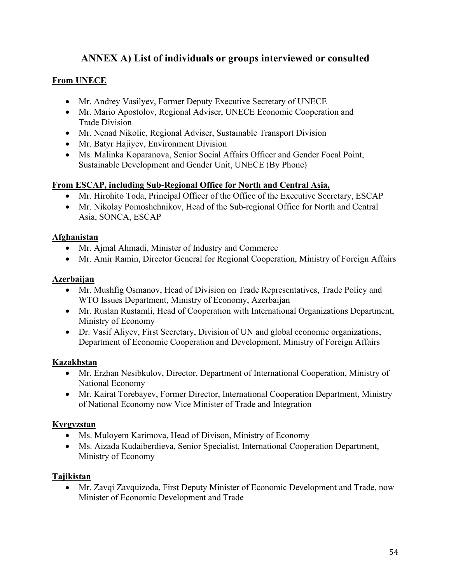# **ANNEX A) List of individuals or groups interviewed or consulted**

# **From UNECE**

- Mr. Andrey Vasilyev, Former Deputy Executive Secretary of UNECE
- Mr. Mario Apostolov, Regional Adviser, UNECE Economic Cooperation and Trade Division
- Mr. Nenad Nikolic, Regional Adviser, Sustainable Transport Division
- Mr. Batyr Hajiyev, Environment Division
- Ms. Malinka Koparanova, Senior Social Affairs Officer and Gender Focal Point, Sustainable Development and Gender Unit, UNECE (By Phone)

### **From ESCAP, including Sub-Regional Office for North and Central Asia,**

- Mr. Hirohito Toda, Principal Officer of the Office of the Executive Secretary, ESCAP
- Mr. [Nikolay Pomoshchnikov, Head of the Sub-regional Office for North and Central](mailto:pomoshchnikov@un.org)  [Asia,](mailto:pomoshchnikov@un.org) SONCA, ESCAP

#### **Afghanistan**

- Mr. Ajmal Ahmadi, Minister of Industry and Commerce
- Mr. Amir Ramin, Director General for Regional Cooperation, Ministry of Foreign Affairs

### **Azerbaijan**

- Mr. Mushfig Osmanov, Head of Division on Trade Representatives, Trade Policy and WTO Issues Department, Ministry of Economy, Azerbaijan
- Mr. Ruslan Rustamli, Head of Cooperation with International Organizations Department, Ministry of Economy
- Dr. Vasif Aliyev, First Secretary, Division of UN and global economic organizations, Department of Economic Cooperation and Development, Ministry of Foreign Affairs

### **Kazakhstan**

- Mr. Erzhan Nesibkulov, Director, Department of International Cooperation, Ministry of National Economy
- Mr. Kairat Torebayev, Former Director, International Cooperation Department, Ministry of National Economy now Vice Minister of Trade and Integration

### **Kyrgyzstan**

- Ms. Muloyem Karimova, Head of Divison, Ministry of Economy
- Ms. Aizada Kudaiberdieva, Senior Specialist, International Cooperation Department, Ministry of Economy

### **Tajikistan**

• Mr. Zavqi Zavquizoda, First Deputy Minister of Economic Development and Trade, now Minister of Economic Development and Trade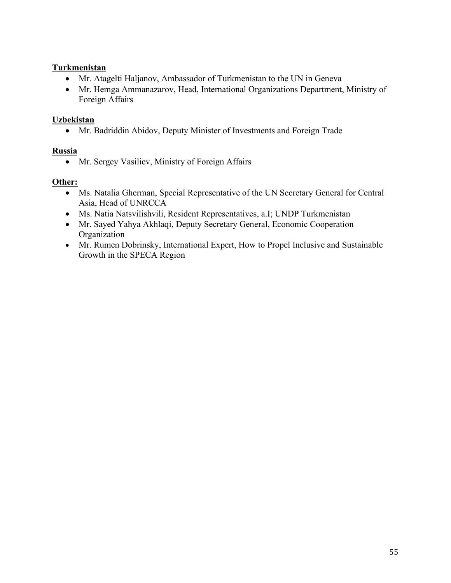## **Turkmenistan**

- Mr. Atagelti Haljanov, Ambassador of Turkmenistan to the UN in Geneva
- Mr. Hemga Ammanazarov, Head, International Organizations Department, Ministry of Foreign Affairs

## **Uzbekistan**

• Mr. Badriddin Abidov, Deputy Minister of Investments and Foreign Trade

## **Russia**

• Mr. Sergey Vasiliev, Ministry of Foreign Affairs

## **Other:**

- Ms. Natalia Gherman, Special Representative of the UN Secretary General for Central Asia, Head of UNRCCA
- Ms. Natia Natsvilishvili, Resident Representatives, a.I; UNDP Turkmenistan
- Mr. Sayed Yahya Akhlaqi, Deputy Secretary General, Economic Cooperation Organization
- Mr. Rumen Dobrinsky, International Expert, How to Propel Inclusive and Sustainable Growth in the SPECA Region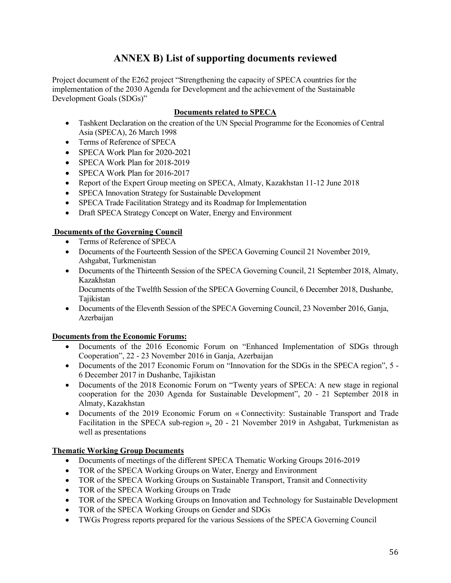# **ANNEX B) List of supporting documents reviewed**

Project document of the E262 project "Strengthening the capacity of SPECA countries for the implementation of the 2030 Agenda for Development and the achievement of the Sustainable Development Goals (SDGs)"

### **Documents related to SPECA**

- Tashkent Declaration on the creation of the UN Special Programme for the Economies of Central Asia (SPECA), 26 March 1998
- Terms of Reference of SPECA
- SPECA Work Plan for 2020-2021
- SPECA Work Plan for 2018-2019
- SPECA Work Plan for 2016-2017
- Report of the Expert Group meeting on SPECA, Almaty, Kazakhstan 11-12 June 2018
- SPECA Innovation Strategy for Sustainable Development
- SPECA Trade Facilitation Strategy and its Roadmap for Implementation
- Draft SPECA Strategy Concept on Water, Energy and Environment

#### **Documents of the Governing Council**

- Terms of Reference of SPECA
- Documents of the Fourteenth Session of the SPECA Governing Council 21 November 2019, Ashgabat, Turkmenistan
- Documents of the Thirteenth Session of the SPECA Governing Council, 21 September 2018, Almaty, Kazakhstan

Documents of the Twelfth Session of the SPECA Governing Council, 6 December 2018, Dushanbe, Tajikistan

• Documents of the Eleventh Session of the SPECA Governing Council, 23 November 2016, Ganja, Azerbaijan

#### **Documents from the Economic Forums:**

- Documents of the 2016 Economic Forum on "Enhanced Implementation of SDGs through Cooperation", 22 - 23 November 2016 in Ganja, Azerbaijan
- Documents of the 2017 Economic Forum on "Innovation for the SDGs in the SPECA region", 5 -6 December 2017 in Dushanbe, Tajikistan
- Documents of the 2018 Economic Forum on "Twenty years of SPECA: A new stage in regional cooperation for the 2030 Agenda for Sustainable Development", 20 - 21 September 2018 in Almaty, Kazakhstan
- Documents of the 2019 Economic Forum on « Connectivity: Sustainable Transport and Trade Facilitation in the SPECA sub-region », 20 - 21 November 2019 in Ashgabat, Turkmenistan as well as presentations

#### **Thematic Working Group Documents**

- Documents of meetings of the different SPECA Thematic Working Groups 2016-2019
- TOR of the SPECA Working Groups on Water, Energy and Environment
- TOR of the SPECA Working Groups on Sustainable Transport, Transit and Connectivity
- TOR of the SPECA Working Groups on Trade
- TOR of the SPECA Working Groups on Innovation and Technology for Sustainable Development
- TOR of the SPECA Working Groups on Gender and SDGs
- TWGs Progress reports prepared for the various Sessions of the SPECA Governing Council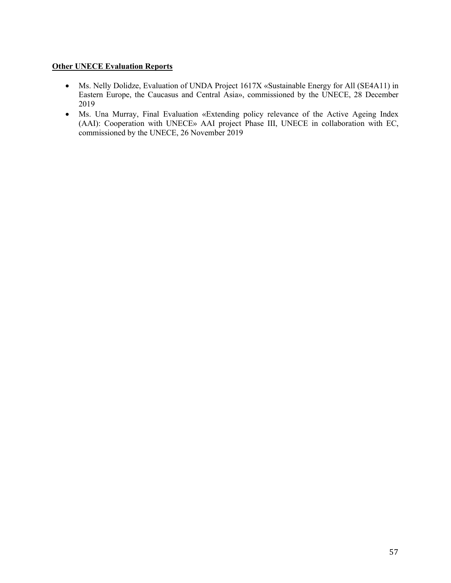#### **Other UNECE Evaluation Reports**

- Ms. Nelly Dolidze, Evaluation of UNDA Project 1617X «Sustainable Energy for All (SE4A11) in Eastern Europe, the Caucasus and Central Asia», commissioned by the UNECE, 28 December 2019
- Ms. Una Murray, Final Evaluation «Extending policy relevance of the Active Ageing Index (AAI): Cooperation with UNECE» AAI project Phase III, UNECE in collaboration with EC, commissioned by the UNECE, 26 November 2019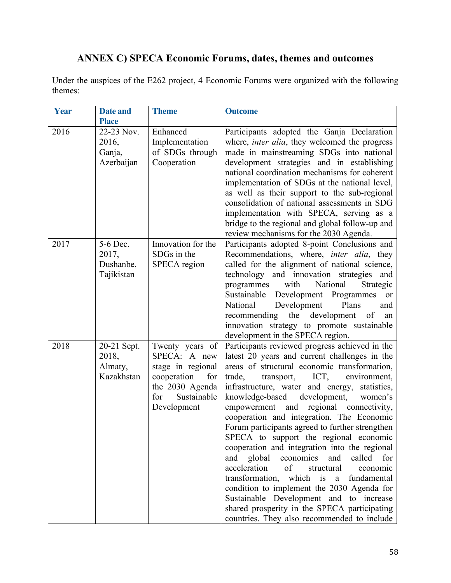# **ANNEX C) SPECA Economic Forums, dates, themes and outcomes**

Under the auspices of the E262 project, 4 Economic Forums were organized with the following themes:

| Year | <b>Date and</b>                                             | <b>Theme</b>                                                                                                                       | <b>Outcome</b>                                                                                                                                                                                                                                                                                                                                                                                                                                                                                                                                                                                                                                                                                                                                                                                                                                                           |
|------|-------------------------------------------------------------|------------------------------------------------------------------------------------------------------------------------------------|--------------------------------------------------------------------------------------------------------------------------------------------------------------------------------------------------------------------------------------------------------------------------------------------------------------------------------------------------------------------------------------------------------------------------------------------------------------------------------------------------------------------------------------------------------------------------------------------------------------------------------------------------------------------------------------------------------------------------------------------------------------------------------------------------------------------------------------------------------------------------|
| 2016 | <b>Place</b><br>22-23 Nov.<br>2016,<br>Ganja,<br>Azerbaijan | Enhanced<br>Implementation<br>of SDGs through<br>Cooperation                                                                       | Participants adopted the Ganja Declaration<br>where, inter alia, they welcomed the progress<br>made in mainstreaming SDGs into national<br>development strategies and in establishing<br>national coordination mechanisms for coherent<br>implementation of SDGs at the national level,<br>as well as their support to the sub-regional<br>consolidation of national assessments in SDG<br>implementation with SPECA, serving as a<br>bridge to the regional and global follow-up and<br>review mechanisms for the 2030 Agenda.                                                                                                                                                                                                                                                                                                                                          |
| 2017 | 5-6 Dec.<br>2017,<br>Dushanbe,<br>Tajikistan                | Innovation for the<br>SDGs in the<br>SPECA region                                                                                  | Participants adopted 8-point Conclusions and<br>Recommendations, where, <i>inter alia</i> , they<br>called for the alignment of national science,<br>technology and innovation strategies<br>and<br>with<br>National<br>programmes<br>Strategic<br>Sustainable Development Programmes<br><b>or</b><br>National<br>Development<br>Plans<br>and<br>recommending the development<br>of<br>${\rm an}$<br>innovation strategy to promote sustainable<br>development in the SPECA region.                                                                                                                                                                                                                                                                                                                                                                                      |
| 2018 | 20-21 Sept.<br>2018,<br>Almaty,<br>Kazakhstan               | Twenty years of<br>SPECA: A new<br>stage in regional<br>cooperation<br>for<br>the 2030 Agenda<br>Sustainable<br>for<br>Development | Participants reviewed progress achieved in the<br>latest 20 years and current challenges in the<br>areas of structural economic transformation,<br>ICT,<br>trade,<br>transport,<br>environment,<br>infrastructure, water and energy, statistics,<br>knowledge-based<br>development,<br>women's<br>regional connectivity,<br>empowerment and<br>cooperation and integration. The Economic<br>Forum participants agreed to further strengthen<br>SPECA to support the regional economic<br>cooperation and integration into the regional<br>and global economies and<br>called for<br>acceleration<br>of<br>structural<br>economic<br>transformation, which is<br>fundamental<br>a<br>condition to implement the 2030 Agenda for<br>Sustainable Development and to increase<br>shared prosperity in the SPECA participating<br>countries. They also recommended to include |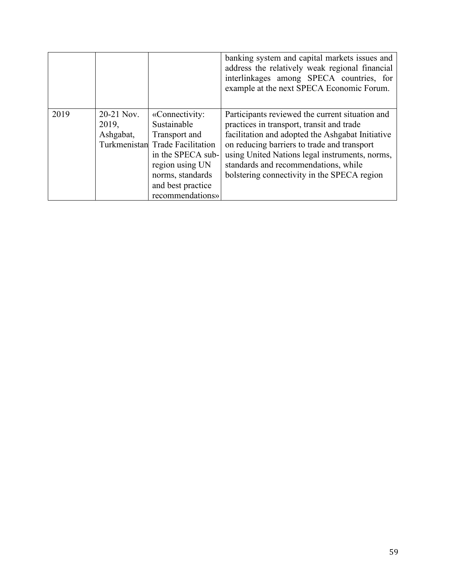|      |                                  |                                                                                                                                                                                        | banking system and capital markets issues and<br>address the relatively weak regional financial<br>interlinkages among SPECA countries, for<br>example at the next SPECA Economic Forum.                                                                                                                                                 |
|------|----------------------------------|----------------------------------------------------------------------------------------------------------------------------------------------------------------------------------------|------------------------------------------------------------------------------------------------------------------------------------------------------------------------------------------------------------------------------------------------------------------------------------------------------------------------------------------|
| 2019 | 20-21 Nov.<br>2019,<br>Ashgabat, | «Connectivity:<br>Sustainable<br>Transport and<br>Turkmenistan Trade Facilitation<br>in the SPECA sub-<br>region using UN<br>norms, standards<br>and best practice<br>recommendations» | Participants reviewed the current situation and<br>practices in transport, transit and trade<br>facilitation and adopted the Ashgabat Initiative<br>on reducing barriers to trade and transport<br>using United Nations legal instruments, norms,<br>standards and recommendations, while<br>bolstering connectivity in the SPECA region |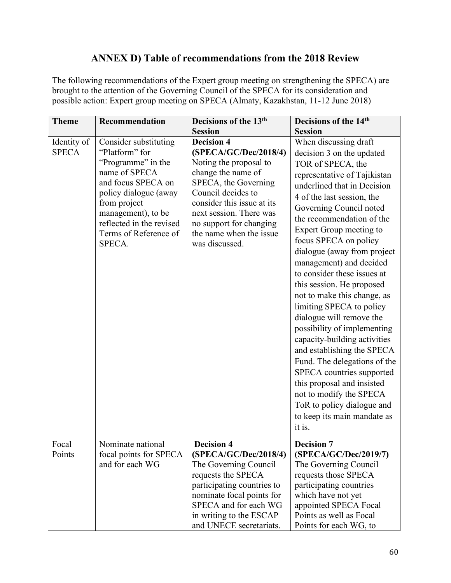# **ANNEX D) Table of recommendations from the 2018 Review**

The following recommendations of the Expert group meeting on strengthening the SPECA) are brought to the attention of the Governing Council of the SPECA for its consideration and possible action: Expert group meeting on SPECA (Almaty, Kazakhstan, 11-12 June 2018)

| <b>Theme</b>                | Recommendation                                                                                                                                                                                                                     | Decisions of the 13 <sup>th</sup>                                                                                                                                                                                                                                         | Decisions of the 14 <sup>th</sup>                                                                                                                                                                                                                                                                                                                                                                                                                                                                                                                                                                                                                                                                                                                                                       |
|-----------------------------|------------------------------------------------------------------------------------------------------------------------------------------------------------------------------------------------------------------------------------|---------------------------------------------------------------------------------------------------------------------------------------------------------------------------------------------------------------------------------------------------------------------------|-----------------------------------------------------------------------------------------------------------------------------------------------------------------------------------------------------------------------------------------------------------------------------------------------------------------------------------------------------------------------------------------------------------------------------------------------------------------------------------------------------------------------------------------------------------------------------------------------------------------------------------------------------------------------------------------------------------------------------------------------------------------------------------------|
|                             |                                                                                                                                                                                                                                    | <b>Session</b>                                                                                                                                                                                                                                                            | <b>Session</b>                                                                                                                                                                                                                                                                                                                                                                                                                                                                                                                                                                                                                                                                                                                                                                          |
| Identity of<br><b>SPECA</b> | Consider substituting<br>"Platform" for<br>"Programme" in the<br>name of SPECA<br>and focus SPECA on<br>policy dialogue (away<br>from project<br>management), to be<br>reflected in the revised<br>Terms of Reference of<br>SPECA. | <b>Decision 4</b><br>(SPECA/GC/Dec/2018/4)<br>Noting the proposal to<br>change the name of<br>SPECA, the Governing<br>Council decides to<br>consider this issue at its<br>next session. There was<br>no support for changing<br>the name when the issue<br>was discussed. | When discussing draft<br>decision 3 on the updated<br>TOR of SPECA, the<br>representative of Tajikistan<br>underlined that in Decision<br>4 of the last session, the<br>Governing Council noted<br>the recommendation of the<br>Expert Group meeting to<br>focus SPECA on policy<br>dialogue (away from project<br>management) and decided<br>to consider these issues at<br>this session. He proposed<br>not to make this change, as<br>limiting SPECA to policy<br>dialogue will remove the<br>possibility of implementing<br>capacity-building activities<br>and establishing the SPECA<br>Fund. The delegations of the<br>SPECA countries supported<br>this proposal and insisted<br>not to modify the SPECA<br>ToR to policy dialogue and<br>to keep its main mandate as<br>it is. |
| Focal<br>Points             | Nominate national<br>focal points for SPECA<br>and for each WG                                                                                                                                                                     | <b>Decision 4</b><br>(SPECA/GC/Dec/2018/4)<br>The Governing Council<br>requests the SPECA                                                                                                                                                                                 | <b>Decision 7</b><br>(SPECA/GC/Dec/2019/7)<br>The Governing Council<br>requests those SPECA                                                                                                                                                                                                                                                                                                                                                                                                                                                                                                                                                                                                                                                                                             |
|                             |                                                                                                                                                                                                                                    | participating countries to<br>nominate focal points for<br>SPECA and for each WG<br>in writing to the ESCAP<br>and UNECE secretariats.                                                                                                                                    | participating countries<br>which have not yet<br>appointed SPECA Focal<br>Points as well as Focal<br>Points for each WG, to                                                                                                                                                                                                                                                                                                                                                                                                                                                                                                                                                                                                                                                             |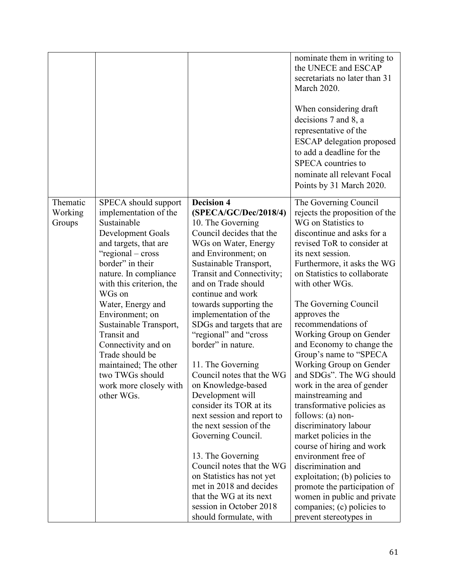|                               |                                                                                                                                                                                                                                                                                                                                                                                                                                   |                                                                                                                                                                                                                                                                                                                                                                                                                                                                                                                                                                                                                                                                                                                                                                               | nominate them in writing to<br>the UNECE and ESCAP<br>secretariats no later than 31<br><b>March 2020.</b><br>When considering draft<br>decisions 7 and 8, a<br>representative of the<br><b>ESCAP</b> delegation proposed<br>to add a deadline for the<br>SPECA countries to<br>nominate all relevant Focal<br>Points by 31 March 2020.                                                                                                                                                                                                                                                                                                                                                                                                                                                                                                                  |
|-------------------------------|-----------------------------------------------------------------------------------------------------------------------------------------------------------------------------------------------------------------------------------------------------------------------------------------------------------------------------------------------------------------------------------------------------------------------------------|-------------------------------------------------------------------------------------------------------------------------------------------------------------------------------------------------------------------------------------------------------------------------------------------------------------------------------------------------------------------------------------------------------------------------------------------------------------------------------------------------------------------------------------------------------------------------------------------------------------------------------------------------------------------------------------------------------------------------------------------------------------------------------|---------------------------------------------------------------------------------------------------------------------------------------------------------------------------------------------------------------------------------------------------------------------------------------------------------------------------------------------------------------------------------------------------------------------------------------------------------------------------------------------------------------------------------------------------------------------------------------------------------------------------------------------------------------------------------------------------------------------------------------------------------------------------------------------------------------------------------------------------------|
| Thematic<br>Working<br>Groups | SPECA should support<br>implementation of the<br>Sustainable<br>Development Goals<br>and targets, that are<br>"regional – cross<br>border" in their<br>nature. In compliance<br>with this criterion, the<br>WGs on<br>Water, Energy and<br>Environment; on<br>Sustainable Transport,<br>Transit and<br>Connectivity and on<br>Trade should be<br>maintained; The other<br>two TWGs should<br>work more closely with<br>other WGs. | <b>Decision 4</b><br>(SPECA/GC/Dec/2018/4)<br>10. The Governing<br>Council decides that the<br>WGs on Water, Energy<br>and Environment; on<br>Sustainable Transport,<br>Transit and Connectivity;<br>and on Trade should<br>continue and work<br>towards supporting the<br>implementation of the<br>SDGs and targets that are<br>"regional" and "cross"<br>border" in nature.<br>11. The Governing<br>Council notes that the WG<br>on Knowledge-based<br>Development will<br>consider its TOR at its<br>next session and report to<br>the next session of the<br>Governing Council.<br>13. The Governing<br>Council notes that the WG<br>on Statistics has not yet<br>met in 2018 and decides<br>that the WG at its next<br>session in October 2018<br>should formulate, with | The Governing Council<br>rejects the proposition of the<br>WG on Statistics to<br>discontinue and asks for a<br>revised ToR to consider at<br>its next session.<br>Furthermore, it asks the WG<br>on Statistics to collaborate<br>with other WGs.<br>The Governing Council<br>approves the<br>recommendations of<br>Working Group on Gender<br>and Economy to change the<br>Group's name to "SPECA"<br>Working Group on Gender<br>and SDGs". The WG should<br>work in the area of gender<br>mainstreaming and<br>transformative policies as<br>follows: $(a)$ non-<br>discriminatory labour<br>market policies in the<br>course of hiring and work<br>environment free of<br>discrimination and<br>exploitation; (b) policies to<br>promote the participation of<br>women in public and private<br>companies; (c) policies to<br>prevent stereotypes in |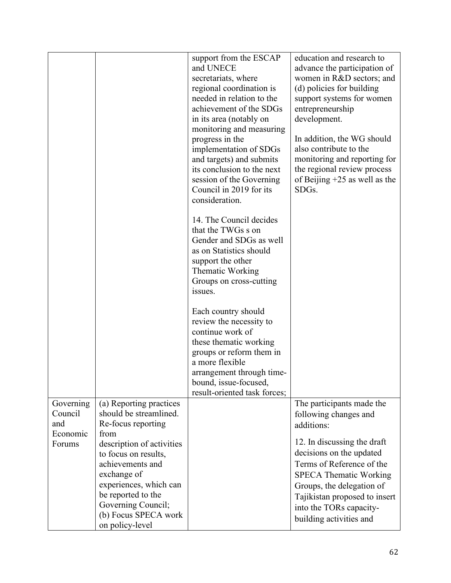|           |                           | support from the ESCAP       | education and research to       |
|-----------|---------------------------|------------------------------|---------------------------------|
|           |                           | and UNECE                    | advance the participation of    |
|           |                           | secretariats, where          | women in R&D sectors; and       |
|           |                           | regional coordination is     | (d) policies for building       |
|           |                           | needed in relation to the    | support systems for women       |
|           |                           | achievement of the SDGs      | entrepreneurship                |
|           |                           | in its area (notably on      | development.                    |
|           |                           | monitoring and measuring     |                                 |
|           |                           | progress in the              | In addition, the WG should      |
|           |                           | implementation of SDGs       | also contribute to the          |
|           |                           | and targets) and submits     | monitoring and reporting for    |
|           |                           | its conclusion to the next   | the regional review process     |
|           |                           | session of the Governing     | of Beijing $+25$ as well as the |
|           |                           | Council in 2019 for its      | SDGs.                           |
|           |                           | consideration.               |                                 |
|           |                           | 14. The Council decides      |                                 |
|           |                           | that the TWGs s on           |                                 |
|           |                           | Gender and SDGs as well      |                                 |
|           |                           | as on Statistics should      |                                 |
|           |                           | support the other            |                                 |
|           |                           | Thematic Working             |                                 |
|           |                           | Groups on cross-cutting      |                                 |
|           |                           | issues.                      |                                 |
|           |                           |                              |                                 |
|           |                           | Each country should          |                                 |
|           |                           | review the necessity to      |                                 |
|           |                           | continue work of             |                                 |
|           |                           | these thematic working       |                                 |
|           |                           | groups or reform them in     |                                 |
|           |                           | a more flexible              |                                 |
|           |                           | arrangement through time-    |                                 |
|           |                           | bound, issue-focused,        |                                 |
|           |                           | result-oriented task forces; |                                 |
| Governing | (a) Reporting practices   |                              | The participants made the       |
| Council   | should be streamlined.    |                              | following changes and           |
| and       | Re-focus reporting        |                              | additions:                      |
| Economic  | from                      |                              |                                 |
| Forums    | description of activities |                              | 12. In discussing the draft     |
|           | to focus on results,      |                              | decisions on the updated        |
|           | achievements and          |                              | Terms of Reference of the       |
|           | exchange of               |                              | <b>SPECA Thematic Working</b>   |
|           | experiences, which can    |                              | Groups, the delegation of       |
|           | be reported to the        |                              | Tajikistan proposed to insert   |
|           | Governing Council;        |                              | into the TORs capacity-         |
|           | (b) Focus SPECA work      |                              | building activities and         |
|           | on policy-level           |                              |                                 |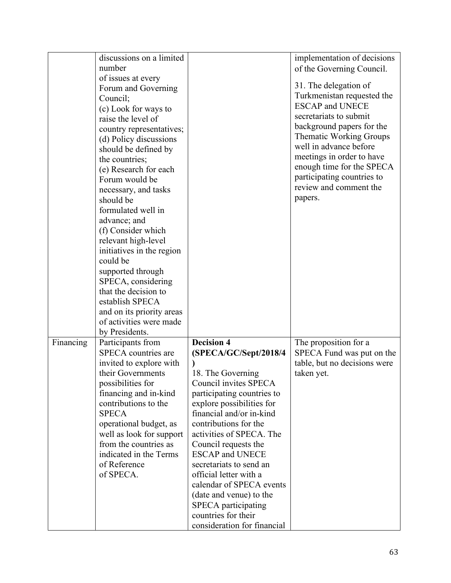|           | discussions on a limited                         |                             | implementation of decisions                          |
|-----------|--------------------------------------------------|-----------------------------|------------------------------------------------------|
|           | number                                           |                             | of the Governing Council.                            |
|           | of issues at every                               |                             |                                                      |
|           | Forum and Governing                              |                             | 31. The delegation of                                |
|           | Council;                                         |                             | Turkmenistan requested the<br><b>ESCAP</b> and UNECE |
|           | (c) Look for ways to                             |                             |                                                      |
|           | raise the level of                               |                             | secretariats to submit                               |
|           | country representatives;                         |                             | background papers for the                            |
|           | (d) Policy discussions                           |                             | Thematic Working Groups<br>well in advance before    |
|           | should be defined by                             |                             | meetings in order to have                            |
|           | the countries;                                   |                             | enough time for the SPECA                            |
|           | (e) Research for each                            |                             | participating countries to                           |
|           | Forum would be                                   |                             | review and comment the                               |
|           | necessary, and tasks                             |                             |                                                      |
|           | should be                                        |                             | papers.                                              |
|           | formulated well in                               |                             |                                                      |
|           | advance; and                                     |                             |                                                      |
|           | (f) Consider which                               |                             |                                                      |
|           | relevant high-level<br>initiatives in the region |                             |                                                      |
|           | could be                                         |                             |                                                      |
|           | supported through                                |                             |                                                      |
|           | SPECA, considering                               |                             |                                                      |
|           | that the decision to                             |                             |                                                      |
|           | establish SPECA                                  |                             |                                                      |
|           | and on its priority areas                        |                             |                                                      |
|           | of activities were made                          |                             |                                                      |
|           | by Presidents.                                   |                             |                                                      |
| Financing | Participants from                                | <b>Decision 4</b>           | The proposition for a                                |
|           | SPECA countries are                              | (SPECA/GC/Sept/2018/4       | SPECA Fund was put on the                            |
|           | invited to explore with                          |                             | table, but no decisions were                         |
|           | their Governments                                | 18. The Governing           | taken yet.                                           |
|           | possibilities for                                | Council invites SPECA       |                                                      |
|           | financing and in-kind                            | participating countries to  |                                                      |
|           | contributions to the                             | explore possibilities for   |                                                      |
|           | <b>SPECA</b>                                     | financial and/or in-kind    |                                                      |
|           | operational budget, as                           | contributions for the       |                                                      |
|           | well as look for support                         | activities of SPECA. The    |                                                      |
|           | from the countries as                            | Council requests the        |                                                      |
|           | indicated in the Terms                           | <b>ESCAP</b> and UNECE      |                                                      |
|           | of Reference                                     | secretariats to send an     |                                                      |
|           | of SPECA.                                        | official letter with a      |                                                      |
|           |                                                  | calendar of SPECA events    |                                                      |
|           |                                                  | (date and venue) to the     |                                                      |
|           |                                                  | SPECA participating         |                                                      |
|           |                                                  | countries for their         |                                                      |
|           |                                                  | consideration for financial |                                                      |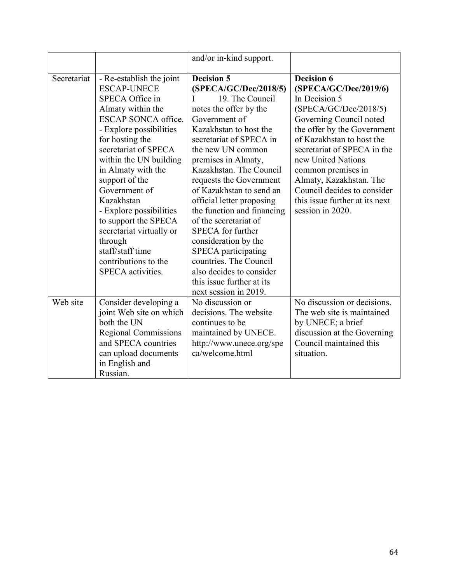|             |                                                                                                                                                                                                                                                                                                                                                                                                                                                        | and/or in-kind support.                                                                                                                                                                                                                                                                                                                                                                                                                                                                                                                                                |                                                                                                                                                                                                                                                                                                                                                                 |
|-------------|--------------------------------------------------------------------------------------------------------------------------------------------------------------------------------------------------------------------------------------------------------------------------------------------------------------------------------------------------------------------------------------------------------------------------------------------------------|------------------------------------------------------------------------------------------------------------------------------------------------------------------------------------------------------------------------------------------------------------------------------------------------------------------------------------------------------------------------------------------------------------------------------------------------------------------------------------------------------------------------------------------------------------------------|-----------------------------------------------------------------------------------------------------------------------------------------------------------------------------------------------------------------------------------------------------------------------------------------------------------------------------------------------------------------|
| Secretariat | - Re-establish the joint<br><b>ESCAP-UNECE</b><br><b>SPECA Office in</b><br>Almaty within the<br>ESCAP SONCA office.<br>- Explore possibilities<br>for hosting the<br>secretariat of SPECA<br>within the UN building<br>in Almaty with the<br>support of the<br>Government of<br>Kazakhstan<br>- Explore possibilities<br>to support the SPECA<br>secretariat virtually or<br>through<br>staff/staff time<br>contributions to the<br>SPECA activities. | <b>Decision 5</b><br>(SPECA/GC/Dec/2018/5)<br>19. The Council<br>notes the offer by the<br>Government of<br>Kazakhstan to host the<br>secretariat of SPECA in<br>the new UN common<br>premises in Almaty,<br>Kazakhstan. The Council<br>requests the Government<br>of Kazakhstan to send an<br>official letter proposing<br>the function and financing<br>of the secretariat of<br><b>SPECA</b> for further<br>consideration by the<br>SPECA participating<br>countries. The Council<br>also decides to consider<br>this issue further at its<br>next session in 2019. | Decision 6<br>(SPECA/GC/Dec/2019/6)<br>In Decision 5<br>(SPECA/GC/Dec/2018/5)<br>Governing Council noted<br>the offer by the Government<br>of Kazakhstan to host the<br>secretariat of SPECA in the<br>new United Nations<br>common premises in<br>Almaty, Kazakhstan. The<br>Council decides to consider<br>this issue further at its next<br>session in 2020. |
| Web site    | Consider developing a<br>joint Web site on which<br>both the UN<br><b>Regional Commissions</b><br>and SPECA countries<br>can upload documents<br>in English and<br>Russian.                                                                                                                                                                                                                                                                            | No discussion or<br>decisions. The website<br>continues to be<br>maintained by UNECE.<br>http://www.unece.org/spe<br>ca/welcome.html                                                                                                                                                                                                                                                                                                                                                                                                                                   | No discussion or decisions.<br>The web site is maintained<br>by UNECE; a brief<br>discussion at the Governing<br>Council maintained this<br>situation.                                                                                                                                                                                                          |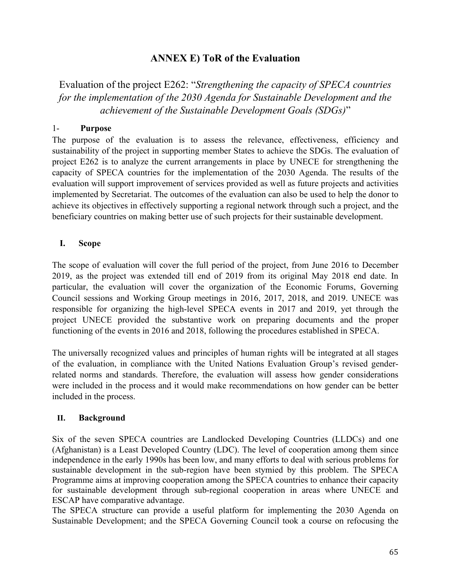# **ANNEX E) ToR of the Evaluation**

Evaluation of the project E262: "*Strengthening the capacity of SPECA countries for the implementation of the 2030 Agenda for Sustainable Development and the achievement of the Sustainable Development Goals (SDGs)*"

#### 1- **Purpose**

The purpose of the evaluation is to assess the relevance, effectiveness, efficiency and sustainability of the project in supporting member States to achieve the SDGs. The evaluation of project E262 is to analyze the current arrangements in place by UNECE for strengthening the capacity of SPECA countries for the implementation of the 2030 Agenda. The results of the evaluation will support improvement of services provided as well as future projects and activities implemented by Secretariat. The outcomes of the evaluation can also be used to help the donor to achieve its objectives in effectively supporting a regional network through such a project, and the beneficiary countries on making better use of such projects for their sustainable development.

#### **I. Scope**

The scope of evaluation will cover the full period of the project, from June 2016 to December 2019, as the project was extended till end of 2019 from its original May 2018 end date. In particular, the evaluation will cover the organization of the Economic Forums, Governing Council sessions and Working Group meetings in 2016, 2017, 2018, and 2019. UNECE was responsible for organizing the high-level SPECA events in 2017 and 2019, yet through the project UNECE provided the substantive work on preparing documents and the proper functioning of the events in 2016 and 2018, following the procedures established in SPECA.

The universally recognized values and principles of human rights will be integrated at all stages of the evaluation, in compliance with the United Nations Evaluation Group's revised genderrelated norms and standards. Therefore, the evaluation will assess how gender considerations were included in the process and it would make recommendations on how gender can be better included in the process.

#### **II. Background**

Six of the seven SPECA countries are Landlocked Developing Countries (LLDCs) and one (Afghanistan) is a Least Developed Country (LDC). The level of cooperation among them since independence in the early 1990s has been low, and many efforts to deal with serious problems for sustainable development in the sub-region have been stymied by this problem. The SPECA Programme aims at improving cooperation among the SPECA countries to enhance their capacity for sustainable development through sub-regional cooperation in areas where UNECE and ESCAP have comparative advantage.

The SPECA structure can provide a useful platform for implementing the 2030 Agenda on Sustainable Development; and the SPECA Governing Council took a course on refocusing the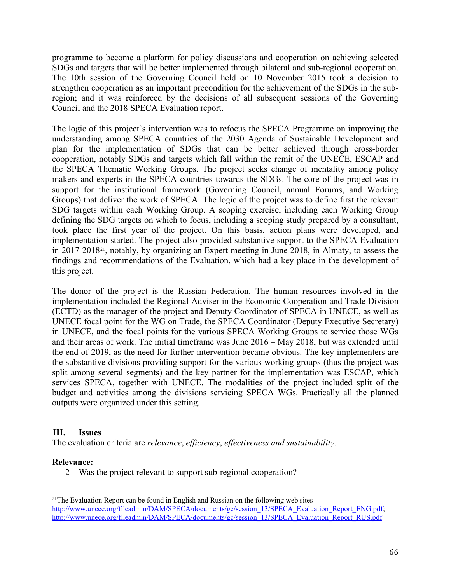programme to become a platform for policy discussions and cooperation on achieving selected SDGs and targets that will be better implemented through bilateral and sub-regional cooperation. The 10th session of the Governing Council held on 10 November 2015 took a decision to strengthen cooperation as an important precondition for the achievement of the SDGs in the subregion; and it was reinforced by the decisions of all subsequent sessions of the Governing Council and the 2018 SPECA Evaluation report.

The logic of this project's intervention was to refocus the SPECA Programme on improving the understanding among SPECA countries of the 2030 Agenda of Sustainable Development and plan for the implementation of SDGs that can be better achieved through cross-border cooperation, notably SDGs and targets which fall within the remit of the UNECE, ESCAP and the SPECA Thematic Working Groups. The project seeks change of mentality among policy makers and experts in the SPECA countries towards the SDGs. The core of the project was in support for the institutional framework (Governing Council, annual Forums, and Working Groups) that deliver the work of SPECA. The logic of the project was to define first the relevant SDG targets within each Working Group. A scoping exercise, including each Working Group defining the SDG targets on which to focus, including a scoping study prepared by a consultant, took place the first year of the project. On this basis, action plans were developed, and implementation started. The project also provided substantive support to the SPECA Evaluation in 2017-2018[21,](#page-65-0) notably, by organizing an Expert meeting in June 2018, in Almaty, to assess the findings and recommendations of the Evaluation, which had a key place in the development of this project.

The donor of the project is the Russian Federation. The human resources involved in the implementation included the Regional Adviser in the Economic Cooperation and Trade Division (ECTD) as the manager of the project and Deputy Coordinator of SPECA in UNECE, as well as UNECE focal point for the WG on Trade, the SPECA Coordinator (Deputy Executive Secretary) in UNECE, and the focal points for the various SPECA Working Groups to service those WGs and their areas of work. The initial timeframe was June 2016 – May 2018, but was extended until the end of 2019, as the need for further intervention became obvious. The key implementers are the substantive divisions providing support for the various working groups (thus the project was split among several segments) and the key partner for the implementation was ESCAP, which services SPECA, together with UNECE. The modalities of the project included split of the budget and activities among the divisions servicing SPECA WGs. Practically all the planned outputs were organized under this setting.

#### **III. Issues**

The evaluation criteria are *relevance*, *efficiency*, *effectiveness and sustainability.*

#### **Relevance:**

2- Was the project relevant to support sub-regional cooperation?

<span id="page-65-0"></span><sup>&</sup>lt;sup>21</sup>The Evaluation Report can be found in English and Russian on the following web sites [http://www.unece.org/fileadmin/DAM/SPECA/documents/gc/session\\_13/SPECA\\_Evaluation\\_Report\\_ENG.pdf;](http://www.unece.org/fileadmin/DAM/SPECA/documents/gc/session_13/SPECA_Evaluation_Report_ENG.pdf) [http://www.unece.org/fileadmin/DAM/SPECA/documents/gc/session\\_13/SPECA\\_Evaluation\\_Report\\_RUS.pdf](http://www.unece.org/fileadmin/DAM/SPECA/documents/gc/session_13/SPECA_Evaluation_Report_RUS.pdf)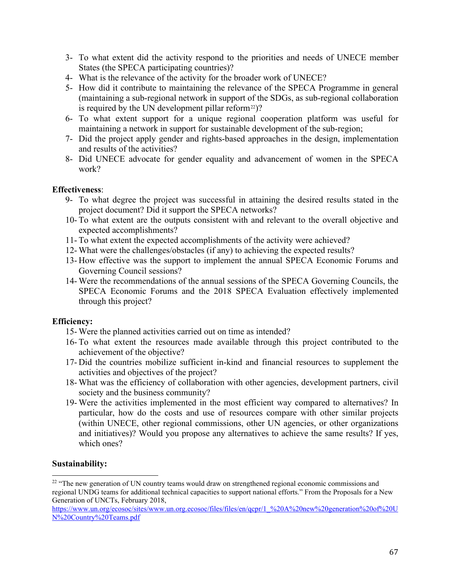- 3- To what extent did the activity respond to the priorities and needs of UNECE member States (the SPECA participating countries)?
- 4- What is the relevance of the activity for the broader work of UNECE?
- 5- How did it contribute to maintaining the relevance of the SPECA Programme in general (maintaining a sub-regional network in support of the SDGs, as sub-regional collaboration is required by the UN development pillar reform<sup>22</sup>)?
- 6- To what extent support for a unique regional cooperation platform was useful for maintaining a network in support for sustainable development of the sub-region;
- 7- Did the project apply gender and rights-based approaches in the design, implementation and results of the activities?
- 8- Did UNECE advocate for gender equality and advancement of women in the SPECA work?

### **Effectiveness**:

- 9- To what degree the project was successful in attaining the desired results stated in the project document? Did it support the SPECA networks?
- 10- To what extent are the outputs consistent with and relevant to the overall objective and expected accomplishments?
- 11- To what extent the expected accomplishments of the activity were achieved?
- 12- What were the challenges/obstacles (if any) to achieving the expected results?
- 13- How effective was the support to implement the annual SPECA Economic Forums and Governing Council sessions?
- 14- Were the recommendations of the annual sessions of the SPECA Governing Councils, the SPECA Economic Forums and the 2018 SPECA Evaluation effectively implemented through this project?

# **Efficiency:**

- 15- Were the planned activities carried out on time as intended?
- 16- To what extent the resources made available through this project contributed to the achievement of the objective?
- 17- Did the countries mobilize sufficient in-kind and financial resources to supplement the activities and objectives of the project?
- 18- What was the efficiency of collaboration with other agencies, development partners, civil society and the business community?
- 19- Were the activities implemented in the most efficient way compared to alternatives? In particular, how do the costs and use of resources compare with other similar projects (within UNECE, other regional commissions, other UN agencies, or other organizations and initiatives)? Would you propose any alternatives to achieve the same results? If yes, which ones?

# **Sustainability:**

<span id="page-66-0"></span> $22$  "The new generation of UN country teams would draw on strengthened regional economic commissions and regional UNDG teams for additional technical capacities to support national efforts." From the Proposals for a New Generation of UNCTs, February 2018,

[https://www.un.org/ecosoc/sites/www.un.org.ecosoc/files/files/en/qcpr/1\\_%20A%20new%20generation%20of%20U](https://www.un.org/ecosoc/sites/www.un.org.ecosoc/files/files/en/qcpr/1_%20A%20new%20generation%20of%20UN%20Country%20Teams.pdf) [N%20Country%20Teams.pdf](https://www.un.org/ecosoc/sites/www.un.org.ecosoc/files/files/en/qcpr/1_%20A%20new%20generation%20of%20UN%20Country%20Teams.pdf)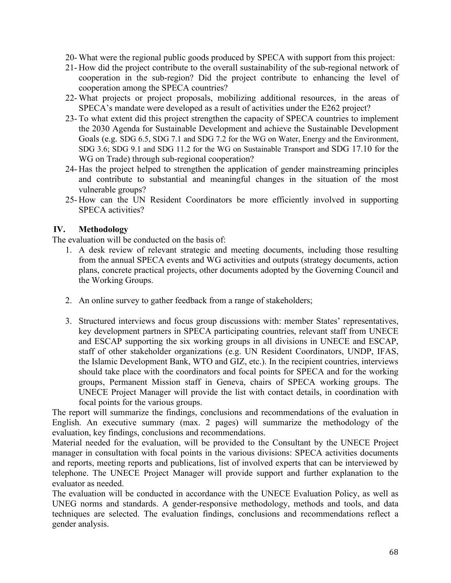- 20- What were the regional public goods produced by SPECA with support from this project:
- 21- How did the project contribute to the overall sustainability of the sub-regional network of cooperation in the sub-region? Did the project contribute to enhancing the level of cooperation among the SPECA countries?
- 22- What projects or project proposals, mobilizing additional resources, in the areas of SPECA's mandate were developed as a result of activities under the E262 project?
- 23- To what extent did this project strengthen the capacity of SPECA countries to implement the 2030 Agenda for Sustainable Development and achieve the Sustainable Development Goals (e.g. SDG 6.5, SDG 7.1 and SDG 7.2 for the WG on Water, Energy and the Environment, SDG 3.6; SDG 9.1 and SDG 11.2 for the WG on Sustainable Transport and SDG 17.10 for the WG on Trade) through sub-regional cooperation?
- 24- Has the project helped to strengthen the application of gender mainstreaming principles and contribute to substantial and meaningful changes in the situation of the most vulnerable groups?
- 25- How can the UN Resident Coordinators be more efficiently involved in supporting SPECA activities?

## **IV. Methodology**

The evaluation will be conducted on the basis of:

- 1. A desk review of relevant strategic and meeting documents, including those resulting from the annual SPECA events and WG activities and outputs (strategy documents, action plans, concrete practical projects, other documents adopted by the Governing Council and the Working Groups.
- 2. An online survey to gather feedback from a range of stakeholders;
- 3. Structured interviews and focus group discussions with: member States' representatives, key development partners in SPECA participating countries, relevant staff from UNECE and ESCAP supporting the six working groups in all divisions in UNECE and ESCAP, staff of other stakeholder organizations (e.g. UN Resident Coordinators, UNDP, IFAS, the Islamic Development Bank, WTO and GIZ, etc.). In the recipient countries, interviews should take place with the coordinators and focal points for SPECA and for the working groups, Permanent Mission staff in Geneva, chairs of SPECA working groups. The UNECE Project Manager will provide the list with contact details, in coordination with focal points for the various groups.

The report will summarize the findings, conclusions and recommendations of the evaluation in English. An executive summary (max. 2 pages) will summarize the methodology of the evaluation, key findings, conclusions and recommendations.

Material needed for the evaluation, will be provided to the Consultant by the UNECE Project manager in consultation with focal points in the various divisions: SPECA activities documents and reports, meeting reports and publications, list of involved experts that can be interviewed by telephone. The UNECE Project Manager will provide support and further explanation to the evaluator as needed.

The evaluation will be conducted in accordance with the UNECE Evaluation Policy, as well as UNEG norms and standards. A gender-responsive methodology, methods and tools, and data techniques are selected. The evaluation findings, conclusions and recommendations reflect a gender analysis.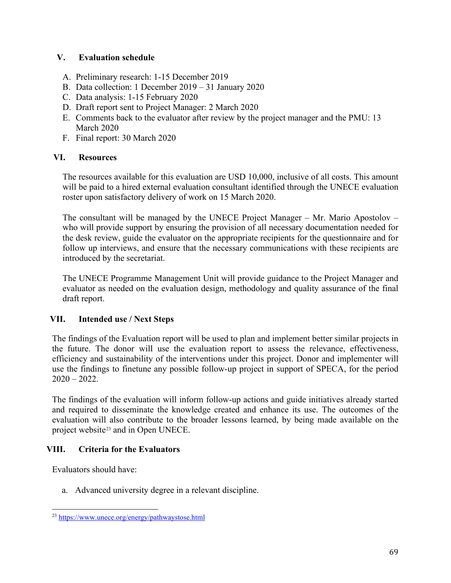## **V. Evaluation schedule**

- A. Preliminary research: 1-15 December 2019
- B. Data collection: 1 December 2019 31 January 2020
- C. Data analysis: 1-15 February 2020
- D. Draft report sent to Project Manager: 2 March 2020
- E. Comments back to the evaluator after review by the project manager and the PMU: 13 March 2020
- F. Final report: 30 March 2020

#### **VI. Resources**

The resources available for this evaluation are USD 10,000, inclusive of all costs. This amount will be paid to a hired external evaluation consultant identified through the UNECE evaluation roster upon satisfactory delivery of work on 15 March 2020.

The consultant will be managed by the UNECE Project Manager – Mr. Mario Apostolov – who will provide support by ensuring the provision of all necessary documentation needed for the desk review, guide the evaluator on the appropriate recipients for the questionnaire and for follow up interviews, and ensure that the necessary communications with these recipients are introduced by the secretariat.

The UNECE Programme Management Unit will provide guidance to the Project Manager and evaluator as needed on the evaluation design, methodology and quality assurance of the final draft report.

### **VII. Intended use / Next Steps**

The findings of the Evaluation report will be used to plan and implement better similar projects in the future. The donor will use the evaluation report to assess the relevance, effectiveness, efficiency and sustainability of the interventions under this project. Donor and implementer will use the findings to finetune any possible follow-up project in support of SPECA, for the period  $2020 - 2022$ .

The findings of the evaluation will inform follow-up actions and guide initiatives already started and required to disseminate the knowledge created and enhance its use. The outcomes of the evaluation will also contribute to the broader lessons learned, by being made available on the project website[23](#page-68-0) and in Open UNECE.

### **VIII. Criteria for the Evaluators**

Evaluators should have:

a. Advanced university degree in a relevant discipline.

<span id="page-68-0"></span><sup>23</sup> <https://www.unece.org/energy/pathwaystose.html>